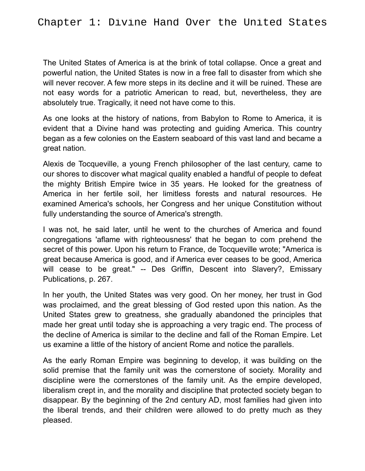The United States of America is at the brink of total collapse. Once a great and powerful nation, the United States is now in a free fall to disaster from which she will never recover. A few more steps in its decline and it will be ruined. These are not easy words for a patriotic American to read, but, nevertheless, they are absolutely true. Tragically, it need not have come to this.

As one looks at the history of nations, from Babylon to Rome to America, it is evident that a Divine hand was protecting and guiding America. This country began as a few colonies on the Eastern seaboard of this vast land and became a great nation.

Alexis de Tocqueville, a young French philosopher of the last century, came to our shores to discover what magical quality enabled a handful of people to defeat the mighty British Empire twice in 35 years. He looked for the greatness of America in her fertile soil, her limitless forests and natural resources. He examined America's schools, her Congress and her unique Constitution without fully understanding the source of America's strength.

I was not, he said later, until he went to the churches of America and found congregations 'aflame with righteousness' that he began to com prehend the secret of this power. Upon his return to France, de Tocqueville wrote; "America is great because America is good, and if America ever ceases to be good, America will cease to be great." -- Des Griffin, Descent into Slavery?, Emissary Publications, p. 267.

In her youth, the United States was very good. On her money, her trust in God was proclaimed, and the great blessing of God rested upon this nation. As the United States grew to greatness, she gradually abandoned the principles that made her great until today she is approaching a very tragic end. The process of the decline of America is similar to the decline and fall of the Roman Empire. Let us examine a little of the history of ancient Rome and notice the parallels.

As the early Roman Empire was beginning to develop, it was building on the solid premise that the family unit was the cornerstone of society. Morality and discipline were the cornerstones of the family unit. As the empire developed, liberalism crept in, and the morality and discipline that protected society began to disappear. By the beginning of the 2nd century AD, most families had given into the liberal trends, and their children were allowed to do pretty much as they pleased.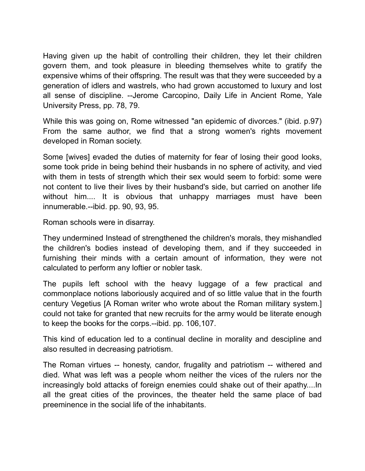Having given up the habit of controlling their children, they let their children govern them, and took pleasure in bleeding themselves white to gratify the expensive whims of their offspring. The result was that they were succeeded by a generation of idlers and wastrels, who had grown accustomed to luxury and lost all sense of discipline. --Jerome Carcopino, Daily Life in Ancient Rome, Yale University Press, pp. 78, 79.

While this was going on, Rome witnessed "an epidemic of divorces." (ibid. p.97) From the same author, we find that a strong women's rights movement developed in Roman society.

Some [wives] evaded the duties of maternity for fear of losing their good looks, some took pride in being behind their husbands in no sphere of activity, and vied with them in tests of strength which their sex would seem to forbid: some were not content to live their lives by their husband's side, but carried on another life without him.... It is obvious that unhappy marriages must have been innumerable.--ibid. pp. 90, 93, 95.

Roman schools were in disarray.

They undermined Instead of strengthened the children's morals, they mishandled the children's bodies instead of developing them, and if they succeeded in furnishing their minds with a certain amount of information, they were not calculated to perform any loftier or nobler task.

The pupils left school with the heavy luggage of a few practical and commonplace notions laboriously acquired and of so little value that in the fourth century Vegetius [A Roman writer who wrote about the Roman military system.] could not take for granted that new recruits for the army would be literate enough to keep the books for the corps.--ibid. pp. 106,107.

This kind of education led to a continual decline in morality and descipline and also resulted in decreasing patriotism.

The Roman virtues -- honesty, candor, frugality and patriotism -- withered and died. What was left was a people whom neither the vices of the rulers nor the increasingly bold attacks of foreign enemies could shake out of their apathy....In all the great cities of the provinces, the theater held the same place of bad preeminence in the social life of the inhabitants.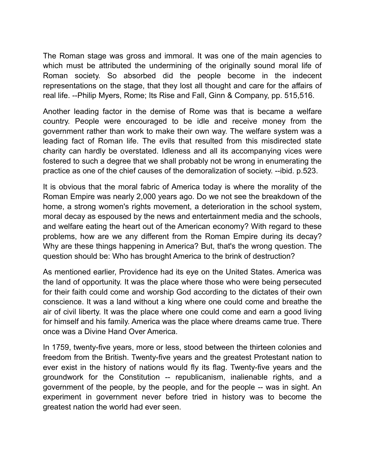The Roman stage was gross and immoral. It was one of the main agencies to which must be attributed the undermining of the originally sound moral life of Roman society. So absorbed did the people become in the indecent representations on the stage, that they lost all thought and care for the affairs of real life. --Philip Myers, Rome; Its Rise and Fall, Ginn & Company, pp. 515,516.

Another leading factor in the demise of Rome was that is became a welfare country. People were encouraged to be idle and receive money from the government rather than work to make their own way. The welfare system was a leading fact of Roman life. The evils that resulted from this misdirected state charity can hardly be overstated. Idleness and all its accompanying vices were fostered to such a degree that we shall probably not be wrong in enumerating the practice as one of the chief causes of the demoralization of society. --ibid. p.523.

It is obvious that the moral fabric of America today is where the morality of the Roman Empire was nearly 2,000 years ago. Do we not see the breakdown of the home, a strong women's rights movement, a deterioration in the school system, moral decay as espoused by the news and entertainment media and the schools, and welfare eating the heart out of the American economy? With regard to these problems, how are we any different from the Roman Empire during its decay? Why are these things happening in America? But, that's the wrong question. The question should be: Who has brought America to the brink of destruction?

As mentioned earlier, Providence had its eye on the United States. America was the land of opportunity. It was the place where those who were being persecuted for their faith could come and worship God according to the dictates of their own conscience. It was a land without a king where one could come and breathe the air of civil liberty. It was the place where one could come and earn a good living for himself and his family. America was the place where dreams came true. There once was a Divine Hand Over America.

In 1759, twenty-five years, more or less, stood between the thirteen colonies and freedom from the British. Twenty-five years and the greatest Protestant nation to ever exist in the history of nations would fly its flag. Twenty-five years and the groundwork for the Constitution -- republicanism, inalienable rights, and a government of the people, by the people, and for the people -- was in sight. An experiment in government never before tried in history was to become the greatest nation the world had ever seen.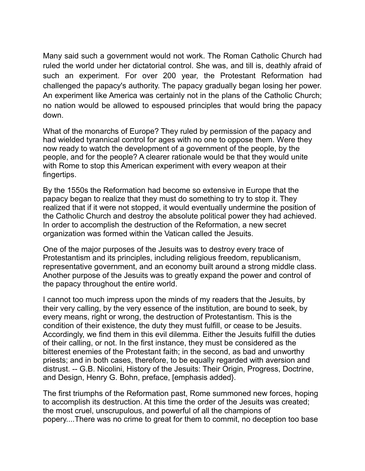Many said such a government would not work. The Roman Catholic Church had ruled the world under her dictatorial control. She was, and till is, deathly afraid of such an experiment. For over 200 year, the Protestant Reformation had challenged the papacy's authority. The papacy gradually began losing her power. An experiment like America was certainly not in the plans of the Catholic Church; no nation would be allowed to espoused principles that would bring the papacy down.

What of the monarchs of Europe? They ruled by permission of the papacy and had wielded tyrannical control for ages with no one to oppose them. Were they now ready to watch the development of a government of the people, by the people, and for the people? A clearer rationale would be that they would unite with Rome to stop this American experiment with every weapon at their fingertips.

By the 1550s the Reformation had become so extensive in Europe that the papacy began to realize that they must do something to try to stop it. They realized that if it were not stopped, it would eventually undermine the position of the Catholic Church and destroy the absolute political power they had achieved. In order to accomplish the destruction of the Reformation, a new secret organization was formed within the Vatican called the Jesuits.

One of the major purposes of the Jesuits was to destroy every trace of Protestantism and its principles, including religious freedom, republicanism, representative government, and an economy built around a strong middle class. Another purpose of the Jesuits was to greatly expand the power and control of the papacy throughout the entire world.

I cannot too much impress upon the minds of my readers that the Jesuits, by their very calling, by the very essence of the institution, are bound to seek, by every means, right or wrong, the destruction of Protestantism. This is the condition of their existence, the duty they must fulfill, or cease to be Jesuits. Accordingly, we find them in this evil dilemma. Either the Jesuits fulfill the duties of their calling, or not. In the first instance, they must be considered as the bitterest enemies of the Protestant faith; in the second, as bad and unworthy priests; and in both cases, therefore, to be equally regarded with aversion and distrust. -- G.B. Nicolini, History of the Jesuits: Their Origin, Progress, Doctrine, and Design, Henry G. Bohn, preface, [emphasis added}.

The first triumphs of the Reformation past, Rome summoned new forces, hoping to accomplish its destruction. At this time the order of the Jesuits was created; the most cruel, unscrupulous, and powerful of all the champions of popery....There was no crime to great for them to commit, no deception too base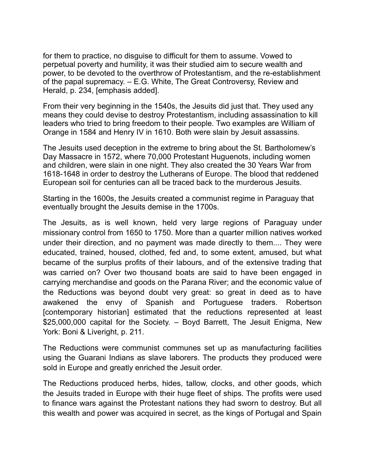for them to practice, no disguise to difficult for them to assume. Vowed to perpetual poverty and humility, it was their studied aim to secure wealth and power, to be devoted to the overthrow of Protestantism, and the re-establishment of the papal supremacy. – E.G. White, The Great Controversy, Review and Herald, p. 234, [emphasis added].

From their very beginning in the 1540s, the Jesuits did just that. They used any means they could devise to destroy Protestantism, including assassination to kill leaders who tried to bring freedom to their people. Two examples are William of Orange in 1584 and Henry IV in 1610. Both were slain by Jesuit assassins.

The Jesuits used deception in the extreme to bring about the St. Bartholomew's Day Massacre in 1572, where 70,000 Protestant Huguenots, including women and children, were slain in one night. They also created the 30 Years War from 1618-1648 in order to destroy the Lutherans of Europe. The blood that reddened European soil for centuries can all be traced back to the murderous Jesuits.

Starting in the 1600s, the Jesuits created a communist regime in Paraguay that eventually brought the Jesuits demise in the 1700s.

The Jesuits, as is well known, held very large regions of Paraguay under missionary control from 1650 to 1750. More than a quarter million natives worked under their direction, and no payment was made directly to them.... They were educated, trained, housed, clothed, fed and, to some extent, amused, but what became of the surplus profits of their labours, and of the extensive trading that was carried on? Over two thousand boats are said to have been engaged in carrying merchandise and goods on the Parana River; and the economic value of the Reductions was beyond doubt very great: so great in deed as to have awakened the envy of Spanish and Portuguese traders. Robertson [contemporary historian] estimated that the reductions represented at least \$25,000,000 capital for the Society. – Boyd Barrett, The Jesuit Enigma, New York: Boni & Liveright, p. 211.

The Reductions were communist communes set up as manufacturing facilities using the Guarani Indians as slave laborers. The products they produced were sold in Europe and greatly enriched the Jesuit order.

The Reductions produced herbs, hides, tallow, clocks, and other goods, which the Jesuits traded in Europe with their huge fleet of ships. The profits were used to finance wars against the Protestant nations they had sworn to destroy. But all this wealth and power was acquired in secret, as the kings of Portugal and Spain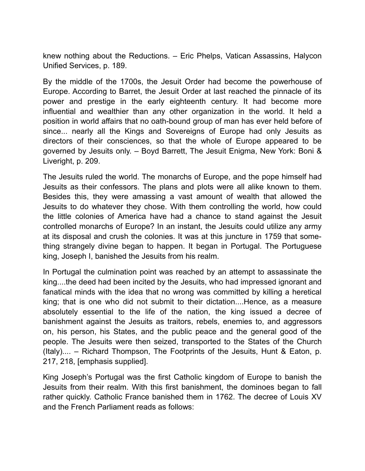knew nothing about the Reductions. – Eric Phelps, Vatican Assassins, Halycon Unified Services, p. 189.

By the middle of the 1700s, the Jesuit Order had become the powerhouse of Europe. According to Barret, the Jesuit Order at last reached the pinnacle of its power and prestige in the early eighteenth century. It had become more influential and wealthier than any other organization in the world. It held a position in world affairs that no oath-bound group of man has ever held before of since... nearly all the Kings and Sovereigns of Europe had only Jesuits as directors of their consciences, so that the whole of Europe appeared to be governed by Jesuits only. – Boyd Barrett, The Jesuit Enigma, New York: Boni & Liveright, p. 209.

The Jesuits ruled the world. The monarchs of Europe, and the pope himself had Jesuits as their confessors. The plans and plots were all alike known to them. Besides this, they were amassing a vast amount of wealth that allowed the Jesuits to do whatever they chose. With them controlling the world, how could the little colonies of America have had a chance to stand against the Jesuit controlled monarchs of Europe? In an instant, the Jesuits could utilize any army at its disposal and crush the colonies. It was at this juncture in 1759 that something strangely divine began to happen. It began in Portugal. The Portuguese king, Joseph I, banished the Jesuits from his realm.

In Portugal the culmination point was reached by an attempt to assassinate the king....the deed had been incited by the Jesuits, who had impressed ignorant and fanatical minds with the idea that no wrong was committed by killing a heretical king; that is one who did not submit to their dictation....Hence, as a measure absolutely essential to the life of the nation, the king issued a decree of banishment against the Jesuits as traitors, rebels, enemies to, and aggressors on, his person, his States, and the public peace and the general good of the people. The Jesuits were then seized, transported to the States of the Church (Italy).... – Richard Thompson, The Footprints of the Jesuits, Hunt & Eaton, p. 217, 218, [emphasis supplied].

King Joseph's Portugal was the first Catholic kingdom of Europe to banish the Jesuits from their realm. With this first banishment, the dominoes began to fall rather quickly. Catholic France banished them in 1762. The decree of Louis XV and the French Parliament reads as follows: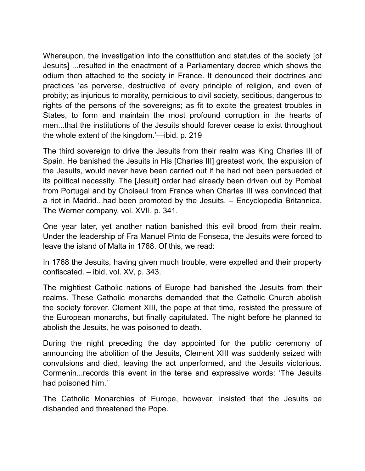Whereupon, the investigation into the constitution and statutes of the society [of Jesuits] ...resulted in the enactment of a Parliamentary decree which shows the odium then attached to the society in France. It denounced their doctrines and practices 'as perverse, destructive of every principle of religion, and even of probity; as injurious to morality, pernicious to civil society, seditious, dangerous to rights of the persons of the sovereigns; as fit to excite the greatest troubles in States, to form and maintain the most profound corruption in the hearts of men...that the institutions of the Jesuits should forever cease to exist throughout the whole extent of the kingdom.'—ibid. p. 219

The third sovereign to drive the Jesuits from their realm was King Charles III of Spain. He banished the Jesuits in His [Charles III] greatest work, the expulsion of the Jesuits, would never have been carried out if he had not been persuaded of its political necessity. The [Jesuit] order had already been driven out by Pombal from Portugal and by Choiseul from France when Charles III was convinced that a riot in Madrid...had been promoted by the Jesuits. – Encyclopedia Britannica, The Werner company, vol. XVII, p. 341.

One year later, yet another nation banished this evil brood from their realm. Under the leadership of Fra Manuel Pinto de Fonseca, the Jesuits were forced to leave the island of Malta in 1768. Of this, we read:

In 1768 the Jesuits, having given much trouble, were expelled and their property confiscated. – ibid, vol. XV, p. 343.

The mightiest Catholic nations of Europe had banished the Jesuits from their realms. These Catholic monarchs demanded that the Catholic Church abolish the society forever. Clement XIII, the pope at that time, resisted the pressure of the European monarchs, but finally capitulated. The night before he planned to abolish the Jesuits, he was poisoned to death.

During the night preceding the day appointed for the public ceremony of announcing the abolition of the Jesuits, Clement XIII was suddenly seized with convulsions and died, leaving the act unperformed, and the Jesuits victorious. Cormenin...records this event in the terse and expressive words: 'The Jesuits had poisoned him.'

The Catholic Monarchies of Europe, however, insisted that the Jesuits be disbanded and threatened the Pope.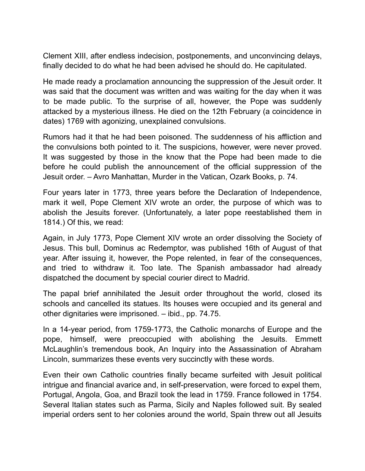Clement XIII, after endless indecision, postponements, and unconvincing delays, finally decided to do what he had been advised he should do. He capitulated.

He made ready a proclamation announcing the suppression of the Jesuit order. It was said that the document was written and was waiting for the day when it was to be made public. To the surprise of all, however, the Pope was suddenly attacked by a mysterious illness. He died on the 12th February (a coincidence in dates) 1769 with agonizing, unexplained convulsions.

Rumors had it that he had been poisoned. The suddenness of his affliction and the convulsions both pointed to it. The suspicions, however, were never proved. It was suggested by those in the know that the Pope had been made to die before he could publish the announcement of the official suppression of the Jesuit order. – Avro Manhattan, Murder in the Vatican, Ozark Books, p. 74.

Four years later in 1773, three years before the Declaration of Independence, mark it well, Pope Clement XIV wrote an order, the purpose of which was to abolish the Jesuits forever. (Unfortunately, a later pope reestablished them in 1814.) Of this, we read:

Again, in July 1773, Pope Clement XIV wrote an order dissolving the Society of Jesus. This bull, Dominus ac Redemptor, was published 16th of August of that year. After issuing it, however, the Pope relented, in fear of the consequences, and tried to withdraw it. Too late. The Spanish ambassador had already dispatched the document by special courier direct to Madrid.

The papal brief annihilated the Jesuit order throughout the world, closed its schools and cancelled its statues. Its houses were occupied and its general and other dignitaries were imprisoned. – ibid., pp. 74.75.

In a 14-year period, from 1759-1773, the Catholic monarchs of Europe and the pope, himself, were preoccupied with abolishing the Jesuits. Emmett McLaughlin's tremendous book, An Inquiry into the Assassination of Abraham Lincoln, summarizes these events very succinctly with these words.

Even their own Catholic countries finally became surfeited with Jesuit political intrigue and financial avarice and, in self-preservation, were forced to expel them, Portugal, Angola, Goa, and Brazil took the lead in 1759. France followed in 1754. Several Italian states such as Parma, Sicily and Naples followed suit. By sealed imperial orders sent to her colonies around the world, Spain threw out all Jesuits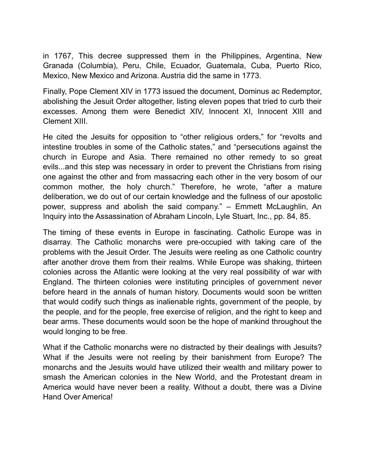in 1767, This decree suppressed them in the Philippines, Argentina, New Granada (Columbia), Peru, Chile, Ecuador, Guatemala, Cuba, Puerto Rico, Mexico, New Mexico and Arizona. Austria did the same in 1773.

Finally, Pope Clement XIV in 1773 issued the document, Dominus ac Redemptor, abolishing the Jesuit Order altogether, listing eleven popes that tried to curb their excesses. Among them were Benedict XIV, Innocent XI, Innocent XIII and Clement XIII.

He cited the Jesuits for opposition to "other religious orders," for "revolts and intestine troubles in some of the Catholic states," and "persecutions against the church in Europe and Asia. There remained no other remedy to so great evils...and this step was necessary in order to prevent the Christians from rising one against the other and from massacring each other in the very bosom of our common mother, the holy church." Therefore, he wrote, "after a mature deliberation, we do out of our certain knowledge and the fullness of our apostolic power, suppress and abolish the said company." – Emmett McLaughlin, An Inquiry into the Assassination of Abraham Lincoln, Lyle Stuart, Inc., pp. 84, 85.

The timing of these events in Europe in fascinating. Catholic Europe was in disarray. The Catholic monarchs were pre-occupied with taking care of the problems with the Jesuit Order. The Jesuits were reeling as one Catholic country after another drove them from their realms. While Europe was shaking, thirteen colonies across the Atlantic were looking at the very real possibility of war with England. The thirteen colonies were instituting principles of government never before heard in the annals of human history. Documents would soon be written that would codify such things as inalienable rights, government of the people, by the people, and for the people, free exercise of religion, and the right to keep and bear arms. These documents would soon be the hope of mankind throughout the would longing to be free.

What if the Catholic monarchs were no distracted by their dealings with Jesuits? What if the Jesuits were not reeling by their banishment from Europe? The monarchs and the Jesuits would have utilized their wealth and military power to smash the American colonies in the New World, and the Protestant dream in America would have never been a reality. Without a doubt, there was a Divine Hand Over America!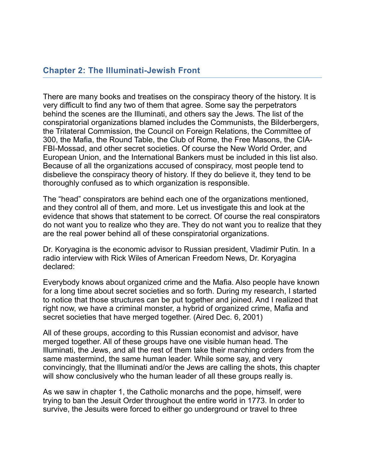# **Chapter 2: The Illuminati-Jewish Front**

There are many books and treatises on the conspiracy theory of the history. It is very difficult to find any two of them that agree. Some say the perpetrators behind the scenes are the Illuminati, and others say the Jews. The list of the conspiratorial organizations blamed includes the Communists, the Bilderbergers, the Trilateral Commission, the Council on Foreign Relations, the Committee of 300, the Mafia, the Round Table, the Club of Rome, the Free Masons, the CIA-FBI-Mossad, and other secret societies. Of course the New World Order, and European Union, and the International Bankers must be included in this list also. Because of all the organizations accused of conspiracy, most people tend to disbelieve the conspiracy theory of history. If they do believe it, they tend to be thoroughly confused as to which organization is responsible.

The "head" conspirators are behind each one of the organizations mentioned, and they control all of them, and more. Let us investigate this and look at the evidence that shows that statement to be correct. Of course the real conspirators do not want you to realize who they are. They do not want you to realize that they are the real power behind all of these conspiratorial organizations.

Dr. Koryagina is the economic advisor to Russian president, Vladimir Putin. In a radio interview with Rick Wiles of American Freedom News, Dr. Koryagina declared:

Everybody knows about organized crime and the Mafia. Also people have known for a long time about secret societies and so forth. During my research, I started to notice that those structures can be put together and joined. And I realized that right now, we have a criminal monster, a hybrid of organized crime, Mafia and secret societies that have merged together. (Aired Dec. 6, 2001)

All of these groups, according to this Russian economist and advisor, have merged together. All of these groups have one visible human head. The Illuminati, the Jews, and all the rest of them take their marching orders from the same mastermind, the same human leader. While some say, and very convincingly, that the Illuminati and/or the Jews are calling the shots, this chapter will show conclusively who the human leader of all these groups really is.

As we saw in chapter 1, the Catholic monarchs and the pope, himself, were trying to ban the Jesuit Order throughout the entire world in 1773. In order to survive, the Jesuits were forced to either go underground or travel to three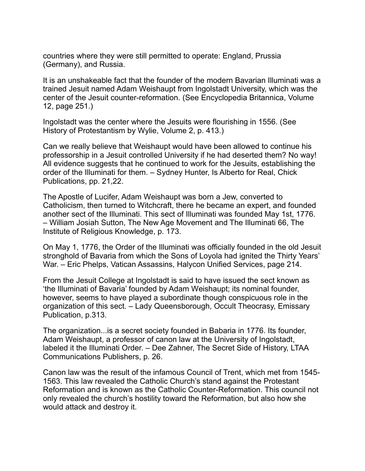countries where they were still permitted to operate: England, Prussia (Germany), and Russia.

It is an unshakeable fact that the founder of the modern Bavarian Illuminati was a trained Jesuit named Adam Weishaupt from Ingolstadt University, which was the center of the Jesuit counter-reformation. (See Encyclopedia Britannica, Volume 12, page 251.)

Ingolstadt was the center where the Jesuits were flourishing in 1556. (See History of Protestantism by Wylie, Volume 2, p. 413.)

Can we really believe that Weishaupt would have been allowed to continue his professorship in a Jesuit controlled University if he had deserted them? No way! All evidence suggests that he continued to work for the Jesuits, establishing the order of the Illuminati for them. – Sydney Hunter, Is Alberto for Real, Chick Publications, pp. 21,22.

The Apostle of Lucifer, Adam Weishaupt was born a Jew, converted to Catholicism, then turned to Witchcraft, there he became an expert, and founded another sect of the Illuminati. This sect of Illuminati was founded May 1st, 1776. – William Josiah Sutton, The New Age Movement and The Illuminati 66, The Institute of Religious Knowledge, p. 173.

On May 1, 1776, the Order of the Illuminati was officially founded in the old Jesuit stronghold of Bavaria from which the Sons of Loyola had ignited the Thirty Years' War. – Eric Phelps, Vatican Assassins, Halycon Unified Services, page 214.

From the Jesuit College at Ingolstadt is said to have issued the sect known as 'the Illuminati of Bavaria' founded by Adam Weishaupt; its nominal founder, however, seems to have played a subordinate though conspicuous role in the organization of this sect. – Lady Queensborough, Occult Theocrasy, Emissary Publication, p.313.

The organization...is a secret society founded in Babaria in 1776. Its founder, Adam Weishaupt, a professor of canon law at the University of Ingolstadt, labeled it the Illuminati Order. – Dee Zahner, The Secret Side of History, LTAA Communications Publishers, p. 26.

Canon law was the result of the infamous Council of Trent, which met from 1545- 1563. This law revealed the Catholic Church's stand against the Protestant Reformation and is known as the Catholic Counter-Reformation. This council not only revealed the church's hostility toward the Reformation, but also how she would attack and destroy it.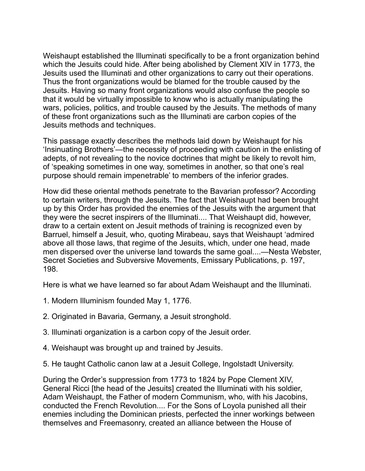Weishaupt established the Illuminati specifically to be a front organization behind which the Jesuits could hide. After being abolished by Clement XIV in 1773, the Jesuits used the Illuminati and other organizations to carry out their operations. Thus the front organizations would be blamed for the trouble caused by the Jesuits. Having so many front organizations would also confuse the people so that it would be virtually impossible to know who is actually manipulating the wars, policies, politics, and trouble caused by the Jesuits. The methods of many of these front organizations such as the Illuminati are carbon copies of the Jesuits methods and techniques.

This passage exactly describes the methods laid down by Weishaupt for his 'Insinuating Brothers'—the necessity of proceeding with caution in the enlisting of adepts, of not revealing to the novice doctrines that might be likely to revolt him, of 'speaking sometimes in one way, sometimes in another, so that one's real purpose should remain impenetrable' to members of the inferior grades.

How did these oriental methods penetrate to the Bavarian professor? According to certain writers, through the Jesuits. The fact that Weishaupt had been brought up by this Order has provided the enemies of the Jesuits with the argument that they were the secret inspirers of the Illuminati.... That Weishaupt did, however, draw to a certain extent on Jesuit methods of training is recognized even by Barruel, himself a Jesuit, who, quoting Mirabeau, says that Weishaupt 'admired above all those laws, that regime of the Jesuits, which, under one head, made men dispersed over the universe land towards the same goal....—Nesta Webster, Secret Societies and Subversive Movements, Emissary Publications, p. 197, 198.

Here is what we have learned so far about Adam Weishaupt and the Illuminati.

- 1. Modern Illuminism founded May 1, 1776.
- 2. Originated in Bavaria, Germany, a Jesuit stronghold.
- 3. Illuminati organization is a carbon copy of the Jesuit order.
- 4. Weishaupt was brought up and trained by Jesuits.
- 5. He taught Catholic canon law at a Jesuit College, Ingolstadt University.

During the Order's suppression from 1773 to 1824 by Pope Clement XIV, General Ricci [the head of the Jesuits] created the Illuminati with his soldier, Adam Weishaupt, the Father of modern Communism, who, with his Jacobins, conducted the French Revolution.... For the Sons of Loyola punished all their enemies including the Dominican priests, perfected the inner workings between themselves and Freemasonry, created an alliance between the House of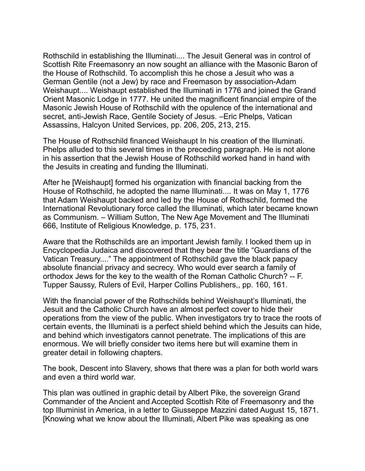Rothschild in establishing the Illuminati.... The Jesuit General was in control of Scottish Rite Freemasonry an now sought an alliance with the Masonic Baron of the House of Rothschild. To accomplish this he chose a Jesuit who was a German Gentile (not a Jew) by race and Freemason by association-Adam Weishaupt.... Weishaupt established the Illuminati in 1776 and joined the Grand Orient Masonic Lodge in 1777. He united the magnificent financial empire of the Masonic Jewish House of Rothschild with the opulence of the international and secret, anti-Jewish Race, Gentile Society of Jesus. –Eric Phelps, Vatican Assassins, Halcyon United Services, pp. 206, 205, 213, 215.

The House of Rothschild financed Weishaupt In his creation of the Illuminati. Phelps alluded to this several times in the preceding paragraph. He is not alone in his assertion that the Jewish House of Rothschild worked hand in hand with the Jesuits in creating and funding the Illuminati.

After he [Weishaupt] formed his organization with financial backing from the House of Rothschild, he adopted the name Illuminati.... It was on May 1, 1776 that Adam Weishaupt backed and led by the House of Rothschild, formed the International Revolutionary force called the Illuminati, which later became known as Communism. – William Sutton, The New Age Movement and The Illuminati 666, Institute of Religious Knowledge, p. 175, 231.

Aware that the Rothschilds are an important Jewish family. I looked them up in Encyclopedia Judaica and discovered that they bear the title "Guardians of the Vatican Treasury...." The appointment of Rothschild gave the black papacy absolute financial privacy and secrecy. Who would ever search a family of orthodox Jews for the key to the wealth of the Roman Catholic Church? -- F. Tupper Saussy, Rulers of Evil, Harper Collins Publishers,, pp. 160, 161.

With the financial power of the Rothschilds behind Weishaupt's Illuminati, the Jesuit and the Catholic Church have an almost perfect cover to hide their operations from the view of the public. When investigators try to trace the roots of certain events, the Illuminati is a perfect shield behind which the Jesuits can hide, and behind which investigators cannot penetrate. The implications of this are enormous. We will briefly consider two items here but will examine them in greater detail in following chapters.

The book, Descent into Slavery, shows that there was a plan for both world wars and even a third world war.

This plan was outlined in graphic detail by Albert Pike, the sovereign Grand Commander of the Ancient and Accepted Scottish Rite of Freemasonry and the top Illuminist in America, in a letter to Giusseppe Mazzini dated August 15, 1871. [Knowing what we know about the Illuminati, Albert Pike was speaking as one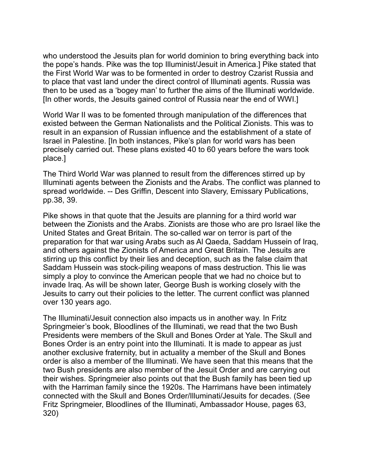who understood the Jesuits plan for world dominion to bring everything back into the pope's hands. Pike was the top Illuminist/Jesuit in America.] Pike stated that the First World War was to be formented in order to destroy Czarist Russia and to place that vast land under the direct control of Illuminati agents. Russia was then to be used as a 'bogey man' to further the aims of the Illuminati worldwide. [In other words, the Jesuits gained control of Russia near the end of WWI.]

World War II was to be fomented through manipulation of the differences that existed between the German Nationalists and the Political Zionists. This was to result in an expansion of Russian influence and the establishment of a state of Israel in Palestine. [In both instances, Pike's plan for world wars has been precisely carried out. These plans existed 40 to 60 years before the wars took place.]

The Third World War was planned to result from the differences stirred up by Illuminati agents between the Zionists and the Arabs. The conflict was planned to spread worldwide. -- Des Griffin, Descent into Slavery, Emissary Publications, pp.38, 39.

Pike shows in that quote that the Jesuits are planning for a third world war between the Zionists and the Arabs. Zionists are those who are pro Israel like the United States and Great Britain. The so-called war on terror is part of the preparation for that war using Arabs such as Al Qaeda, Saddam Hussein of Iraq, and others against the Zionists of America and Great Britain. The Jesuits are stirring up this conflict by their lies and deception, such as the false claim that Saddam Hussein was stock-piling weapons of mass destruction. This lie was simply a ploy to convince the American people that we had no choice but to invade Iraq. As will be shown later, George Bush is working closely with the Jesuits to carry out their policies to the letter. The current conflict was planned over 130 years ago.

The Illuminati/Jesuit connection also impacts us in another way. In Fritz Springmeier's book, Bloodlines of the Illuminati, we read that the two Bush Presidents were members of the Skull and Bones Order at Yale. The Skull and Bones Order is an entry point into the Illuminati. It is made to appear as just another exclusive fraternity, but in actuality a member of the Skull and Bones order is also a member of the Illuminati. We have seen that this means that the two Bush presidents are also member of the Jesuit Order and are carrying out their wishes. Springmeier also points out that the Bush family has been tied up with the Harriman family since the 1920s. The Harrimans have been intimately connected with the Skull and Bones Order/Illuminati/Jesuits for decades. (See Fritz Springmeier, Bloodlines of the Illuminati, Ambassador House, pages 63, 320)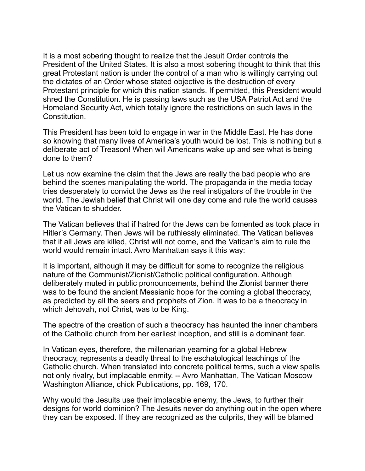It is a most sobering thought to realize that the Jesuit Order controls the President of the United States. It is also a most sobering thought to think that this great Protestant nation is under the control of a man who is willingly carrying out the dictates of an Order whose stated objective is the destruction of every Protestant principle for which this nation stands. If permitted, this President would shred the Constitution. He is passing laws such as the USA Patriot Act and the Homeland Security Act, which totally ignore the restrictions on such laws in the Constitution.

This President has been told to engage in war in the Middle East. He has done so knowing that many lives of America's youth would be lost. This is nothing but a deliberate act of Treason! When will Americans wake up and see what is being done to them?

Let us now examine the claim that the Jews are really the bad people who are behind the scenes manipulating the world. The propaganda in the media today tries desperately to convict the Jews as the real instigators of the trouble in the world. The Jewish belief that Christ will one day come and rule the world causes the Vatican to shudder.

The Vatican believes that if hatred for the Jews can be fomented as took place in Hitler's Germany. Then Jews will be ruthlessly eliminated. The Vatican believes that if all Jews are killed, Christ will not come, and the Vatican's aim to rule the world would remain intact. Avro Manhattan says it this way:

It is important, although it may be difficult for some to recognize the religious nature of the Communist/Zionist/Catholic political configuration. Although deliberately muted in public pronouncements, behind the Zionist banner there was to be found the ancient Messianic hope for the coming a global theocracy, as predicted by all the seers and prophets of Zion. It was to be a theocracy in which Jehovah, not Christ, was to be King.

The spectre of the creation of such a theocracy has haunted the inner chambers of the Catholic church from her earliest inception, and still is a dominant fear.

In Vatican eyes, therefore, the millenarian yearning for a global Hebrew theocracy, represents a deadly threat to the eschatological teachings of the Catholic church. When translated into concrete political terms, such a view spells not only rivalry, but implacable enmity. -- Avro Manhattan, The Vatican Moscow Washington Alliance, chick Publications, pp. 169, 170.

Why would the Jesuits use their implacable enemy, the Jews, to further their designs for world dominion? The Jesuits never do anything out in the open where they can be exposed. If they are recognized as the culprits, they will be blamed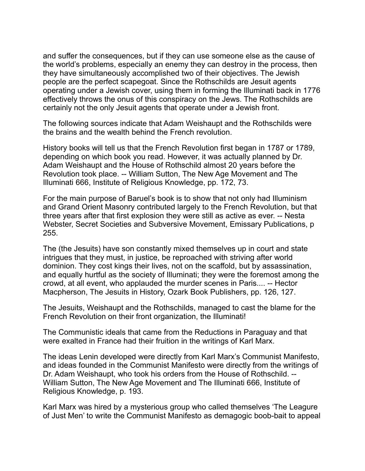and suffer the consequences, but if they can use someone else as the cause of the world's problems, especially an enemy they can destroy in the process, then they have simultaneously accomplished two of their objectives. The Jewish people are the perfect scapegoat. Since the Rothschilds are Jesuit agents operating under a Jewish cover, using them in forming the Illuminati back in 1776 effectively throws the onus of this conspiracy on the Jews. The Rothschilds are certainly not the only Jesuit agents that operate under a Jewish front.

The following sources indicate that Adam Weishaupt and the Rothschilds were the brains and the wealth behind the French revolution.

History books will tell us that the French Revolution first began in 1787 or 1789, depending on which book you read. However, it was actually planned by Dr. Adam Weishaupt and the House of Rothschild almost 20 years before the Revolution took place. -- William Sutton, The New Age Movement and The Illuminati 666, Institute of Religious Knowledge, pp. 172, 73.

For the main purpose of Baruel's book is to show that not only had Illuminism and Grand Orient Masonry contributed largely to the French Revolution, but that three years after that first explosion they were still as active as ever. -- Nesta Webster, Secret Societies and Subversive Movement, Emissary Publications, p 255.

The (the Jesuits) have son constantly mixed themselves up in court and state intrigues that they must, in justice, be reproached with striving after world dominion. They cost kings their lives, not on the scaffold, but by assassination, and equally hurtful as the society of Illuminati; they were the foremost among the crowd, at all event, who applauded the murder scenes in Paris.... -- Hector Macpherson, The Jesuits in History, Ozark Book Publishers, pp. 126, 127.

The Jesuits, Weishaupt and the Rothschilds, managed to cast the blame for the French Revolution on their front organization, the Illuminati!

The Communistic ideals that came from the Reductions in Paraguay and that were exalted in France had their fruition in the writings of Karl Marx.

The ideas Lenin developed were directly from Karl Marx's Communist Manifesto, and ideas founded in the Communist Manifesto were directly from the writings of Dr. Adam Weishaupt, who took his orders from the House of Rothschild. -- William Sutton, The New Age Movement and The Illuminati 666, Institute of Religious Knowledge, p. 193.

Karl Marx was hired by a mysterious group who called themselves 'The Leagure of Just Men' to write the Communist Manifesto as demagogic boob-bait to appeal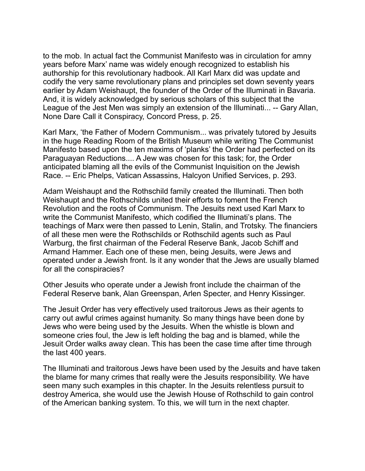to the mob. In actual fact the Communist Manifesto was in circulation for amny years before Marx' name was widely enough recognized to establish his authorship for this revolutionary hadbook. All Karl Marx did was update and codify the very same revolutionary plans and principles set down seventy years earlier by Adam Weishaupt, the founder of the Order of the Illuminati in Bavaria. And, it is widely acknowledged by serious scholars of this subject that the League of the Jest Men was simply an extension of the Illuminati... -- Gary Allan, None Dare Call it Conspiracy, Concord Press, p. 25.

Karl Marx, 'the Father of Modern Communism... was privately tutored by Jesuits in the huge Reading Room of the British Museum while writing The Communist Manifesto based upon the ten maxims of 'planks' the Order had perfected on its Paraguayan Reductions.... A Jew was chosen for this task; for, the Order anticipated blaming all the evils of the Communist Inquisition on the Jewish Race. -- Eric Phelps, Vatican Assassins, Halcyon Unified Services, p. 293.

Adam Weishaupt and the Rothschild family created the Illuminati. Then both Weishaupt and the Rothschilds united their efforts to foment the French Revolution and the roots of Communism. The Jesuits next used Karl Marx to write the Communist Manifesto, which codified the Illuminati's plans. The teachings of Marx were then passed to Lenin, Stalin, and Trotsky. The financiers of all these men were the Rothschilds or Rothschild agents such as Paul Warburg, the first chairman of the Federal Reserve Bank, Jacob Schiff and Armand Hammer. Each one of these men, being Jesuits, were Jews and operated under a Jewish front. Is it any wonder that the Jews are usually blamed for all the conspiracies?

Other Jesuits who operate under a Jewish front include the chairman of the Federal Reserve bank, Alan Greenspan, Arlen Specter, and Henry Kissinger.

The Jesuit Order has very effectively used traitorous Jews as their agents to carry out awful crimes against humanity. So many things have been done by Jews who were being used by the Jesuits. When the whistle is blown and someone cries foul, the Jew is left holding the bag and is blamed, while the Jesuit Order walks away clean. This has been the case time after time through the last 400 years.

The Illuminati and traitorous Jews have been used by the Jesuits and have taken the blame for many crimes that really were the Jesuits responsibility. We have seen many such examples in this chapter. In the Jesuits relentless pursuit to destroy America, she would use the Jewish House of Rothschild to gain control of the American banking system. To this, we will turn in the next chapter.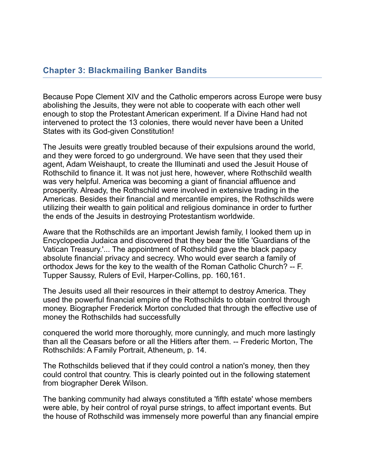# **Chapter 3: Blackmailing Banker Bandits**

Because Pope Clement XIV and the Catholic emperors across Europe were busy abolishing the Jesuits, they were not able to cooperate with each other well enough to stop the Protestant American experiment. If a Divine Hand had not intervened to protect the 13 colonies, there would never have been a United States with its God-given Constitution!

The Jesuits were greatly troubled because of their expulsions around the world, and they were forced to go underground. We have seen that they used their agent, Adam Weishaupt, to create the Illuminati and used the Jesuit House of Rothschild to finance it. It was not just here, however, where Rothschild wealth was very helpful. America was becoming a giant of financial affluence and prosperity. Already, the Rothschild were involved in extensive trading in the Americas. Besides their financial and mercantile empires, the Rothschilds were utilizing their wealth to gain political and religious dominance in order to further the ends of the Jesuits in destroying Protestantism worldwide.

Aware that the Rothschilds are an important Jewish family, I looked them up in Encyclopedia Judaica and discovered that they bear the title 'Guardians of the Vatican Treasury.'... The appointment of Rothschild gave the black papacy absolute financial privacy and secrecy. Who would ever search a family of orthodox Jews for the key to the wealth of the Roman Catholic Church? -- F. Tupper Saussy, Rulers of Evil, Harper-Collins, pp. 160,161.

The Jesuits used all their resources in their attempt to destroy America. They used the powerful financial empire of the Rothschilds to obtain control through money. Biographer Frederick Morton concluded that through the effective use of money the Rothschilds had successfully

conquered the world more thoroughly, more cunningly, and much more lastingly than all the Ceasars before or all the Hitlers after them. -- Frederic Morton, The Rothschilds: A Family Portrait, Atheneum, p. 14.

The Rothschilds believed that if they could control a nation's money, then they could control that country. This is clearly pointed out in the following statement from biographer Derek Wilson.

The banking community had always constituted a 'fifth estate' whose members were able, by heir control of royal purse strings, to affect important events. But the house of Rothschild was immensely more powerful than any financial empire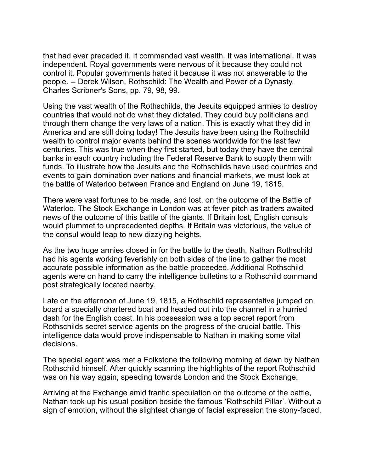that had ever preceded it. It commanded vast wealth. It was international. It was independent. Royal governments were nervous of it because they could not control it. Popular governments hated it because it was not answerable to the people. -- Derek Wilson, Rothschild: The Wealth and Power of a Dynasty, Charles Scribner's Sons, pp. 79, 98, 99.

Using the vast wealth of the Rothschilds, the Jesuits equipped armies to destroy countries that would not do what they dictated. They could buy politicians and through them change the very laws of a nation. This is exactly what they did in America and are still doing today! The Jesuits have been using the Rothschild wealth to control major events behind the scenes worldwide for the last few centuries. This was true when they first started, but today they have the central banks in each country including the Federal Reserve Bank to supply them with funds. To illustrate how the Jesuits and the Rothschilds have used countries and events to gain domination over nations and financial markets, we must look at the battle of Waterloo between France and England on June 19, 1815.

There were vast fortunes to be made, and lost, on the outcome of the Battle of Waterloo. The Stock Exchange in London was at fever pitch as traders awaited news of the outcome of this battle of the giants. If Britain lost, English consuls would plummet to unprecedented depths. If Britain was victorious, the value of the consul would leap to new dizzying heights.

As the two huge armies closed in for the battle to the death, Nathan Rothschild had his agents working feverishly on both sides of the line to gather the most accurate possible information as the battle proceeded. Additional Rothschild agents were on hand to carry the intelligence bulletins to a Rothschild command post strategically located nearby.

Late on the afternoon of June 19, 1815, a Rothschild representative jumped on board a specially chartered boat and headed out into the channel in a hurried dash for the English coast. In his possession was a top secret report from Rothschilds secret service agents on the progress of the crucial battle. This intelligence data would prove indispensable to Nathan in making some vital decisions.

The special agent was met a Folkstone the following morning at dawn by Nathan Rothschild himself. After quickly scanning the highlights of the report Rothschild was on his way again, speeding towards London and the Stock Exchange.

Arriving at the Exchange amid frantic speculation on the outcome of the battle, Nathan took up his usual position beside the famous 'Rothschild Pillar'. Without a sign of emotion, without the slightest change of facial expression the stony-faced,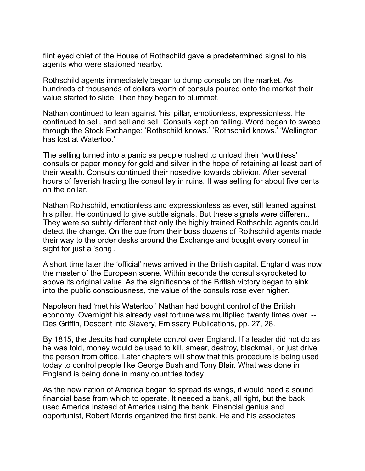flint eyed chief of the House of Rothschild gave a predetermined signal to his agents who were stationed nearby.

Rothschild agents immediately began to dump consuls on the market. As hundreds of thousands of dollars worth of consuls poured onto the market their value started to slide. Then they began to plummet.

Nathan continued to lean against 'his' pillar, emotionless, expressionless. He continued to sell, and sell and sell. Consuls kept on falling. Word began to sweep through the Stock Exchange: 'Rothschild knows.' 'Rothschild knows.' 'Wellington has lost at Waterloo.'

The selling turned into a panic as people rushed to unload their 'worthless' consuls or paper money for gold and silver in the hope of retaining at least part of their wealth. Consuls continued their nosedive towards oblivion. After several hours of feverish trading the consul lay in ruins. It was selling for about five cents on the dollar.

Nathan Rothschild, emotionless and expressionless as ever, still leaned against his pillar. He continued to give subtle signals. But these signals were different. They were so subtly different that only the highly trained Rothschild agents could detect the change. On the cue from their boss dozens of Rothschild agents made their way to the order desks around the Exchange and bought every consul in sight for just a 'song'.

A short time later the 'official' news arrived in the British capital. England was now the master of the European scene. Within seconds the consul skyrocketed to above its original value. As the significance of the British victory began to sink into the public consciousness, the value of the consuls rose ever higher.

Napoleon had 'met his Waterloo.' Nathan had bought control of the British economy. Overnight his already vast fortune was multiplied twenty times over. -- Des Griffin, Descent into Slavery, Emissary Publications, pp. 27, 28.

By 1815, the Jesuits had complete control over England. If a leader did not do as he was told, money would be used to kill, smear, destroy, blackmail, or just drive the person from office. Later chapters will show that this procedure is being used today to control people like George Bush and Tony Blair. What was done in England is being done in many countries today.

As the new nation of America began to spread its wings, it would need a sound financial base from which to operate. It needed a bank, all right, but the back used America instead of America using the bank. Financial genius and opportunist, Robert Morris organized the first bank. He and his associates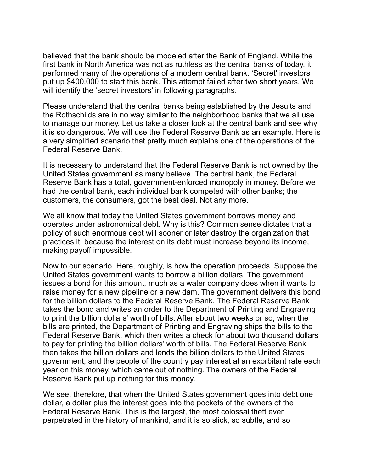believed that the bank should be modeled after the Bank of England. While the first bank in North America was not as ruthless as the central banks of today, it performed many of the operations of a modern central bank. 'Secret' investors put up \$400,000 to start this bank. This attempt failed after two short years. We will identify the 'secret investors' in following paragraphs.

Please understand that the central banks being established by the Jesuits and the Rothschilds are in no way similar to the neighborhood banks that we all use to manage our money. Let us take a closer look at the central bank and see why it is so dangerous. We will use the Federal Reserve Bank as an example. Here is a very simplified scenario that pretty much explains one of the operations of the Federal Reserve Bank.

It is necessary to understand that the Federal Reserve Bank is not owned by the United States government as many believe. The central bank, the Federal Reserve Bank has a total, government-enforced monopoly in money. Before we had the central bank, each individual bank competed with other banks; the customers, the consumers, got the best deal. Not any more.

We all know that today the United States government borrows money and operates under astronomical debt. Why is this? Common sense dictates that a policy of such enormous debt will sooner or later destroy the organization that practices it, because the interest on its debt must increase beyond its income, making payoff impossible.

Now to our scenario. Here, roughly, is how the operation proceeds. Suppose the United States government wants to borrow a billion dollars. The government issues a bond for this amount, much as a water company does when it wants to raise money for a new pipeline or a new dam. The government delivers this bond for the billion dollars to the Federal Reserve Bank. The Federal Reserve Bank takes the bond and writes an order to the Department of Printing and Engraving to print the billion dollars' worth of bills. After about two weeks or so, when the bills are printed, the Department of Printing and Engraving ships the bills to the Federal Reserve Bank, which then writes a check for about two thousand dollars to pay for printing the billion dollars' worth of bills. The Federal Reserve Bank then takes the billion dollars and lends the billion dollars to the United States government, and the people of the country pay interest at an exorbitant rate each year on this money, which came out of nothing. The owners of the Federal Reserve Bank put up nothing for this money.

We see, therefore, that when the United States government goes into debt one dollar, a dollar plus the interest goes into the pockets of the owners of the Federal Reserve Bank. This is the largest, the most colossal theft ever perpetrated in the history of mankind, and it is so slick, so subtle, and so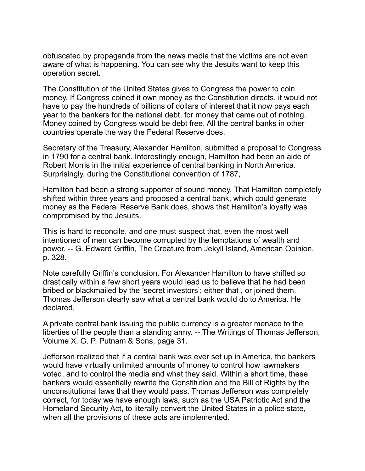obfuscated by propaganda from the news media that the victims are not even aware of what is happening. You can see why the Jesuits want to keep this operation secret.

The Constitution of the United States gives to Congress the power to coin money. If Congress coined it own money as the Constitution directs, it would not have to pay the hundreds of billions of dollars of interest that it now pays each year to the bankers for the national debt, for money that came out of nothing. Money coined by Congress would be debt free. All the central banks in other countries operate the way the Federal Reserve does.

Secretary of the Treasury, Alexander Hamilton, submitted a proposal to Congress in 1790 for a central bank. Interestingly enough, Hamilton had been an aide of Robert Morris in the initial experience of central banking in North America. Surprisingly, during the Constitutional convention of 1787,

Hamilton had been a strong supporter of sound money. That Hamilton completely shifted within three years and proposed a central bank, which could generate money as the Federal Reserve Bank does, shows that Hamilton's loyalty was compromised by the Jesuits.

This is hard to reconcile, and one must suspect that, even the most well intentioned of men can become corrupted by the temptations of wealth and power. -- G. Edward Griffin, The Creature from Jekyll Island, American Opinion, p. 328.

Note carefully Griffin's conclusion. For Alexander Hamilton to have shifted so drastically within a few short years would lead us to believe that he had been bribed or blackmailed by the 'secret investors'; either that , or joined them. Thomas Jefferson clearly saw what a central bank would do to America. He declared,

A private central bank issuing the public currency is a greater menace to the liberties of the people than a standing army. -- The Writings of Thomas Jefferson, Volume X, G. P. Putnam & Sons, page 31.

Jefferson realized that if a central bank was ever set up in America, the bankers would have virtually unlimited amounts of money to control how lawmakers voted, and to control the media and what they said. Within a short time, these bankers would essentially rewrite the Constitution and the Bill of Rights by the unconstitutional laws that they would pass. Thomas Jefferson was completely correct, for today we have enough laws, such as the USA Patriotic Act and the Homeland Security Act, to literally convert the United States in a police state, when all the provisions of these acts are implemented.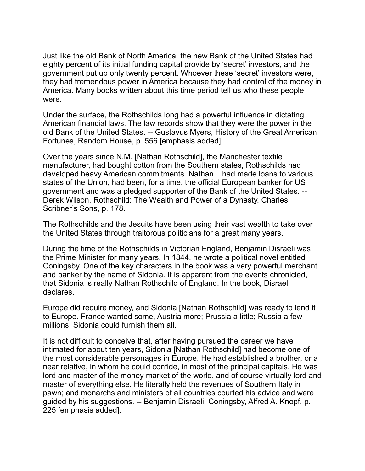Just like the old Bank of North America, the new Bank of the United States had eighty percent of its initial funding capital provide by 'secret' investors, and the government put up only twenty percent. Whoever these 'secret' investors were, they had tremendous power in America because they had control of the money in America. Many books written about this time period tell us who these people were.

Under the surface, the Rothschilds long had a powerful influence in dictating American financial laws. The law records show that they were the power in the old Bank of the United States. -- Gustavus Myers, History of the Great American Fortunes, Random House, p. 556 [emphasis added].

Over the years since N.M. [Nathan Rothschild], the Manchester textile manufacturer, had bought cotton from the Southern states, Rothschilds had developed heavy American commitments. Nathan... had made loans to various states of the Union, had been, for a time, the official European banker for US government and was a pledged supporter of the Bank of the United States. -- Derek Wilson, Rothschild: The Wealth and Power of a Dynasty, Charles Scribner's Sons, p. 178.

The Rothschilds and the Jesuits have been using their vast wealth to take over the United States through traitorous politicians for a great many years.

During the time of the Rothschilds in Victorian England, Benjamin Disraeli was the Prime Minister for many years. In 1844, he wrote a political novel entitled Coningsby. One of the key characters in the book was a very powerful merchant and banker by the name of Sidonia. It is apparent from the events chronicled, that Sidonia is really Nathan Rothschild of England. In the book, Disraeli declares,

Europe did require money, and Sidonia [Nathan Rothschild] was ready to lend it to Europe. France wanted some, Austria more; Prussia a little; Russia a few millions. Sidonia could furnish them all.

It is not difficult to conceive that, after having pursued the career we have intimated for about ten years, Sidonia [Nathan Rothschild] had become one of the most considerable personages in Europe. He had established a brother, or a near relative, in whom he could confide, in most of the principal capitals. He was lord and master of the money market of the world, and of course virtually lord and master of everything else. He literally held the revenues of Southern Italy in pawn; and monarchs and ministers of all countries courted his advice and were guided by his suggestions. -- Benjamin Disraeli, Coningsby, Alfred A. Knopf, p. 225 [emphasis added].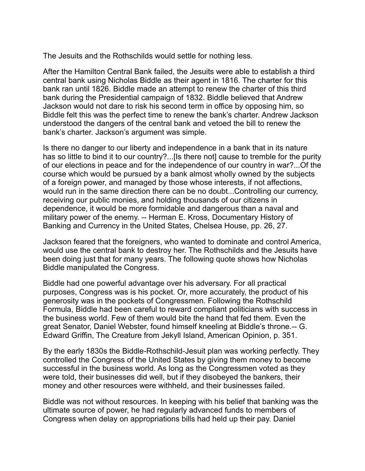The Jesuits and the Rothschilds would settle for nothing less.

After the Hamilton Central Bank failed, the Jesuits were able to establish a third central bank using Nicholas Biddle as their agent in 1816. The charter for this bank ran until 1826. Biddle made an attempt to renew the charter of this third bank during the Presidential campaign of 1832. Biddle believed that Andrew Jackson would not dare to risk his second term in office by opposing him, so Biddle felt this was the perfect time to renew the bank's charter. Andrew Jackson understood the dangers of the central bank and vetoed the bill to renew the bank's charter. Jackson's argument was simple.

Is there no danger to our liberty and independence in a bank that in its nature has so little to bind it to our country?...[Is there not] cause to tremble for the purity of our elections in peace and for the independence of our country in war?...Of the course which would be pursued by a bank almost wholly owned by the subjects of a foreign power, and managed by those whose interests, if not affections, would run in the same direction there can be no doubt...Controlling our currency, receiving our public monies, and holding thousands of our citizens in dependence, it would be more formidable and dangerous than a naval and military power of the enemy. -- Herman E. Kross, Documentary History of Banking and Currency in the United States, Chelsea House, pp. 26, 27.

Jackson feared that the foreigners, who wanted to dominate and control America, would use the central bank to destroy her. The Rothschilds and the Jesuits have been doing just that for many years. The following quote shows how Nicholas Biddle manipulated the Congress.

Biddle had one powerful advantage over his adversary. For all practical purposes, Congress was is his pocket. Or, more accurately, the product of his generosity was in the pockets of Congressmen. Following the Rothschild Formula, Biddle had been careful to reward compliant politicians with success in the business world. Few of them would bite the hand that fed them. Even the great Senator, Daniel Webster, found himself kneeling at Biddle's throne.-- G. Edward Griffin, The Creature from Jekyll Island, American Opinion, p. 351.

By the early 1830s the Biddle-Rothschild-Jesuit plan was working perfectly. They controlled the Congress of the United States by giving them money to become successful in the business world. As long as the Congressmen voted as they were told, their businesses did well, but if they disobeyed the bankers, their money and other resources were withheld, and their businesses failed.

Biddle was not without resources. In keeping with his belief that banking was the ultimate source of power, he had regularly advanced funds to members of Congress when delay on appropriations bills had held up their pay. Daniel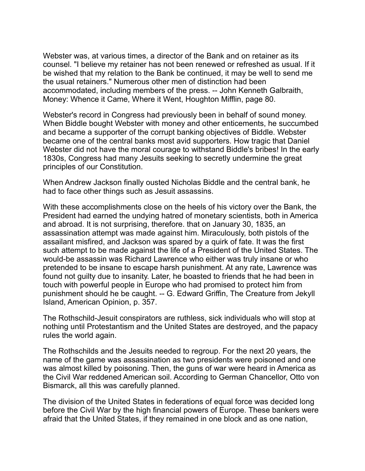Webster was, at various times, a director of the Bank and on retainer as its counsel. "I believe my retainer has not been renewed or refreshed as usual. If it be wished that my relation to the Bank be continued, it may be well to send me the usual retainers." Numerous other men of distinction had been accommodated, including members of the press. -- John Kenneth Galbraith, Money: Whence it Came, Where it Went, Houghton Mifflin, page 80.

Webster's record in Congress had previously been in behalf of sound money. When Biddle bought Webster with money and other enticements, he succumbed and became a supporter of the corrupt banking objectives of Biddle. Webster became one of the central banks most avid supporters. How tragic that Daniel Webster did not have the moral courage to withstand Biddle's bribes! In the early 1830s, Congress had many Jesuits seeking to secretly undermine the great principles of our Constitution.

When Andrew Jackson finally ousted Nicholas Biddle and the central bank, he had to face other things such as Jesuit assassins.

With these accomplishments close on the heels of his victory over the Bank, the President had earned the undying hatred of monetary scientists, both in America and abroad. It is not surprising, therefore. that on January 30, 1835, an assassination attempt was made against him. Miraculously, both pistols of the assailant misfired, and Jackson was spared by a quirk of fate. It was the first such attempt to be made against the life of a President of the United States. The would-be assassin was Richard Lawrence who either was truly insane or who pretended to be insane to escape harsh punishment. At any rate, Lawrence was found not guilty due to insanity. Later, he boasted to friends that he had been in touch with powerful people in Europe who had promised to protect him from punishment should he be caught. -- G. Edward Griffin, The Creature from Jekyll Island, American Opinion, p. 357.

The Rothschild-Jesuit conspirators are ruthless, sick individuals who will stop at nothing until Protestantism and the United States are destroyed, and the papacy rules the world again.

The Rothschilds and the Jesuits needed to regroup. For the next 20 years, the name of the game was assassination as two presidents were poisoned and one was almost killed by poisoning. Then, the guns of war were heard in America as the Civil War reddened American soil. According to German Chancellor, Otto von Bismarck, all this was carefully planned.

The division of the United States in federations of equal force was decided long before the Civil War by the high financial powers of Europe. These bankers were afraid that the United States, if they remained in one block and as one nation,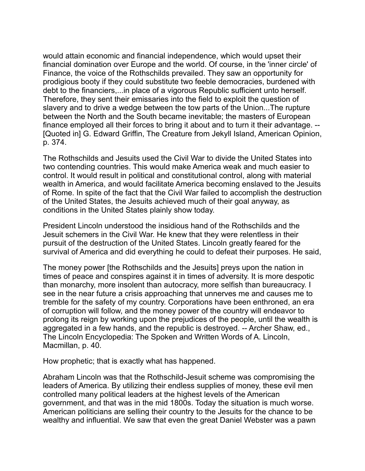would attain economic and financial independence, which would upset their financial domination over Europe and the world. Of course, in the 'inner circle' of Finance, the voice of the Rothschilds prevailed. They saw an opportunity for prodigious booty if they could substitute two feeble democracies, burdened with debt to the financiers,...in place of a vigorous Republic sufficient unto herself. Therefore, they sent their emissaries into the field to exploit the question of slavery and to drive a wedge between the tow parts of the Union...The rupture between the North and the South became inevitable; the masters of European finance employed all their forces to bring it about and to turn it their advantage. -- [Quoted in] G. Edward Griffin, The Creature from Jekyll Island, American Opinion, p. 374.

The Rothschilds and Jesuits used the Civil War to divide the United States into two contending countries. This would make America weak and much easier to control. It would result in political and constitutional control, along with material wealth in America, and would facilitate America becoming enslaved to the Jesuits of Rome. In spite of the fact that the Civil War failed to accomplish the destruction of the United States, the Jesuits achieved much of their goal anyway, as conditions in the United States plainly show today.

President Lincoln understood the insidious hand of the Rothschilds and the Jesuit schemers in the Civil War. He knew that they were relentless in their pursuit of the destruction of the United States. Lincoln greatly feared for the survival of America and did everything he could to defeat their purposes. He said,

The money power [the Rothschilds and the Jesuits] preys upon the nation in times of peace and conspires against it in times of adversity. It is more despotic than monarchy, more insolent than autocracy, more selfish than bureaucracy. I see in the near future a crisis approaching that unnerves me and causes me to tremble for the safety of my country. Corporations have been enthroned, an era of corruption will follow, and the money power of the country will endeavor to prolong its reign by working upon the prejudices of the people, until the wealth is aggregated in a few hands, and the republic is destroyed. -- Archer Shaw, ed., The Lincoln Encyclopedia: The Spoken and Written Words of A. Lincoln, Macmillan, p. 40.

How prophetic; that is exactly what has happened.

Abraham Lincoln was that the Rothschild-Jesuit scheme was compromising the leaders of America. By utilizing their endless supplies of money, these evil men controlled many political leaders at the highest levels of the American government, and that was in the mid 1800s. Today the situation is much worse. American politicians are selling their country to the Jesuits for the chance to be wealthy and influential. We saw that even the great Daniel Webster was a pawn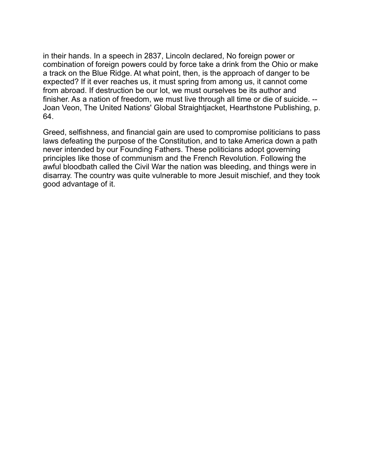in their hands. In a speech in 2837, Lincoln declared, No foreign power or combination of foreign powers could by force take a drink from the Ohio or make a track on the Blue Ridge. At what point, then, is the approach of danger to be expected? If it ever reaches us, it must spring from among us, it cannot come from abroad. If destruction be our lot, we must ourselves be its author and finisher. As a nation of freedom, we must live through all time or die of suicide. -- Joan Veon, The United Nations' Global Straightjacket, Hearthstone Publishing, p. 64.

Greed, selfishness, and financial gain are used to compromise politicians to pass laws defeating the purpose of the Constitution, and to take America down a path never intended by our Founding Fathers. These politicians adopt governing principles like those of communism and the French Revolution. Following the awful bloodbath called the Civil War the nation was bleeding, and things were in disarray. The country was quite vulnerable to more Jesuit mischief, and they took good advantage of it.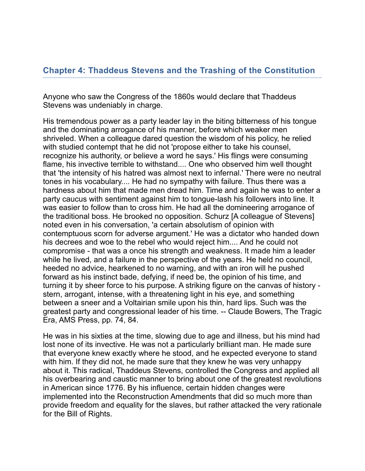# **Chapter 4: Thaddeus Stevens and the Trashing of the Constitution**

Anyone who saw the Congress of the 1860s would declare that Thaddeus Stevens was undeniably in charge.

His tremendous power as a party leader lay in the biting bitterness of his tongue and the dominating arrogance of his manner, before which weaker men shriveled. When a colleague dared question the wisdom of his policy, he relied with studied contempt that he did not 'propose either to take his counsel, recognize his authority, or believe a word he says.' His flings were consuming flame, his invective terrible to withstand.... One who observed him well thought that 'the intensity of his hatred was almost next to infernal.' There were no neutral tones in his vocabulary.... He had no sympathy with failure. Thus there was a hardness about him that made men dread him. Time and again he was to enter a party caucus with sentiment against him to tongue-lash his followers into line. It was easier to follow than to cross him. He had all the domineering arrogance of the traditional boss. He brooked no opposition. Schurz [A colleague of Stevens] noted even in his conversation, 'a certain absolutism of opinion with contemptuous scorn for adverse argument.' He was a dictator who handed down his decrees and woe to the rebel who would reject him.... And he could not compromise - that was a once his strength and weakness. It made him a leader while he lived, and a failure in the perspective of the years. He held no council, heeded no advice, hearkened to no warning, and with an iron will he pushed forward as his instinct bade, defying, if need be, the opinion of his time, and turning it by sheer force to his purpose. A striking figure on the canvas of history stern, arrogant, intense, with a threatening light in his eye, and something between a sneer and a Voltairian smile upon his thin, hard lips. Such was the greatest party and congressional leader of his time. -- Claude Bowers, The Tragic Era, AMS Press, pp. 74, 84.

He was in his sixties at the time, slowing due to age and illness, but his mind had lost none of its invective. He was not a particularly brilliant man. He made sure that everyone knew exactly where he stood, and he expected everyone to stand with him. If they did not, he made sure that they knew he was very unhappy about it. This radical, Thaddeus Stevens, controlled the Congress and applied all his overbearing and caustic manner to bring about one of the greatest revolutions in American since 1776. By his influence, certain hidden changes were implemented into the Reconstruction Amendments that did so much more than provide freedom and equality for the slaves, but rather attacked the very rationale for the Bill of Rights.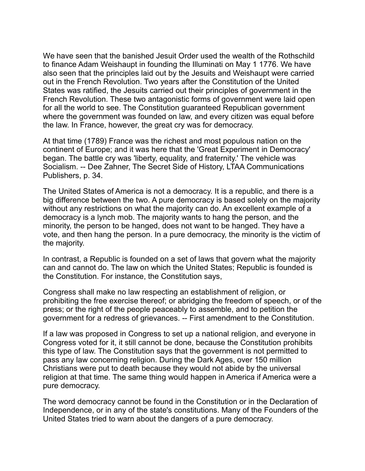We have seen that the banished Jesuit Order used the wealth of the Rothschild to finance Adam Weishaupt in founding the Illuminati on May 1 1776. We have also seen that the principles laid out by the Jesuits and Weishaupt were carried out in the French Revolution. Two years after the Constitution of the United States was ratified, the Jesuits carried out their principles of government in the French Revolution. These two antagonistic forms of government were laid open for all the world to see. The Constitution guaranteed Republican government where the government was founded on law, and every citizen was equal before the law. In France, however, the great cry was for democracy.

At that time (1789) France was the richest and most populous nation on the continent of Europe; and it was here that the 'Great Experiment in Democracy' began. The battle cry was 'liberty, equality, and fraternity.' The vehicle was Socialism. -- Dee Zahner, The Secret Side of History, LTAA Communications Publishers, p. 34.

The United States of America is not a democracy. It is a republic, and there is a big difference between the two. A pure democracy is based solely on the majority without any restrictions on what the majority can do. An excellent example of a democracy is a lynch mob. The majority wants to hang the person, and the minority, the person to be hanged, does not want to be hanged. They have a vote, and then hang the person. In a pure democracy, the minority is the victim of the majority.

In contrast, a Republic is founded on a set of laws that govern what the majority can and cannot do. The law on which the United States; Republic is founded is the Constitution. For instance, the Constitution says,

Congress shall make no law respecting an establishment of religion, or prohibiting the free exercise thereof; or abridging the freedom of speech, or of the press; or the right of the people peaceably to assemble, and to petition the government for a redress of grievances. -- First amendment to the Constitution.

If a law was proposed in Congress to set up a national religion, and everyone in Congress voted for it, it still cannot be done, because the Constitution prohibits this type of law. The Constitution says that the government is not permitted to pass any law concerning religion. During the Dark Ages, over 150 million Christians were put to death because they would not abide by the universal religion at that time. The same thing would happen in America if America were a pure democracy.

The word democracy cannot be found in the Constitution or in the Declaration of Independence, or in any of the state's constitutions. Many of the Founders of the United States tried to warn about the dangers of a pure democracy.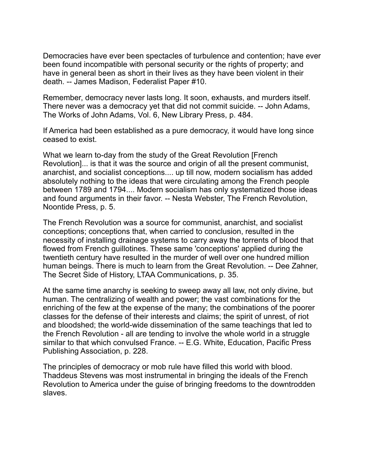Democracies have ever been spectacles of turbulence and contention; have ever been found incompatible with personal security or the rights of property; and have in general been as short in their lives as they have been violent in their death. -- James Madison, Federalist Paper #10.

Remember, democracy never lasts long. It soon, exhausts, and murders itself. There never was a democracy yet that did not commit suicide. -- John Adams, The Works of John Adams, Vol. 6, New Library Press, p. 484.

If America had been established as a pure democracy, it would have long since ceased to exist.

What we learn to-day from the study of the Great Revolution [French Revolution]... is that it was the source and origin of all the present communist, anarchist, and socialist conceptions.... up till now, modern socialism has added absolutely nothing to the ideas that were circulating among the French people between 1789 and 1794.... Modern socialism has only systematized those ideas and found arguments in their favor. -- Nesta Webster, The French Revolution, Noontide Press, p. 5.

The French Revolution was a source for communist, anarchist, and socialist conceptions; conceptions that, when carried to conclusion, resulted in the necessity of installing drainage systems to carry away the torrents of blood that flowed from French guillotines. These same 'conceptions' applied during the twentieth century have resulted in the murder of well over one hundred million human beings. There is much to learn from the Great Revolution. -- Dee Zahner, The Secret Side of History, LTAA Communications, p. 35.

At the same time anarchy is seeking to sweep away all law, not only divine, but human. The centralizing of wealth and power; the vast combinations for the enriching of the few at the expense of the many; the combinations of the poorer classes for the defense of their interests and claims; the spirit of unrest, of riot and bloodshed; the world-wide dissemination of the same teachings that led to the French Revolution - all are tending to involve the whole world in a struggle similar to that which convulsed France. -- E.G. White, Education, Pacific Press Publishing Association, p. 228.

The principles of democracy or mob rule have filled this world with blood. Thaddeus Stevens was most instrumental in bringing the ideals of the French Revolution to America under the guise of bringing freedoms to the downtrodden slaves.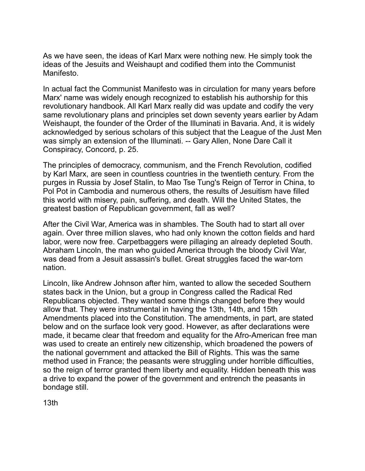As we have seen, the ideas of Karl Marx were nothing new. He simply took the ideas of the Jesuits and Weishaupt and codified them into the Communist Manifesto.

In actual fact the Communist Manifesto was in circulation for many years before Marx' name was widely enough recognized to establish his authorship for this revolutionary handbook. All Karl Marx really did was update and codify the very same revolutionary plans and principles set down seventy years earlier by Adam Weishaupt, the founder of the Order of the Illuminati in Bavaria. And, it is widely acknowledged by serious scholars of this subject that the League of the Just Men was simply an extension of the Illuminati. -- Gary Allen, None Dare Call it Conspiracy, Concord, p. 25.

The principles of democracy, communism, and the French Revolution, codified by Karl Marx, are seen in countless countries in the twentieth century. From the purges in Russia by Josef Stalin, to Mao Tse Tung's Reign of Terror in China, to Pol Pot in Cambodia and numerous others, the results of Jesuitism have filled this world with misery, pain, suffering, and death. Will the United States, the greatest bastion of Republican government, fall as well?

After the Civil War, America was in shambles. The South had to start all over again. Over three million slaves, who had only known the cotton fields and hard labor, were now free. Carpetbaggers were pillaging an already depleted South. Abraham Lincoln, the man who guided America through the bloody Civil War, was dead from a Jesuit assassin's bullet. Great struggles faced the war-torn nation.

Lincoln, like Andrew Johnson after him, wanted to allow the seceded Southern states back in the Union, but a group in Congress called the Radical Red Republicans objected. They wanted some things changed before they would allow that. They were instrumental in having the 13th, 14th, and 15th Amendments placed into the Constitution. The amendments, in part, are stated below and on the surface look very good. However, as after declarations were made, it became clear that freedom and equality for the Afro-American free man was used to create an entirely new citizenship, which broadened the powers of the national government and attacked the Bill of Rights. This was the same method used in France; the peasants were struggling under horrible difficulties, so the reign of terror granted them liberty and equality. Hidden beneath this was a drive to expand the power of the government and entrench the peasants in bondage still.

13th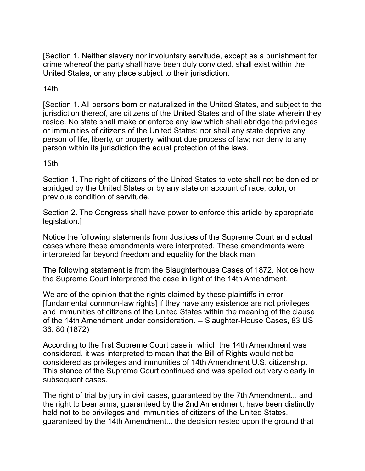[Section 1. Neither slavery nor involuntary servitude, except as a punishment for crime whereof the party shall have been duly convicted, shall exist within the United States, or any place subject to their jurisdiction.

### 14th

[Section 1. All persons born or naturalized in the United States, and subject to the jurisdiction thereof, are citizens of the United States and of the state wherein they reside. No state shall make or enforce any law which shall abridge the privileges or immunities of citizens of the United States; nor shall any state deprive any person of life, liberty, or property, without due process of law; nor deny to any person within its jurisdiction the equal protection of the laws.

#### 15th

Section 1. The right of citizens of the United States to vote shall not be denied or abridged by the United States or by any state on account of race, color, or previous condition of servitude.

Section 2. The Congress shall have power to enforce this article by appropriate legislation.]

Notice the following statements from Justices of the Supreme Court and actual cases where these amendments were interpreted. These amendments were interpreted far beyond freedom and equality for the black man.

The following statement is from the Slaughterhouse Cases of 1872. Notice how the Supreme Court interpreted the case in light of the 14th Amendment.

We are of the opinion that the rights claimed by these plaintiffs in error [fundamental common-law rights] if they have any existence are not privileges and immunities of citizens of the United States within the meaning of the clause of the 14th Amendment under consideration. -- Slaughter-House Cases, 83 US 36, 80 (1872)

According to the first Supreme Court case in which the 14th Amendment was considered, it was interpreted to mean that the Bill of Rights would not be considered as privileges and immunities of 14th Amendment U.S. citizenship. This stance of the Supreme Court continued and was spelled out very clearly in subsequent cases.

The right of trial by jury in civil cases, guaranteed by the 7th Amendment... and the right to bear arms, guaranteed by the 2nd Amendment, have been distinctly held not to be privileges and immunities of citizens of the United States, guaranteed by the 14th Amendment... the decision rested upon the ground that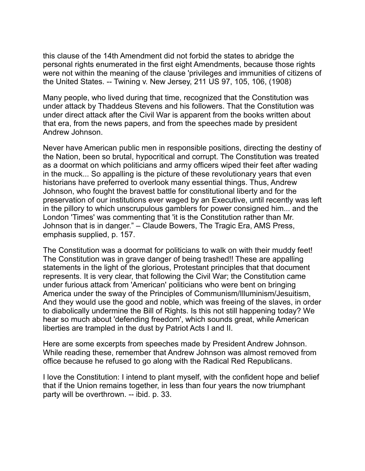this clause of the 14th Amendment did not forbid the states to abridge the personal rights enumerated in the first eight Amendments, because those rights were not within the meaning of the clause 'privileges and immunities of citizens of the United States. -- Twining v. New Jersey, 211 US 97, 105, 106, (1908)

Many people, who lived during that time, recognized that the Constitution was under attack by Thaddeus Stevens and his followers. That the Constitution was under direct attack after the Civil War is apparent from the books written about that era, from the news papers, and from the speeches made by president Andrew Johnson.

Never have American public men in responsible positions, directing the destiny of the Nation, been so brutal, hypocritical and corrupt. The Constitution was treated as a doormat on which politicians and army officers wiped their feet after wading in the muck... So appalling is the picture of these revolutionary years that even historians have preferred to overlook many essential things. Thus, Andrew Johnson, who fought the bravest battle for constitutional liberty and for the preservation of our institutions ever waged by an Executive, until recently was left in the pillory to which unscrupulous gamblers for power consigned him... and the London 'Times' was commenting that 'it is the Constitution rather than Mr. Johnson that is in danger." – Claude Bowers, The Tragic Era, AMS Press, emphasis supplied, p. 157.

The Constitution was a doormat for politicians to walk on with their muddy feet! The Constitution was in grave danger of being trashed!! These are appalling statements in the light of the glorious, Protestant principles that that document represents. It is very clear, that following the Civil War; the Constitution came under furious attack from 'American' politicians who were bent on bringing America under the sway of the Principles of Communism/Illuminism/Jesuitism, And they would use the good and noble, which was freeing of the slaves, in order to diabolically undermine the Bill of Rights. Is this not still happening today? We hear so much about 'defending freedom', which sounds great, while American liberties are trampled in the dust by Patriot Acts I and II.

Here are some excerpts from speeches made by President Andrew Johnson. While reading these, remember that Andrew Johnson was almost removed from office because he refused to go along with the Radical Red Republicans.

I love the Constitution: I intend to plant myself, with the confident hope and belief that if the Union remains together, in less than four years the now triumphant party will be overthrown. -- ibid. p. 33.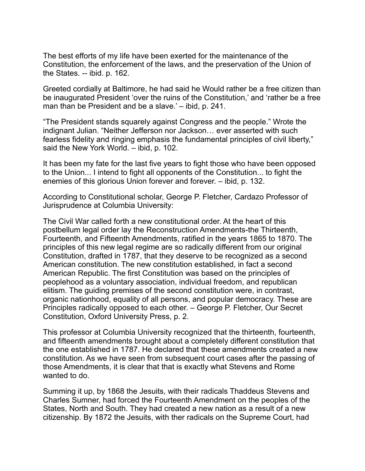The best efforts of my life have been exerted for the maintenance of the Constitution, the enforcement of the laws, and the preservation of the Union of the States. -- ibid. p. 162.

Greeted cordially at Baltimore, he had said he Would rather be a free citizen than be inaugurated President 'over the ruins of the Constitution,' and 'rather be a free man than be President and be a slave.' – ibid, p. 241.

"The President stands squarely against Congress and the people." Wrote the indignant Julian. "Neither Jefferson nor Jackson… ever asserted with such fearless fidelity and ringing emphasis the fundamental principles of civil liberty," said the New York World. – ibid, p. 102.

It has been my fate for the last five years to fight those who have been opposed to the Union... I intend to fight all opponents of the Constitution... to fight the enemies of this glorious Union forever and forever. – ibid, p. 132.

According to Constitutional scholar, George P. Fletcher, Cardazo Professor of Jurisprudence at Columbia University:

The Civil War called forth a new constitutional order. At the heart of this postbellum legal order lay the Reconstruction Amendments-the Thirteenth, Fourteenth, and Fifteenth Amendments, ratified in the years 1865 to 1870. The principles of this new legal regime are so radically different from our original Constitution, drafted in 1787, that they deserve to be recognized as a second American constitution. The new constitution established, in fact a second American Republic. The first Constitution was based on the principles of peoplehood as a voluntary association, individual freedom, and republican elitism. The guiding premises of the second constitution were, in contrast, organic nationhood, equality of all persons, and popular democracy. These are Principles radically opposed to each other. – George P. Fletcher, Our Secret Constitution, Oxford University Press, p. 2.

This professor at Columbia University recognized that the thirteenth, fourteenth, and fifteenth amendments brought about a completely different constitution that the one established in 1787. He declared that these amendments created a new constitution. As we have seen from subsequent court cases after the passing of those Amendments, it is clear that that is exactly what Stevens and Rome wanted to do.

Summing it up, by 1868 the Jesuits, with their radicals Thaddeus Stevens and Charles Sumner, had forced the Fourteenth Amendment on the peoples of the States, North and South. They had created a new nation as a result of a new citizenship. By 1872 the Jesuits, with ther radicals on the Supreme Court, had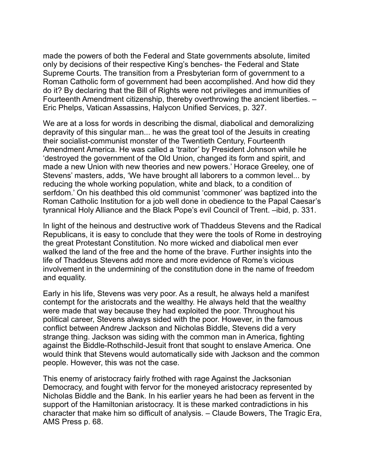made the powers of both the Federal and State governments absolute, limited only by decisions of their respective King's benches- the Federal and State Supreme Courts. The transition from a Presbyterian form of government to a Roman Catholic form of government had been accomplished. And how did they do it? By declaring that the Bill of Rights were not privileges and immunities of Fourteenth Amendment citizenship, thereby overthrowing the ancient liberties. – Eric Phelps, Vatican Assassins, Halycon Unified Services, p. 327.

We are at a loss for words in describing the dismal, diabolical and demoralizing depravity of this singular man... he was the great tool of the Jesuits in creating their socialist-communist monster of the Twentieth Century, Fourteenth Amendment America. He was called a 'traitor' by President Johnson while he 'destroyed the government of the Old Union, changed its form and spirit, and made a new Union with new theories and new powers.' Horace Greeley, one of Stevens' masters, adds, 'We have brought all laborers to a common level... by reducing the whole working population, white and black, to a condition of serfdom.' On his deathbed this old communist 'commoner' was baptized into the Roman Catholic Institution for a job well done in obedience to the Papal Caesar's tyrannical Holy Alliance and the Black Pope's evil Council of Trent. –ibid, p. 331.

In light of the heinous and destructive work of Thaddeus Stevens and the Radical Republicans, it is easy to conclude that they were the tools of Rome in destroying the great Protestant Constitution. No more wicked and diabolical men ever walked the land of the free and the home of the brave. Further insights into the life of Thaddeus Stevens add more and more evidence of Rome's vicious involvement in the undermining of the constitution done in the name of freedom and equality.

Early in his life, Stevens was very poor. As a result, he always held a manifest contempt for the aristocrats and the wealthy. He always held that the wealthy were made that way because they had exploited the poor. Throughout his political career, Stevens always sided with the poor. However, in the famous conflict between Andrew Jackson and Nicholas Biddle, Stevens did a very strange thing. Jackson was siding with the common man in America, fighting against the Biddle-Rothschild-Jesuit front that sought to enslave America. One would think that Stevens would automatically side with Jackson and the common people. However, this was not the case.

This enemy of aristocracy fairly frothed with rage Against the Jacksonian Democracy, and fought with fervor for the moneyed aristocracy represented by Nicholas Biddle and the Bank. In his earlier years he had been as fervent in the support of the Hamiltonian aristocracy. It is these marked contradictions in his character that make him so difficult of analysis. – Claude Bowers, The Tragic Era, AMS Press p. 68.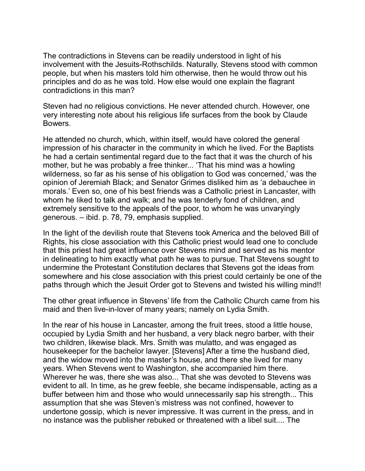The contradictions in Stevens can be readily understood in light of his involvement with the Jesuits-Rothschilds. Naturally, Stevens stood with common people, but when his masters told him otherwise, then he would throw out his principles and do as he was told. How else would one explain the flagrant contradictions in this man?

Steven had no religious convictions. He never attended church. However, one very interesting note about his religious life surfaces from the book by Claude Bowers.

He attended no church, which, within itself, would have colored the general impression of his character in the community in which he lived. For the Baptists he had a certain sentimental regard due to the fact that it was the church of his mother, but he was probably a free thinker... 'That his mind was a howling wilderness, so far as his sense of his obligation to God was concerned,' was the opinion of Jeremiah Black; and Senator Grimes disliked him as 'a debauchee in morals.' Even so, one of his best friends was a Catholic priest in Lancaster, with whom he liked to talk and walk; and he was tenderly fond of children, and extremely sensitive to the appeals of the poor, to whom he was unvaryingly generous. – ibid. p. 78, 79, emphasis supplied.

In the light of the devilish route that Stevens took America and the beloved Bill of Rights, his close association with this Catholic priest would lead one to conclude that this priest had great influence over Stevens mind and served as his mentor in delineating to him exactly what path he was to pursue. That Stevens sought to undermine the Protestant Constitution declares that Stevens got the ideas from somewhere and his close association with this priest could certainly be one of the paths through which the Jesuit Order got to Stevens and twisted his willing mind!!

The other great influence in Stevens' life from the Catholic Church came from his maid and then live-in-lover of many years; namely on Lydia Smith.

In the rear of his house in Lancaster, among the fruit trees, stood a little house, occupied by Lydia Smith and her husband, a very black negro barber, with their two children, likewise black. Mrs. Smith was mulatto, and was engaged as housekeeper for the bachelor lawyer. [Stevens] After a time the husband died, and the widow moved into the master's house, and there she lived for many years. When Stevens went to Washington, she accompanied him there. Wherever he was, there she was also... That she was devoted to Stevens was evident to all. In time, as he grew feeble, she became indispensable, acting as a buffer between him and those who would unnecessarily sap his strength... This assumption that she was Steven's mistress was not confined, however to undertone gossip, which is never impressive. It was current in the press, and in no instance was the publisher rebuked or threatened with a libel suit.... The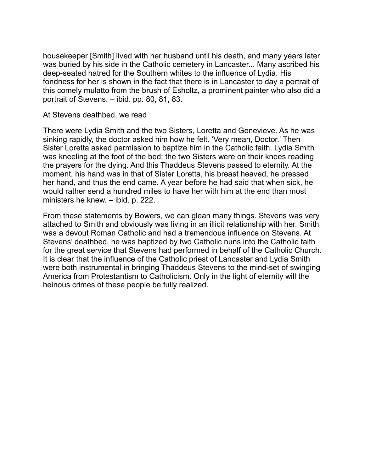housekeeper [Smith] lived with her husband until his death, and many years later was buried by his side in the Catholic cemetery in Lancaster... Many ascribed his deep-seated hatred for the Southern whites to the influence of Lydia. His fondness for her is shown in the fact that there is in Lancaster to day a portrait of this comely mulatto from the brush of Esholtz, a prominent painter who also did a portrait of Stevens. – ibid. pp. 80, 81, 83.

At Stevens deathbed, we read

There were Lydia Smith and the two Sisters, Loretta and Genevieve. As he was sinking rapidly, the doctor asked him how he felt. 'Very mean, Doctor.' Then Sister Loretta asked permission to baptize him in the Catholic faith. Lydia Smith was kneeling at the foot of the bed; the two Sisters were on their knees reading the prayers for the dying. And this Thaddeus Stevens passed to eternity. At the moment, his hand was in that of Sister Loretta, his breast heaved, he pressed her hand, and thus the end came. A year before he had said that when sick, he would rather send a hundred miles to have her with him at the end than most ministers he knew. – ibid. p. 222.

From these statements by Bowers, we can glean many things. Stevens was very attached to Smith and obviously was living in an illicit relationship with her. Smith was a devout Roman Catholic and had a tremendous influence on Stevens. At Stevens' deathbed, he was baptized by two Catholic nuns into the Catholic faith for the great service that Stevens had performed in behalf of the Catholic Church. It is clear that the influence of the Catholic priest of Lancaster and Lydia Smith were both instrumental in bringing Thaddeus Stevens to the mind-set of swinging America from Protestantism to Catholicism. Only in the light of eternity will the heinous crimes of these people be fully realized.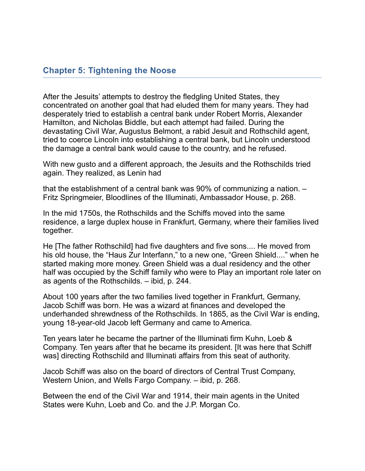## **Chapter 5: Tightening the Noose**

After the Jesuits' attempts to destroy the fledgling United States, they concentrated on another goal that had eluded them for many years. They had desperately tried to establish a central bank under Robert Morris, Alexander Hamilton, and Nicholas Biddle, but each attempt had failed. During the devastating Civil War, Augustus Belmont, a rabid Jesuit and Rothschild agent, tried to coerce Lincoln into establishing a central bank, but Lincoln understood the damage a central bank would cause to the country, and he refused.

With new gusto and a different approach, the Jesuits and the Rothschilds tried again. They realized, as Lenin had

that the establishment of a central bank was 90% of communizing a nation. – Fritz Springmeier, Bloodlines of the Illuminati, Ambassador House, p. 268.

In the mid 1750s, the Rothschilds and the Schiffs moved into the same residence, a large duplex house in Frankfurt, Germany, where their families lived together.

He [The father Rothschild] had five daughters and five sons.... He moved from his old house, the "Haus Zur Interfann," to a new one, "Green Shield...." when he started making more money. Green Shield was a dual residency and the other half was occupied by the Schiff family who were to Play an important role later on as agents of the Rothschilds. – ibid, p. 244.

About 100 years after the two families lived together in Frankfurt, Germany, Jacob Schiff was born. He was a wizard at finances and developed the underhanded shrewdness of the Rothschilds. In 1865, as the Civil War is ending, young 18-year-old Jacob left Germany and came to America.

Ten years later he became the partner of the Illuminati firm Kuhn, Loeb & Company. Ten years after that he became its president. [It was here that Schiff was] directing Rothschild and Illuminati affairs from this seat of authority.

Jacob Schiff was also on the board of directors of Central Trust Company, Western Union, and Wells Fargo Company. – ibid, p. 268.

Between the end of the Civil War and 1914, their main agents in the United States were Kuhn, Loeb and Co. and the J.P. Morgan Co.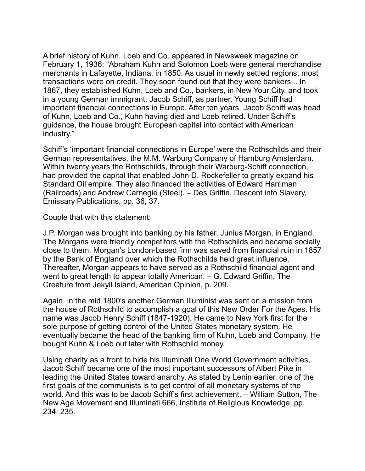A brief history of Kuhn, Loeb and Co. appeared in Newsweek magazine on February 1, 1936: "Abraham Kuhn and Solomon Loeb were general merchandise merchants in Lafayette, Indiana, in 1850. As usual in newly settled regions, most transactions were on credit. They soon found out that they were bankers... In 1867, they established Kuhn, Loeb and Co., bankers, in New Your City, and took in a young German immigrant, Jacob Schiff, as partner. Young Schiff had important financial connections in Europe. After ten years, Jacob Schiff was head of Kuhn, Loeb and Co., Kuhn having died and Loeb retired. Under Schiff's guidance, the house brought European capital into contact with American industry."

Schiff's 'important financial connections in Europe' were the Rothschilds and their German representatives, the M.M. Warburg Company of Hamburg Amsterdam. Within twenty years the Rothschilds, through their Warburg-Schiff connection, had provided the capital that enabled John D. Rockefeller to greatly expand his Standard Oil empire. They also financed the activities of Edward Harriman (Railroads) and Andrew Carnegie (Steel). – Des Griffin, Descent into Slavery, Emissary Publications, pp. 36, 37.

Couple that with this statement:

J.P. Morgan was brought into banking by his father, Junius Morgan, in England. The Morgans were friendly competitors with the Rothschilds and became socially close to them. Morgan's London-based firm was saved from financial ruin in 1857 by the Bank of England over which the Rothschilds held great influence. Thereafter, Morgan appears to have served as a Rothschild financial agent and went to great length to appear totally American. – G. Edward Griffin, The Creature from Jekyll Island, American Opinion, p. 209.

Again, in the mid 1800's another German Illuminist was sent on a mission from the house of Rothschild to accomplish a goal of this New Order For the Ages. His name was Jacob Henry Schiff (1847-1920). He came to New York first for the sole purpose of getting control of the United States monetary system. He eventually became the head of the banking firm of Kuhn, Loeb and Company. He bought Kuhn & Loeb out later with Rothschild money.

Using charity as a front to hide his Illuminati One World Government activities, Jacob Schiff became one of the most important successors of Albert Pike in leading the United States toward anarchy. As stated by Lenin earlier, one of the first goals of the communists is to get control of all monetary systems of the world. And this was to be Jacob Schiff's first achievement. – William Sutton, The New Age Movement and Illuminati 666, Institute of Religious Knowledge, pp. 234, 235.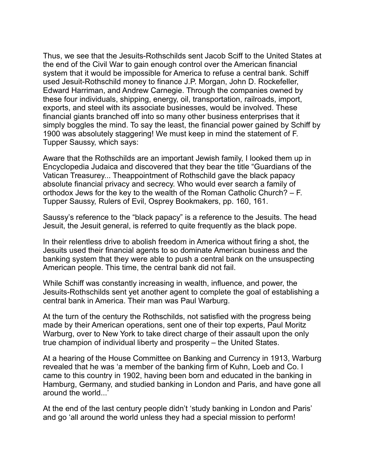Thus, we see that the Jesuits-Rothschilds sent Jacob Sciff to the United States at the end of the Civil War to gain enough control over the American financial system that it would be impossible for America to refuse a central bank. Schiff used Jesuit-Rothschild money to finance J.P. Morgan, John D. Rockefeller, Edward Harriman, and Andrew Carnegie. Through the companies owned by these four individuals, shipping, energy, oil, transportation, railroads, import, exports, and steel with its associate businesses, would be involved. These financial giants branched off into so many other business enterprises that it simply boggles the mind. To say the least, the financial power gained by Schiff by 1900 was absolutely staggering! We must keep in mind the statement of F. Tupper Saussy, which says:

Aware that the Rothschilds are an important Jewish family, I looked them up in Encyclopedia Judaica and discovered that they bear the title "Guardians of the Vatican Treasurey... Theappointment of Rothschild gave the black papacy absolute financial privacy and secrecy. Who would ever search a family of orthodox Jews for the key to the wealth of the Roman Catholic Church? – F. Tupper Saussy, Rulers of Evil, Osprey Bookmakers, pp. 160, 161.

Saussy's reference to the "black papacy" is a reference to the Jesuits. The head Jesuit, the Jesuit general, is referred to quite frequently as the black pope.

In their relentless drive to abolish freedom in America without firing a shot, the Jesuits used their financial agents to so dominate American business and the banking system that they were able to push a central bank on the unsuspecting American people. This time, the central bank did not fail.

While Schiff was constantly increasing in wealth, influence, and power, the Jesuits-Rothschilds sent yet another agent to complete the goal of establishing a central bank in America. Their man was Paul Warburg.

At the turn of the century the Rothschilds, not satisfied with the progress being made by their American operations, sent one of their top experts, Paul Moritz Warburg, over to New York to take direct charge of their assault upon the only true champion of individual liberty and prosperity – the United States.

At a hearing of the House Committee on Banking and Currency in 1913, Warburg revealed that he was 'a member of the banking firm of Kuhn, Loeb and Co. I came to this country in 1902, having been born and educated in the banking in Hamburg, Germany, and studied banking in London and Paris, and have gone all around the world...'

At the end of the last century people didn't 'study banking in London and Paris' and go 'all around the world unless they had a special mission to perform!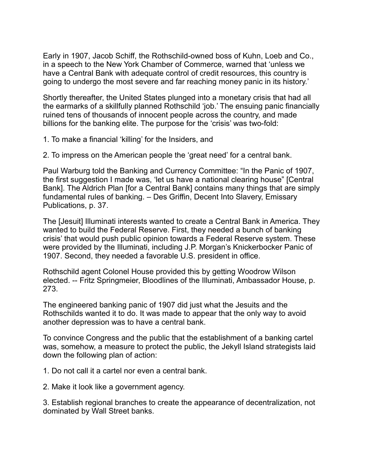Early in 1907, Jacob Schiff, the Rothschild-owned boss of Kuhn, Loeb and Co., in a speech to the New York Chamber of Commerce, warned that 'unless we have a Central Bank with adequate control of credit resources, this country is going to undergo the most severe and far reaching money panic in its history.'

Shortly thereafter, the United States plunged into a monetary crisis that had all the earmarks of a skillfully planned Rothschild 'job.' The ensuing panic financially ruined tens of thousands of innocent people across the country, and made billions for the banking elite. The purpose for the 'crisis' was two-fold:

- 1. To make a financial 'killing' for the Insiders, and
- 2. To impress on the American people the 'great need' for a central bank.

Paul Warburg told the Banking and Currency Committee: "In the Panic of 1907, the first suggestion I made was, 'let us have a national clearing house" [Central Bank]. The Aldrich Plan [for a Central Bank] contains many things that are simply fundamental rules of banking. – Des Griffin, Decent Into Slavery, Emissary Publications, p. 37.

The [Jesuit] Illuminati interests wanted to create a Central Bank in America. They wanted to build the Federal Reserve. First, they needed a bunch of banking crisis' that would push public opinion towards a Federal Reserve system. These were provided by the Illuminati, including J.P. Morgan's Knickerbocker Panic of 1907. Second, they needed a favorable U.S. president in office.

Rothschild agent Colonel House provided this by getting Woodrow Wilson elected. -- Fritz Springmeier, Bloodlines of the Illuminati, Ambassador House, p. 273.

The engineered banking panic of 1907 did just what the Jesuits and the Rothschilds wanted it to do. It was made to appear that the only way to avoid another depression was to have a central bank.

To convince Congress and the public that the establishment of a banking cartel was, somehow, a measure to protect the public, the Jekyll Island strategists laid down the following plan of action:

1. Do not call it a cartel nor even a central bank.

2. Make it look like a government agency.

3. Establish regional branches to create the appearance of decentralization, not dominated by Wall Street banks.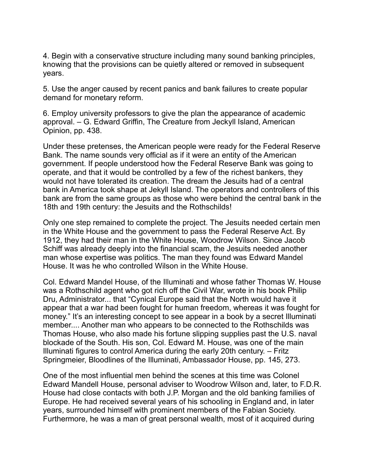4. Begin with a conservative structure including many sound banking principles, knowing that the provisions can be quietly altered or removed in subsequent years.

5. Use the anger caused by recent panics and bank failures to create popular demand for monetary reform.

6. Employ university professors to give the plan the appearance of academic approval. – G. Edward Griffin, The Creature from Jeckyll Island, American Opinion, pp. 438.

Under these pretenses, the American people were ready for the Federal Reserve Bank. The name sounds very official as if it were an entity of the American government. If people understood how the Federal Reserve Bank was going to operate, and that it would be controlled by a few of the richest bankers, they would not have tolerated its creation. The dream the Jesuits had of a central bank in America took shape at Jekyll Island. The operators and controllers of this bank are from the same groups as those who were behind the central bank in the 18th and 19th century: the Jesuits and the Rothschilds!

Only one step remained to complete the project. The Jesuits needed certain men in the White House and the government to pass the Federal Reserve Act. By 1912, they had their man in the White House, Woodrow Wilson. Since Jacob Schiff was already deeply into the financial scam, the Jesuits needed another man whose expertise was politics. The man they found was Edward Mandel House. It was he who controlled Wilson in the White House.

Col. Edward Mandel House, of the Illuminati and whose father Thomas W. House was a Rothschild agent who got rich off the Civil War, wrote in his book Philip Dru, Administrator... that "Cynical Europe said that the North would have it appear that a war had been fought for human freedom, whereas it was fought for money." It's an interesting concept to see appear in a book by a secret Illuminati member.... Another man who appears to be connected to the Rothschilds was Thomas House, who also made his fortune slipping supplies past the U.S. naval blockade of the South. His son, Col. Edward M. House, was one of the main Illuminati figures to control America during the early 20th century. – Fritz Springmeier, Bloodlines of the Illuminati, Ambassador House, pp. 145, 273.

One of the most influential men behind the scenes at this time was Colonel Edward Mandell House, personal adviser to Woodrow Wilson and, later, to F.D.R. House had close contacts with both J.P. Morgan and the old banking families of Europe. He had received several years of his schooling in England and, in later years, surrounded himself with prominent members of the Fabian Society. Furthermore, he was a man of great personal wealth, most of it acquired during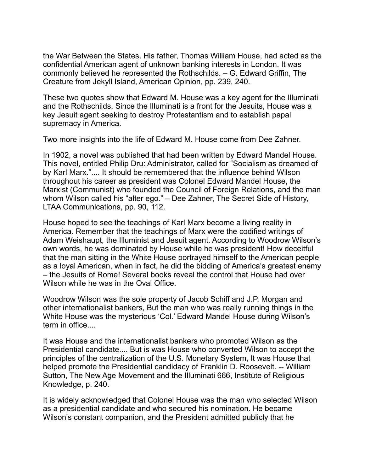the War Between the States. His father, Thomas William House, had acted as the confidential American agent of unknown banking interests in London. It was commonly believed he represented the Rothschilds. – G. Edward Griffin, The Creature from Jekyll Island, American Opinion, pp. 239, 240.

These two quotes show that Edward M. House was a key agent for the Illuminati and the Rothschilds. Since the Illuminati is a front for the Jesuits, House was a key Jesuit agent seeking to destroy Protestantism and to establish papal supremacy in America.

Two more insights into the life of Edward M. House come from Dee Zahner.

In 1902, a novel was published that had been written by Edward Mandel House. This novel, entitled Philip Dru: Administrator, called for "Socialism as dreamed of by Karl Marx.".... It should be remembered that the influence behind Wilson throughout his career as president was Colonel Edward Mandel House, the Marxist (Communist) who founded the Council of Foreign Relations, and the man whom Wilson called his "alter ego." – Dee Zahner, The Secret Side of History, LTAA Communications, pp. 90, 112.

House hoped to see the teachings of Karl Marx become a living reality in America. Remember that the teachings of Marx were the codified writings of Adam Weishaupt, the Illuminist and Jesuit agent. According to Woodrow Wilson's own words, he was dominated by House while he was president! How deceitful that the man sitting in the White House portrayed himself to the American people as a loyal American, when in fact, he did the bidding of America's greatest enemy – the Jesuits of Rome! Several books reveal the control that House had over Wilson while he was in the Oval Office.

Woodrow Wilson was the sole property of Jacob Schiff and J.P. Morgan and other internationalist bankers, But the man who was really running things in the White House was the mysterious 'Col.' Edward Mandel House during Wilson's term in office....

It was House and the internationalist bankers who promoted Wilson as the Presidential candidate.... But is was House who converted Wilson to accept the principles of the centralization of the U.S. Monetary System, It was House that helped promote the Presidential candidacy of Franklin D. Roosevelt. -- William Sutton, The New Age Movement and the Illuminati 666, Institute of Religious Knowledge, p. 240.

It is widely acknowledged that Colonel House was the man who selected Wilson as a presidential candidate and who secured his nomination. He became Wilson's constant companion, and the President admitted publicly that he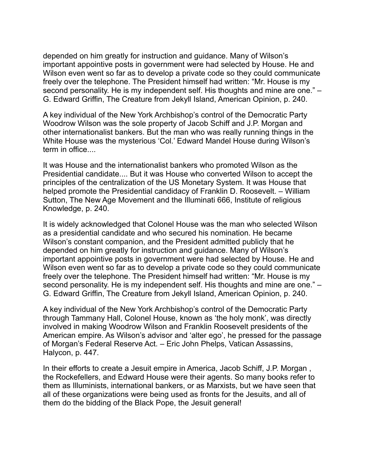depended on him greatly for instruction and guidance. Many of Wilson's important appointive posts in government were had selected by House. He and Wilson even went so far as to develop a private code so they could communicate freely over the telephone. The President himself had written: "Mr. House is my second personality. He is my independent self. His thoughts and mine are one." – G. Edward Griffin, The Creature from Jekyll Island, American Opinion, p. 240.

A key individual of the New York Archbishop's control of the Democratic Party Woodrow Wilson was the sole property of Jacob Schiff and J.P. Morgan and other internationalist bankers. But the man who was really running things in the White House was the mysterious 'Col.' Edward Mandel House during Wilson's term in office....

It was House and the internationalist bankers who promoted Wilson as the Presidential candidate.... But it was House who converted Wilson to accept the principles of the centralization of the US Monetary System. It was House that helped promote the Presidential candidacy of Franklin D. Roosevelt. – William Sutton, The New Age Movement and the Illuminati 666, Institute of religious Knowledge, p. 240.

It is widely acknowledged that Colonel House was the man who selected Wilson as a presidential candidate and who secured his nomination. He became Wilson's constant companion, and the President admitted publicly that he depended on him greatly for instruction and guidance. Many of Wilson's important appointive posts in government were had selected by House. He and Wilson even went so far as to develop a private code so they could communicate freely over the telephone. The President himself had written: "Mr. House is my second personality. He is my independent self. His thoughts and mine are one." – G. Edward Griffin, The Creature from Jekyll Island, American Opinion, p. 240.

A key individual of the New York Archbishop's control of the Democratic Party through Tammany Hall, Colonel House, known as 'the holy monk', was directly involved in making Woodrow Wilson and Franklin Roosevelt presidents of the American empire. As Wilson's advisor and 'alter ego', he pressed for the passage of Morgan's Federal Reserve Act. – Eric John Phelps, Vatican Assassins, Halycon, p. 447.

In their efforts to create a Jesuit empire in America, Jacob Schiff, J.P. Morgan , the Rockefellers, and Edward House were their agents. So many books refer to them as Illuminists, international bankers, or as Marxists, but we have seen that all of these organizations were being used as fronts for the Jesuits, and all of them do the bidding of the Black Pope, the Jesuit general!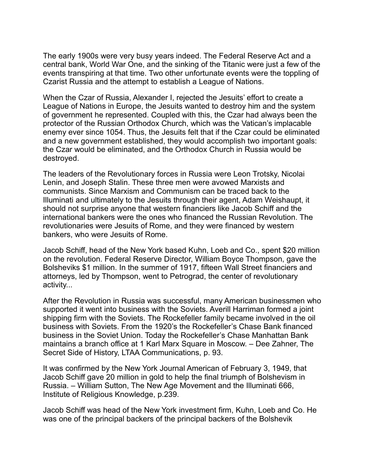The early 1900s were very busy years indeed. The Federal Reserve Act and a central bank, World War One, and the sinking of the Titanic were just a few of the events transpiring at that time. Two other unfortunate events were the toppling of Czarist Russia and the attempt to establish a League of Nations.

When the Czar of Russia, Alexander I, rejected the Jesuits' effort to create a League of Nations in Europe, the Jesuits wanted to destroy him and the system of government he represented. Coupled with this, the Czar had always been the protector of the Russian Orthodox Church, which was the Vatican's implacable enemy ever since 1054. Thus, the Jesuits felt that if the Czar could be eliminated and a new government established, they would accomplish two important goals: the Czar would be eliminated, and the Orthodox Church in Russia would be destroyed.

The leaders of the Revolutionary forces in Russia were Leon Trotsky, Nicolai Lenin, and Joseph Stalin. These three men were avowed Marxists and communists. Since Marxism and Communism can be traced back to the Illuminati and ultimately to the Jesuits through their agent, Adam Weishaupt, it should not surprise anyone that western financiers like Jacob Schiff and the international bankers were the ones who financed the Russian Revolution. The revolutionaries were Jesuits of Rome, and they were financed by western bankers, who were Jesuits of Rome.

Jacob Schiff, head of the New York based Kuhn, Loeb and Co., spent \$20 million on the revolution. Federal Reserve Director, William Boyce Thompson, gave the Bolsheviks \$1 million. In the summer of 1917, fifteen Wall Street financiers and attorneys, led by Thompson, went to Petrograd, the center of revolutionary activity...

After the Revolution in Russia was successful, many American businessmen who supported it went into business with the Soviets. Averill Harriman formed a joint shipping firm with the Soviets. The Rockefeller family became involved in the oil business with Soviets. From the 1920's the Rockefeller's Chase Bank financed business in the Soviet Union. Today the Rockefeller's Chase Manhattan Bank maintains a branch office at 1 Karl Marx Square in Moscow. – Dee Zahner, The Secret Side of History, LTAA Communications, p. 93.

It was confirmed by the New York Journal American of February 3, 1949, that Jacob Schiff gave 20 million in gold to help the final triumph of Bolshevism in Russia. – William Sutton, The New Age Movement and the Illuminati 666, Institute of Religious Knowledge, p.239.

Jacob Schiff was head of the New York investment firm, Kuhn, Loeb and Co. He was one of the principal backers of the principal backers of the Bolshevik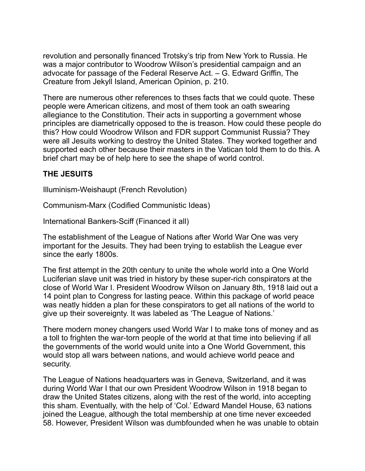revolution and personally financed Trotsky's trip from New York to Russia. He was a major contributor to Woodrow Wilson's presidential campaign and an advocate for passage of the Federal Reserve Act. – G. Edward Griffin, The Creature from Jekyll Island, American Opinion, p. 210.

There are numerous other references to thses facts that we could quote. These people were American citizens, and most of them took an oath swearing allegiance to the Constitution. Their acts in supporting a government whose principles are diametrically opposed to the is treason. How could these people do this? How could Woodrow Wilson and FDR support Communist Russia? They were all Jesuits working to destroy the United States. They worked together and supported each other because their masters in the Vatican told them to do this. A brief chart may be of help here to see the shape of world control.

## **THE JESUITS**

Illuminism-Weishaupt (French Revolution)

Communism-Marx (Codified Communistic Ideas)

International Bankers-Sciff (Financed it all)

The establishment of the League of Nations after World War One was very important for the Jesuits. They had been trying to establish the League ever since the early 1800s.

The first attempt in the 20th century to unite the whole world into a One World Luciferian slave unit was tried in history by these super-rich conspirators at the close of World War I. President Woodrow Wilson on January 8th, 1918 laid out a 14 point plan to Congress for lasting peace. Within this package of world peace was neatly hidden a plan for these conspirators to get all nations of the world to give up their sovereignty. It was labeled as 'The League of Nations.'

There modern money changers used World War I to make tons of money and as a toll to frighten the war-torn people of the world at that time into believing if all the governments of the world would unite into a One World Government, this would stop all wars between nations, and would achieve world peace and security.

The League of Nations headquarters was in Geneva, Switzerland, and it was during World War I that our own President Woodrow Wilson in 1918 began to draw the United States citizens, along with the rest of the world, into accepting this sham. Eventually, with the help of 'Col.' Edward Mandel House, 63 nations joined the League, although the total membership at one time never exceeded 58. However, President Wilson was dumbfounded when he was unable to obtain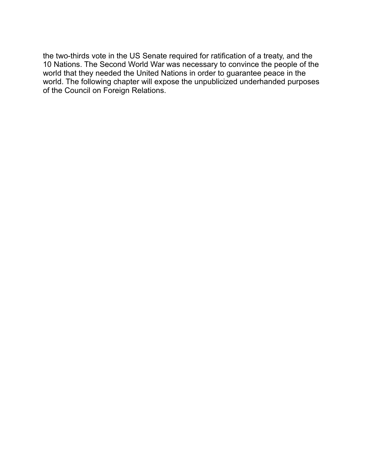the two-thirds vote in the US Senate required for ratification of a treaty, and the 10 Nations. The Second World War was necessary to convince the people of the world that they needed the United Nations in order to guarantee peace in the world. The following chapter will expose the unpublicized underhanded purposes of the Council on Foreign Relations.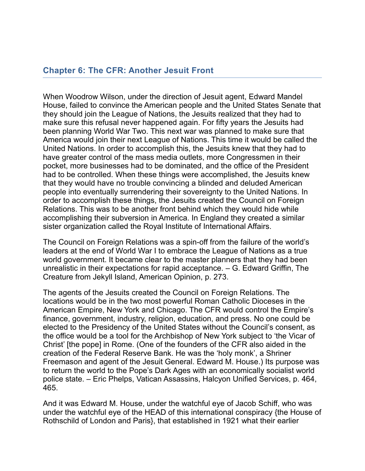# **Chapter 6: The CFR: Another Jesuit Front**

When Woodrow Wilson, under the direction of Jesuit agent, Edward Mandel House, failed to convince the American people and the United States Senate that they should join the League of Nations, the Jesuits realized that they had to make sure this refusal never happened again. For fifty years the Jesuits had been planning World War Two. This next war was planned to make sure that America would join their next League of Nations. This time it would be called the United Nations. In order to accomplish this, the Jesuits knew that they had to have greater control of the mass media outlets, more Congressmen in their pocket, more businesses had to be dominated, and the office of the President had to be controlled. When these things were accomplished, the Jesuits knew that they would have no trouble convincing a blinded and deluded American people into eventually surrendering their sovereignty to the United Nations. In order to accomplish these things, the Jesuits created the Council on Foreign Relations. This was to be another front behind which they would hide while accomplishing their subversion in America. In England they created a similar sister organization called the Royal Institute of International Affairs.

The Council on Foreign Relations was a spin-off from the failure of the world's leaders at the end of World War I to embrace the League of Nations as a true world government. It became clear to the master planners that they had been unrealistic in their expectations for rapid acceptance. – G. Edward Griffin, The Creature from Jekyll Island, American Opinion, p. 273.

The agents of the Jesuits created the Council on Foreign Relations. The locations would be in the two most powerful Roman Catholic Dioceses in the American Empire, New York and Chicago. The CFR would control the Empire's finance, government, industry, religion, education, and press. No one could be elected to the Presidency of the United States without the Council's consent, as the office would be a tool for the Archbishop of New York subject to 'the Vicar of Christ' [the pope] in Rome. (One of the founders of the CFR also aided in the creation of the Federal Reserve Bank. He was the 'holy monk', a Shriner Freemason and agent of the Jesuit General. Edward M. House.) Its purpose was to return the world to the Pope's Dark Ages with an economically socialist world police state. – Eric Phelps, Vatican Assassins, Halcyon Unified Services, p. 464, 465.

And it was Edward M. House, under the watchful eye of Jacob Schiff, who was under the watchful eye of the HEAD of this international conspiracy {the House of Rothschild of London and Paris}, that established in 1921 what their earlier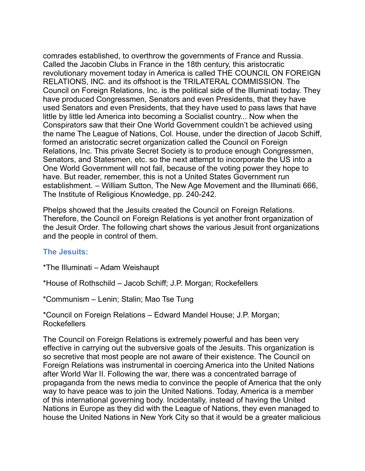comrades established, to overthrow the governments of France and Russia. Called the Jacobin Clubs in France in the 18th century, this aristocratic revolutionary movement today in America is called THE COUNCIL ON FOREIGN RELATIONS, INC. and its offshoot is the TRILATERAL COMMISSION. The Council on Foreign Relations, Inc. is the political side of the Illuminati today. They have produced Congressmen, Senators and even Presidents, that they have used Senators and even Presidents, that they have used to pass laws that have little by little led America into becoming a Socialist country... Now when the Conspirators saw that their One World Government couldn't be achieved using the name The League of Nations, Col. House, under the direction of Jacob Schiff, formed an aristocratic secret organization called the Council on Foreign Relations, Inc. This private Secret Society is to produce enough Congressmen, Senators, and Statesmen, etc. so the next attempt to incorporate the US into a One World Government will not fail, because of the voting power they hope to have. But reader, remember, this is not a United States Government run establishment. – William Sutton, The New Age Movement and the Illuminati 666, The Institute of Religious Knowledge, pp. 240-242.

Phelps showed that the Jesuits created the Council on Foreign Relations. Therefore, the Council on Foreign Relations is yet another front organization of the Jesuit Order. The following chart shows the various Jesuit front organizations and the people in control of them.

## **The Jesuits:**

\*The Illuminati – Adam Weishaupt

\*House of Rothschild – Jacob Schiff; J.P. Morgan; Rockefellers

\*Communism – Lenin; Stalin; Mao Tse Tung

\*Council on Foreign Relations – Edward Mandel House; J.P. Morgan; Rockefellers

The Council on Foreign Relations is extremely powerful and has been very effective in carrying out the subversive goals of the Jesuits. This organization is so secretive that most people are not aware of their existence. The Council on Foreign Relations was instrumental in coercing America into the United Nations after World War II. Following the war, there was a concentrated barrage of propaganda from the news media to convince the people of America that the only way to have peace was to join the United Nations. Today, America is a member of this international governing body. Incidentally, instead of having the United Nations in Europe as they did with the League of Nations, they even managed to house the United Nations in New York City so that it would be a greater malicious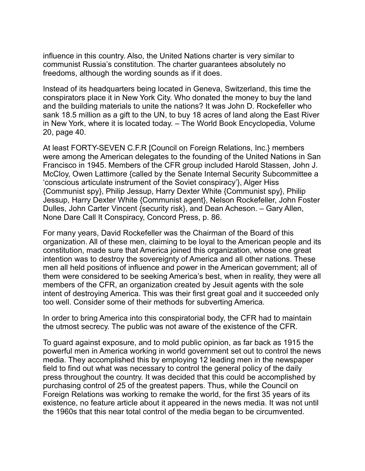influence in this country. Also, the United Nations charter is very similar to communist Russia's constitution. The charter guarantees absolutely no freedoms, although the wording sounds as if it does.

Instead of its headquarters being located in Geneva, Switzerland, this time the conspirators place it in New York City. Who donated the money to buy the land and the building materials to unite the nations? It was John D. Rockefeller who sank 18.5 million as a gift to the UN, to buy 18 acres of land along the East River in New York, where it is located today. – The World Book Encyclopedia, Volume 20, page 40.

At least FORTY-SEVEN C.F.R [Council on Foreign Relations, Inc.} members were among the American delegates to the founding of the United Nations in San Francisco in 1945. Members of the CFR group included Harold Stassen, John J. McCloy, Owen Lattimore {called by the Senate Internal Security Subcommittee a 'conscious articulate instrument of the Soviet conspiracy'}, Alger Hiss {Communist spy}, Philip Jessup, Harry Dexter White {Communist spy}, Philip Jessup, Harry Dexter White {Communist agent}, Nelson Rockefeller, John Foster Dulles, John Carter Vincent {security risk}, and Dean Acheson. – Gary Allen, None Dare Call It Conspiracy, Concord Press, p. 86.

For many years, David Rockefeller was the Chairman of the Board of this organization. All of these men, claiming to be loyal to the American people and its constitution, made sure that America joined this organization, whose one great intention was to destroy the sovereignty of America and all other nations. These men all held positions of influence and power in the American government; all of them were considered to be seeking America's best, when in reality, they were all members of the CFR, an organization created by Jesuit agents with the sole intent of destroying America. This was their first great goal and it succeeded only too well. Consider some of their methods for subverting America.

In order to bring America into this conspiratorial body, the CFR had to maintain the utmost secrecy. The public was not aware of the existence of the CFR.

To guard against exposure, and to mold public opinion, as far back as 1915 the powerful men in America working in world government set out to control the news media. They accomplished this by employing 12 leading men in the newspaper field to find out what was necessary to control the general policy of the daily press throughout the country. It was decided that this could be accomplished by purchasing control of 25 of the greatest papers. Thus, while the Council on Foreign Relations was working to remake the world, for the first 35 years of its existence, no feature article about it appeared in the news media. It was not until the 1960s that this near total control of the media began to be circumvented.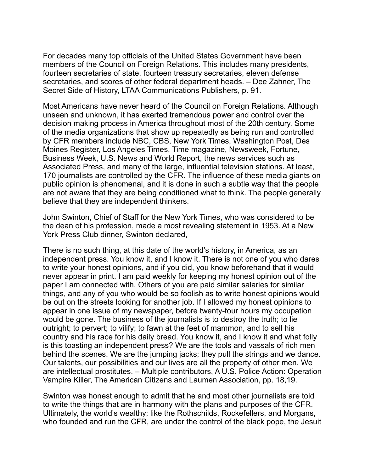For decades many top officials of the United States Government have been members of the Council on Foreign Relations. This includes many presidents, fourteen secretaries of state, fourteen treasury secretaries, eleven defense secretaries, and scores of other federal department heads. – Dee Zahner, The Secret Side of History, LTAA Communications Publishers, p. 91.

Most Americans have never heard of the Council on Foreign Relations. Although unseen and unknown, it has exerted tremendous power and control over the decision making process in America throughout most of the 20th century. Some of the media organizations that show up repeatedly as being run and controlled by CFR members include NBC, CBS, New York Times, Washington Post, Des Moines Register, Los Angeles Times, Time magazine, Newsweek, Fortune, Business Week, U.S. News and World Report, the news services such as Associated Press, and many of the large, influential television stations. At least, 170 journalists are controlled by the CFR. The influence of these media giants on public opinion is phenomenal, and it is done in such a subtle way that the people are not aware that they are being conditioned what to think. The people generally believe that they are independent thinkers.

John Swinton, Chief of Staff for the New York Times, who was considered to be the dean of his profession, made a most revealing statement in 1953. At a New York Press Club dinner, Swinton declared,

There is no such thing, at this date of the world's history, in America, as an independent press. You know it, and I know it. There is not one of you who dares to write your honest opinions, and if you did, you know beforehand that it would never appear in print. I am paid weekly for keeping my honest opinion out of the paper I am connected with. Others of you are paid similar salaries for similar things, and any of you who would be so foolish as to write honest opinions would be out on the streets looking for another job. If I allowed my honest opinions to appear in one issue of my newspaper, before twenty-four hours my occupation would be gone. The business of the journalists is to destroy the truth; to lie outright; to pervert; to vilify; to fawn at the feet of mammon, and to sell his country and his race for his daily bread. You know it, and I know it and what folly is this toasting an independent press? We are the tools and vassals of rich men behind the scenes. We are the jumping jacks; they pull the strings and we dance. Our talents, our possibilities and our lives are all the property of other men. We are intellectual prostitutes. – Multiple contributors, A U.S. Police Action: Operation Vampire Killer, The American Citizens and Laumen Association, pp. 18,19.

Swinton was honest enough to admit that he and most other journalists are told to write the things that are in harmony with the plans and purposes of the CFR. Ultimately, the world's wealthy; like the Rothschilds, Rockefellers, and Morgans, who founded and run the CFR, are under the control of the black pope, the Jesuit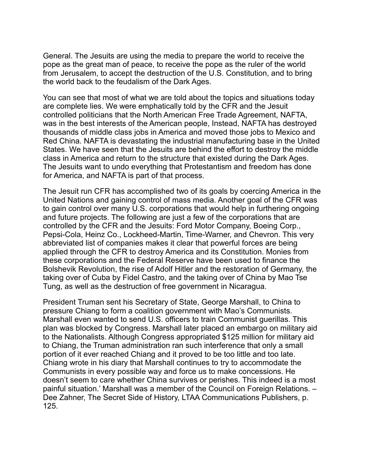General. The Jesuits are using the media to prepare the world to receive the pope as the great man of peace, to receive the pope as the ruler of the world from Jerusalem, to accept the destruction of the U.S. Constitution, and to bring the world back to the feudalism of the Dark Ages.

You can see that most of what we are told about the topics and situations today are complete lies. We were emphatically told by the CFR and the Jesuit controlled politicians that the North American Free Trade Agreement, NAFTA, was in the best interests of the American people, Instead, NAFTA has destroyed thousands of middle class jobs in America and moved those jobs to Mexico and Red China. NAFTA is devastating the industrial manufacturing base in the United States. We have seen that the Jesuits are behind the effort to destroy the middle class in America and return to the structure that existed during the Dark Ages. The Jesuits want to undo everything that Protestantism and freedom has done for America, and NAFTA is part of that process.

The Jesuit run CFR has accomplished two of its goals by coercing America in the United Nations and gaining control of mass media. Another goal of the CFR was to gain control over many U.S. corporations that would help in furthering ongoing and future projects. The following are just a few of the corporations that are controlled by the CFR and the Jesuits: Ford Motor Company, Boeing Corp., Pepsi-Cola, Heinz Co., Lockheed-Martin, Time-Warner, and Chevron. This very abbreviated list of companies makes it clear that powerful forces are being applied through the CFR to destroy America and its Constitution. Monies from these corporations and the Federal Reserve have been used to finance the Bolshevik Revolution, the rise of Adolf Hitler and the restoration of Germany, the taking over of Cuba by Fidel Castro, and the taking over of China by Mao Tse Tung, as well as the destruction of free government in Nicaragua.

President Truman sent his Secretary of State, George Marshall, to China to pressure Chiang to form a coalition government with Mao's Communists. Marshall even wanted to send U.S. officers to train Communist guerillas. This plan was blocked by Congress. Marshall later placed an embargo on military aid to the Nationalists. Although Congress appropriated \$125 million for military aid to Chiang, the Truman administration ran such interference that only a small portion of it ever reached Chiang and it proved to be too little and too late. Chiang wrote in his diary that Marshall continues to try to accommodate the Communists in every possible way and force us to make concessions. He doesn't seem to care whether China survives or perishes. This indeed is a most painful situation.' Marshall was a member of the Council on Foreign Relations. – Dee Zahner, The Secret Side of History, LTAA Communications Publishers, p. 125.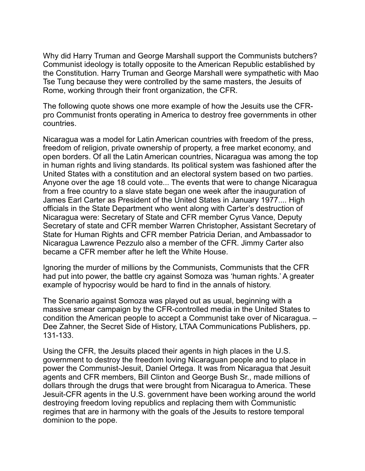Why did Harry Truman and George Marshall support the Communists butchers? Communist ideology is totally opposite to the American Republic established by the Constitution. Harry Truman and George Marshall were sympathetic with Mao Tse Tung because they were controlled by the same masters, the Jesuits of Rome, working through their front organization, the CFR.

The following quote shows one more example of how the Jesuits use the CFRpro Communist fronts operating in America to destroy free governments in other countries.

Nicaragua was a model for Latin American countries with freedom of the press, freedom of religion, private ownership of property, a free market economy, and open borders. Of all the Latin American countries, Nicaragua was among the top in human rights and living standards. Its political system was fashioned after the United States with a constitution and an electoral system based on two parties. Anyone over the age 18 could vote... The events that were to change Nicaragua from a free country to a slave state began one week after the inauguration of James Earl Carter as President of the United States in January 1977.... High officials in the State Department who went along with Carter's destruction of Nicaragua were: Secretary of State and CFR member Cyrus Vance, Deputy Secretary of state and CFR member Warren Christopher, Assistant Secretary of State for Human Rights and CFR member Patricia Derian, and Ambassador to Nicaragua Lawrence Pezzulo also a member of the CFR. Jimmy Carter also became a CFR member after he left the White House.

Ignoring the murder of millions by the Communists, Communists that the CFR had put into power, the battle cry against Somoza was 'human rights.' A greater example of hypocrisy would be hard to find in the annals of history.

The Scenario against Somoza was played out as usual, beginning with a massive smear campaign by the CFR-controlled media in the United States to condition the American people to accept a Communist take over of Nicaragua. – Dee Zahner, the Secret Side of History, LTAA Communications Publishers, pp. 131-133.

Using the CFR, the Jesuits placed their agents in high places in the U.S. government to destroy the freedom loving Nicaraguan people and to place in power the Communist-Jesuit, Daniel Ortega. It was from Nicaragua that Jesuit agents and CFR members, Bill Clinton and George Bush Sr., made millions of dollars through the drugs that were brought from Nicaragua to America. These Jesuit-CFR agents in the U.S. government have been working around the world destroying freedom loving republics and replacing them with Communistic regimes that are in harmony with the goals of the Jesuits to restore temporal dominion to the pope.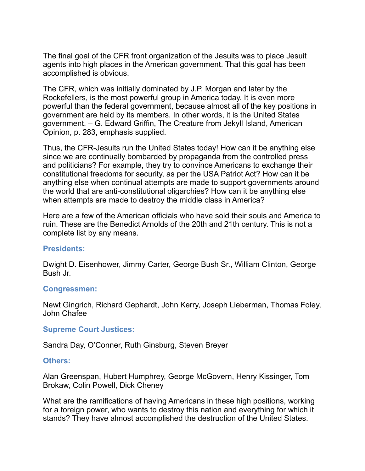The final goal of the CFR front organization of the Jesuits was to place Jesuit agents into high places in the American government. That this goal has been accomplished is obvious.

The CFR, which was initially dominated by J.P. Morgan and later by the Rockefellers, is the most powerful group in America today. It is even more powerful than the federal government, because almost all of the key positions in government are held by its members. In other words, it is the United States government. – G. Edward Griffin, The Creature from Jekyll Island, American Opinion, p. 283, emphasis supplied.

Thus, the CFR-Jesuits run the United States today! How can it be anything else since we are continually bombarded by propaganda from the controlled press and politicians? For example, they try to convince Americans to exchange their constitutional freedoms for security, as per the USA Patriot Act? How can it be anything else when continual attempts are made to support governments around the world that are anti-constitutional oligarchies? How can it be anything else when attempts are made to destroy the middle class in America?

Here are a few of the American officials who have sold their souls and America to ruin. These are the Benedict Arnolds of the 20th and 21th century. This is not a complete list by any means.

#### **Presidents:**

Dwight D. Eisenhower, Jimmy Carter, George Bush Sr., William Clinton, George Bush Jr.

#### **Congressmen:**

Newt Gingrich, Richard Gephardt, John Kerry, Joseph Lieberman, Thomas Foley, John Chafee

## **Supreme Court Justices:**

Sandra Day, O'Conner, Ruth Ginsburg, Steven Breyer

## **Others:**

Alan Greenspan, Hubert Humphrey, George McGovern, Henry Kissinger, Tom Brokaw, Colin Powell, Dick Cheney

What are the ramifications of having Americans in these high positions, working for a foreign power, who wants to destroy this nation and everything for which it stands? They have almost accomplished the destruction of the United States.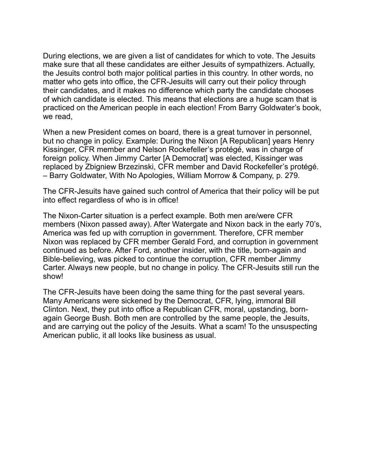During elections, we are given a list of candidates for which to vote. The Jesuits make sure that all these candidates are either Jesuits of sympathizers. Actually, the Jesuits control both major political parties in this country. In other words, no matter who gets into office, the CFR-Jesuits will carry out their policy through their candidates, and it makes no difference which party the candidate chooses of which candidate is elected. This means that elections are a huge scam that is practiced on the American people in each election! From Barry Goldwater's book, we read,

When a new President comes on board, there is a great turnover in personnel, but no change in policy. Example: During the Nixon [A Republican] years Henry Kissinger, CFR member and Nelson Rockefeller's protégé, was in charge of foreign policy. When Jimmy Carter [A Democrat] was elected, Kissinger was replaced by Zbigniew Brzezinski, CFR member and David Rockefeller's protégé. – Barry Goldwater, With No Apologies, William Morrow & Company, p. 279.

The CFR-Jesuits have gained such control of America that their policy will be put into effect regardless of who is in office!

The Nixon-Carter situation is a perfect example. Both men are/were CFR members (Nixon passed away). After Watergate and Nixon back in the early 70's, America was fed up with corruption in government. Therefore, CFR member Nixon was replaced by CFR member Gerald Ford, and corruption in government continued as before. After Ford, another insider, with the title, born-again and Bible-believing, was picked to continue the corruption, CFR member Jimmy Carter. Always new people, but no change in policy. The CFR-Jesuits still run the show!

The CFR-Jesuits have been doing the same thing for the past several years. Many Americans were sickened by the Democrat, CFR, lying, immoral Bill Clinton. Next, they put into office a Republican CFR, moral, upstanding, bornagain George Bush. Both men are controlled by the same people, the Jesuits, and are carrying out the policy of the Jesuits. What a scam! To the unsuspecting American public, it all looks like business as usual.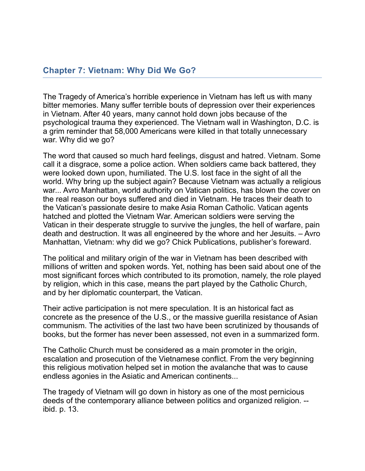The Tragedy of America's horrible experience in Vietnam has left us with many bitter memories. Many suffer terrible bouts of depression over their experiences in Vietnam. After 40 years, many cannot hold down jobs because of the psychological trauma they experienced. The Vietnam wall in Washington, D.C. is a grim reminder that 58,000 Americans were killed in that totally unnecessary war. Why did we go?

The word that caused so much hard feelings, disgust and hatred. Vietnam. Some call it a disgrace, some a police action. When soldiers came back battered, they were looked down upon, humiliated. The U.S. lost face in the sight of all the world. Why bring up the subject again? Because Vietnam was actually a religious war... Avro Manhattan, world authority on Vatican politics, has blown the cover on the real reason our boys suffered and died in Vietnam. He traces their death to the Vatican's passionate desire to make Asia Roman Catholic. Vatican agents hatched and plotted the Vietnam War. American soldiers were serving the Vatican in their desperate struggle to survive the jungles, the hell of warfare, pain death and destruction. It was all engineered by the whore and her Jesuits. – Avro Manhattan, Vietnam: why did we go? Chick Publications, publisher's foreward.

The political and military origin of the war in Vietnam has been described with millions of written and spoken words. Yet, nothing has been said about one of the most significant forces which contributed to its promotion, namely, the role played by religion, which in this case, means the part played by the Catholic Church, and by her diplomatic counterpart, the Vatican.

Their active participation is not mere speculation. It is an historical fact as concrete as the presence of the U.S., or the massive guerilla resistance of Asian communism. The activities of the last two have been scrutinized by thousands of books, but the former has never been assessed, not even in a summarized form.

The Catholic Church must be considered as a main promoter in the origin, escalation and prosecution of the Vietnamese conflict. From the very beginning this religious motivation helped set in motion the avalanche that was to cause endless agonies in the Asiatic and American continents...

The tragedy of Vietnam will go down in history as one of the most pernicious deeds of the contemporary alliance between politics and organized religion. - ibid. p. 13.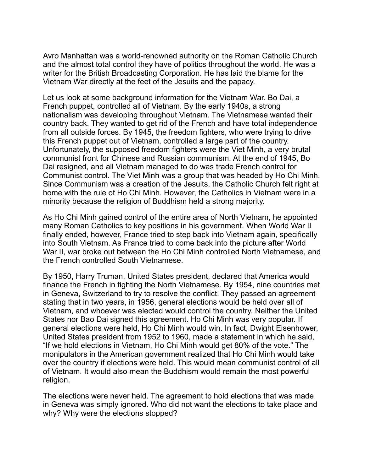Avro Manhattan was a world-renowned authority on the Roman Catholic Church and the almost total control they have of politics throughout the world. He was a writer for the British Broadcasting Corporation. He has laid the blame for the Vietnam War directly at the feet of the Jesuits and the papacy.

Let us look at some background information for the Vietnam War. Bo Dai, a French puppet, controlled all of Vietnam. By the early 1940s, a strong nationalism was developing throughout Vietnam. The Vietnamese wanted their country back. They wanted to get rid of the French and have total independence from all outside forces. By 1945, the freedom fighters, who were trying to drive this French puppet out of Vietnam, controlled a large part of the country. Unfortunately, the supposed freedom fighters were the Viet Minh, a very brutal communist front for Chinese and Russian communism. At the end of 1945, Bo Dai resigned, and all Vietnam managed to do was trade French control for Communist control. The Viet Minh was a group that was headed by Ho Chi Minh. Since Communism was a creation of the Jesuits, the Catholic Church felt right at home with the rule of Ho Chi Minh. However, the Catholics in Vietnam were in a minority because the religion of Buddhism held a strong majority.

As Ho Chi Minh gained control of the entire area of North Vietnam, he appointed many Roman Catholics to key positions in his government. When World War II finally ended, however, France tried to step back into Vietnam again, specifically into South Vietnam. As France tried to come back into the picture after World War II, war broke out between the Ho Chi Minh controlled North Vietnamese, and the French controlled South Vietnamese.

By 1950, Harry Truman, United States president, declared that America would finance the French in fighting the North Vietnamese. By 1954, nine countries met in Geneva, Switzerland to try to resolve the conflict. They passed an agreement stating that in two years, in 1956, general elections would be held over all of Vietnam, and whoever was elected would control the country. Neither the United States nor Bao Dai signed this agreement. Ho Chi Minh was very popular. If general elections were held, Ho Chi Minh would win. In fact, Dwight Eisenhower, United States president from 1952 to 1960, made a statement in which he said, "If we hold elections in Vietnam, Ho Chi Minh would get 80% of the vote." The monipulators in the American government realized that Ho Chi Minh would take over the country if elections were held. This would mean communist control of all of Vietnam. It would also mean the Buddhism would remain the most powerful religion.

The elections were never held. The agreement to hold elections that was made in Geneva was simply ignored. Who did not want the elections to take place and why? Why were the elections stopped?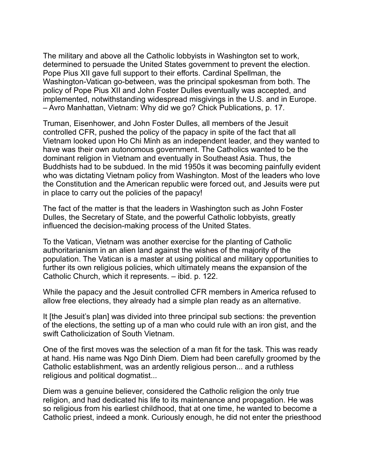The military and above all the Catholic lobbyists in Washington set to work, determined to persuade the United States government to prevent the election. Pope Pius XII gave full support to their efforts. Cardinal Spellman, the Washington-Vatican go-between, was the principal spokesman from both. The policy of Pope Pius XII and John Foster Dulles eventually was accepted, and implemented, notwithstanding widespread misgivings in the U.S. and in Europe. – Avro Manhattan, Vietnam: Why did we go? Chick Publications, p. 17.

Truman, Eisenhower, and John Foster Dulles, all members of the Jesuit controlled CFR, pushed the policy of the papacy in spite of the fact that all Vietnam looked upon Ho Chi Minh as an independent leader, and they wanted to have was their own autonomous government. The Catholics wanted to be the dominant religion in Vietnam and eventually in Southeast Asia. Thus, the Buddhists had to be subdued. In the mid 1950s it was becoming painfully evident who was dictating Vietnam policy from Washington. Most of the leaders who love the Constitution and the American republic were forced out, and Jesuits were put in place to carry out the policies of the papacy!

The fact of the matter is that the leaders in Washington such as John Foster Dulles, the Secretary of State, and the powerful Catholic lobbyists, greatly influenced the decision-making process of the United States.

To the Vatican, Vietnam was another exercise for the planting of Catholic authoritarianism in an alien land against the wishes of the majority of the population. The Vatican is a master at using political and military opportunities to further its own religious policies, which ultimately means the expansion of the Catholic Church, which it represents. – ibid. p. 122.

While the papacy and the Jesuit controlled CFR members in America refused to allow free elections, they already had a simple plan ready as an alternative.

It [the Jesuit's plan] was divided into three principal sub sections: the prevention of the elections, the setting up of a man who could rule with an iron gist, and the swift Catholicization of South Vietnam.

One of the first moves was the selection of a man fit for the task. This was ready at hand. His name was Ngo Dinh Diem. Diem had been carefully groomed by the Catholic establishment, was an ardently religious person... and a ruthless religious and political dogmatist...

Diem was a genuine believer, considered the Catholic religion the only true religion, and had dedicated his life to its maintenance and propagation. He was so religious from his earliest childhood, that at one time, he wanted to become a Catholic priest, indeed a monk. Curiously enough, he did not enter the priesthood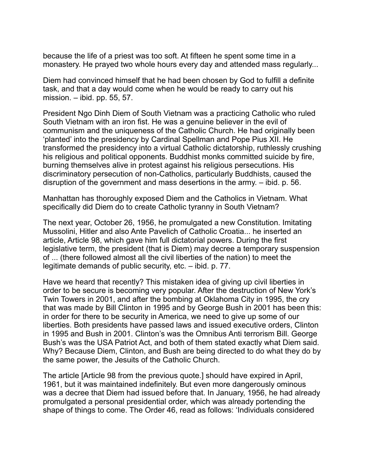because the life of a priest was too soft. At fifteen he spent some time in a monastery. He prayed two whole hours every day and attended mass regularly...

Diem had convinced himself that he had been chosen by God to fulfill a definite task, and that a day would come when he would be ready to carry out his mission. – ibid. pp. 55, 57.

President Ngo Dinh Diem of South Vietnam was a practicing Catholic who ruled South Vietnam with an iron fist. He was a genuine believer in the evil of communism and the uniqueness of the Catholic Church. He had originally been 'planted' into the presidency by Cardinal Spellman and Pope Pius XII. He transformed the presidency into a virtual Catholic dictatorship, ruthlessly crushing his religious and political opponents. Buddhist monks committed suicide by fire, burning themselves alive in protest against his religious persecutions. His discriminatory persecution of non-Catholics, particularly Buddhists, caused the disruption of the government and mass desertions in the army. – ibid. p. 56.

Manhattan has thoroughly exposed Diem and the Catholics in Vietnam. What specifically did Diem do to create Catholic tyranny in South Vietnam?

The next year, October 26, 1956, he promulgated a new Constitution. Imitating Mussolini, Hitler and also Ante Pavelich of Catholic Croatia... he inserted an article, Article 98, which gave him full dictatorial powers. During the first legislative term, the president (that is Diem) may decree a temporary suspension of ... (there followed almost all the civil liberties of the nation) to meet the legitimate demands of public security, etc. – ibid. p. 77.

Have we heard that recently? This mistaken idea of giving up civil liberties in order to be secure is becoming very popular. After the destruction of New York's Twin Towers in 2001, and after the bombing at Oklahoma City in 1995, the cry that was made by Bill Clinton in 1995 and by George Bush in 2001 has been this: in order for there to be security in America, we need to give up some of our liberties. Both presidents have passed laws and issued executive orders, Clinton in 1995 and Bush in 2001. Clinton's was the Omnibus Anti terrorism Bill. George Bush's was the USA Patriot Act, and both of them stated exactly what Diem said. Why? Because Diem, Clinton, and Bush are being directed to do what they do by the same power, the Jesuits of the Catholic Church.

The article [Article 98 from the previous quote.] should have expired in April, 1961, but it was maintained indefinitely. But even more dangerously ominous was a decree that Diem had issued before that. In January, 1956, he had already promulgated a personal presidential order, which was already portending the shape of things to come. The Order 46, read as follows: 'Individuals considered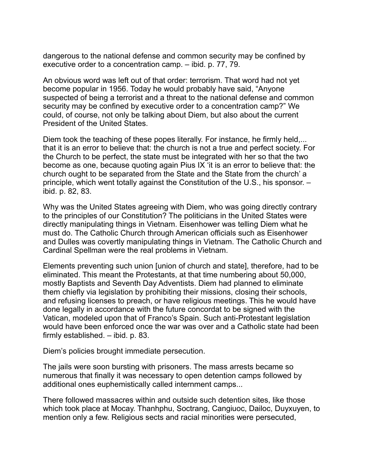dangerous to the national defense and common security may be confined by executive order to a concentration camp. – ibid. p. 77, 79.

An obvious word was left out of that order: terrorism. That word had not yet become popular in 1956. Today he would probably have said, "Anyone suspected of being a terrorist and a threat to the national defense and common security may be confined by executive order to a concentration camp?" We could, of course, not only be talking about Diem, but also about the current President of the United States.

Diem took the teaching of these popes literally. For instance, he firmly held,... that it is an error to believe that: the church is not a true and perfect society. For the Church to be perfect, the state must be integrated with her so that the two become as one, because quoting again Pius IX 'it is an error to believe that: the church ought to be separated from the State and the State from the church' a principle, which went totally against the Constitution of the U.S., his sponsor. – ibid. p. 82, 83.

Why was the United States agreeing with Diem, who was going directly contrary to the principles of our Constitution? The politicians in the United States were directly manipulating things in Vietnam. Eisenhower was telling Diem what he must do. The Catholic Church through American officials such as Eisenhower and Dulles was covertly manipulating things in Vietnam. The Catholic Church and Cardinal Spellman were the real problems in Vietnam.

Elements preventing such union [union of church and state], therefore, had to be eliminated. This meant the Protestants, at that time numbering about 50,000, mostly Baptists and Seventh Day Adventists. Diem had planned to eliminate them chiefly via legislation by prohibiting their missions, closing their schools, and refusing licenses to preach, or have religious meetings. This he would have done legally in accordance with the future concordat to be signed with the Vatican, modeled upon that of Franco's Spain. Such anti-Protestant legislation would have been enforced once the war was over and a Catholic state had been firmly established. – ibid. p. 83.

Diem's policies brought immediate persecution.

The jails were soon bursting with prisoners. The mass arrests became so numerous that finally it was necessary to open detention camps followed by additional ones euphemistically called internment camps...

There followed massacres within and outside such detention sites, like those which took place at Mocay. Thanhphu, Soctrang, Cangiuoc, Dailoc, Duyxuyen, to mention only a few. Religious sects and racial minorities were persecuted,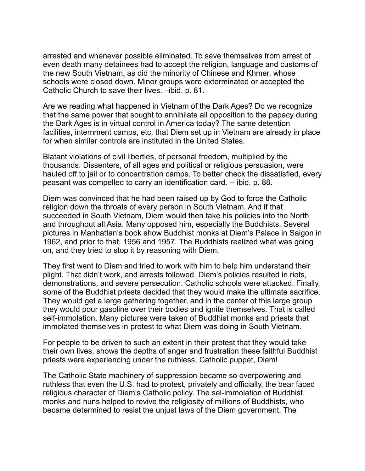arrested and whenever possible eliminated. To save themselves from arrest of even death many detainees had to accept the religion, language and customs of the new South Vietnam, as did the minority of Chinese and Khmer, whose schools were closed down. Minor groups were exterminated or accepted the Catholic Church to save their lives. –ibid. p. 81.

Are we reading what happened in Vietnam of the Dark Ages? Do we recognize that the same power that sought to annihilate all opposition to the papacy during the Dark Ages is in virtual control in America today? The same detention facilities, internment camps, etc. that Diem set up in Vietnam are already in place for when similar controls are instituted in the United States.

Blatant violations of civil liberties, of personal freedom, multiplied by the thousands. Dissenters, of all ages and political or religious persuasion, were hauled off to jail or to concentration camps. To better check the dissatisfied, every peasant was compelled to carry an identification card. -- ibid. p. 88.

Diem was convinced that he had been raised up by God to force the Catholic religion down the throats of every person in South Vietnam. And if that succeeded in South Vietnam, Diem would then take his policies into the North and throughout all Asia. Many opposed him, especially the Buddhists. Several pictures in Manhattan's book show Buddhist monks at Diem's Palace in Saigon in 1962, and prior to that, 1956 and 1957. The Buddhists realized what was going on, and they tried to stop it by reasoning with Diem.

They first went to Diem and tried to work with him to help him understand their plight. That didn't work, and arrests followed. Diem's policies resulted in riots, demonstrations, and severe persecution. Catholic schools were attacked. Finally, some of the Buddhist priests decided that they would make the ultimate sacrifice. They would get a large gathering together, and in the center of this large group they would pour gasoline over their bodies and ignite themselves. That is called self-immolation. Many pictures were taken of Buddhist monks and priests that immolated themselves in protest to what Diem was doing in South Vietnam.

For people to be driven to such an extent in their protest that they would take their own lives, shows the depths of anger and frustration these faithful Buddhist priests were experiencing under the ruthless, Catholic puppet, Diem!

The Catholic State machinery of suppression became so overpowering and ruthless that even the U.S. had to protest, privately and officially, the bear faced religious character of Diem's Catholic policy. The sel-immolation of Buddhist monks and nuns helped to revive the religiosity of millions of Buddhists, who became determined to resist the unjust laws of the Diem government. The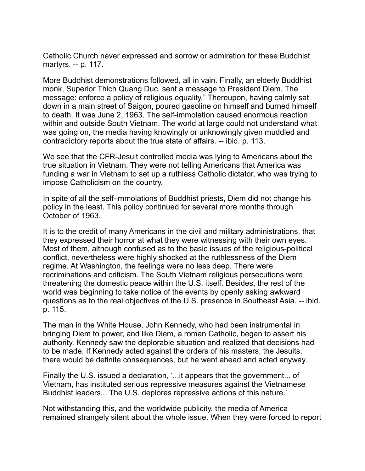Catholic Church never expressed and sorrow or admiration for these Buddhist martyrs. -- p. 117.

More Buddhist demonstrations followed, all in vain. Finally, an elderly Buddhist monk, Superior Thich Quang Duc, sent a message to President Diem. The message: enforce a policy of religious equality." Thereupon, having calmly sat down in a main street of Saigon, poured gasoline on himself and burned himself to death. It was June 2, 1963. The self-immolation caused enormous reaction within and outside South Vietnam. The world at large could not understand what was going on, the media having knowingly or unknowingly given muddled and contradictory reports about the true state of affairs. -- ibid. p. 113.

We see that the CFR-Jesuit controlled media was lying to Americans about the true situation in Vietnam. They were not telling Americans that America was funding a war in Vietnam to set up a ruthless Catholic dictator, who was trying to impose Catholicism on the country.

In spite of all the self-immolations of Buddhist priests, Diem did not change his policy in the least. This policy continued for several more months through October of 1963.

It is to the credit of many Americans in the civil and military administrations, that they expressed their horror at what they were witnessing with their own eyes. Most of them, although confused as to the basic issues of the religious-political conflict, nevertheless were highly shocked at the ruthlessness of the Diem regime. At Washington, the feelings were no less deep. There were recriminations and criticism. The South Vietnam religious persecutions were threatening the domestic peace within the U.S. itself. Besides, the rest of the world was beginning to take notice of the events by openly asking awkward questions as to the real objectives of the U.S. presence in Southeast Asia. -- ibid. p. 115.

The man in the White House, John Kennedy, who had been instrumental in bringing Diem to power, and like Diem, a roman Catholic, began to assert his authority. Kennedy saw the deplorable situation and realized that decisions had to be made. If Kennedy acted against the orders of his masters, the Jesuits, there would be definite consequences, but he went ahead and acted anyway.

Finally the U.S. issued a declaration, '...it appears that the government... of Vietnam, has instituted serious repressive measures against the Vietnamese Buddhist leaders... The U.S. deplores repressive actions of this nature.'

Not withstanding this, and the worldwide publicity, the media of America remained strangely silent about the whole issue. When they were forced to report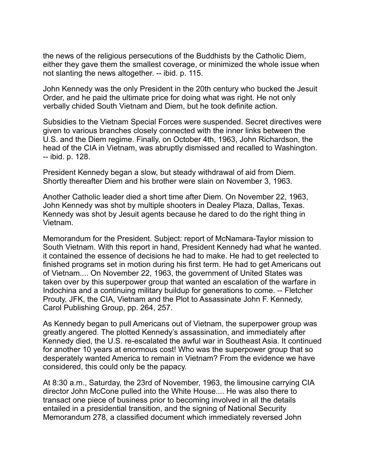the news of the religious persecutions of the Buddhists by the Catholic Diem, either they gave them the smallest coverage, or minimized the whole issue when not slanting the news altogether. -- ibid. p. 115.

John Kennedy was the only President in the 20th century who bucked the Jesuit Order, and he paid the ultimate price for doing what was right. He not only verbally chided South Vietnam and Diem, but he took definite action.

Subsidies to the Vietnam Special Forces were suspended. Secret directives were given to various branches closely connected with the inner links between the U.S. and the Diem regime. Finally, on October 4th, 1963, John Richardson, the head of the CIA in Vietnam, was abruptly dismissed and recalled to Washington. -- ibid. p. 128.

President Kennedy began a slow, but steady withdrawal of aid from Diem. Shortly thereafter Diem and his brother were slain on November 3, 1963.

Another Catholic leader died a short time after Diem. On November 22, 1963, John Kennedy was shot by multiple shooters in Dealey Plaza, Dallas, Texas. Kennedy was shot by Jesuit agents because he dared to do the right thing in Vietnam.

Memorandum for the President. Subject: report of McNamara-Taylor mission to South Vietnam. With this report in hand, President Kennedy had what he wanted. it contained the essence of decisions he had to make. He had to get reelected to finished programs set in motion during his first term. He had to get Americans out of Vietnam.... On November 22, 1963, the government of United States was taken over by this superpower group that wanted an escalation of the warfare in Indochina and a continuing military buildup for generations to come. -- Fletcher Prouty, JFK, the CIA, Vietnam and the Plot to Assassinate John F. Kennedy, Carol Publishing Group, pp. 264, 257.

As Kennedy began to pull Americans out of Vietnam, the superpower group was greatly angered. The plotted Kennedy's assassination, and immediately after Kennedy died, the U.S. re-escalated the awful war in Southeast Asia. It continued for another 10 years at enormous cost! Who was the superpower group that so desperately wanted America to remain in Vietnam? From the evidence we have considered, this could only be the papacy.

At 8:30 a.m., Saturday, the 23rd of November, 1963, the limousine carrying CIA director John McCone pulled into the White House.... He was also there to transact one piece of business prior to becoming involved in all the details entailed in a presidential transition, and the signing of National Security Memorandum 278, a classified document which immediately reversed John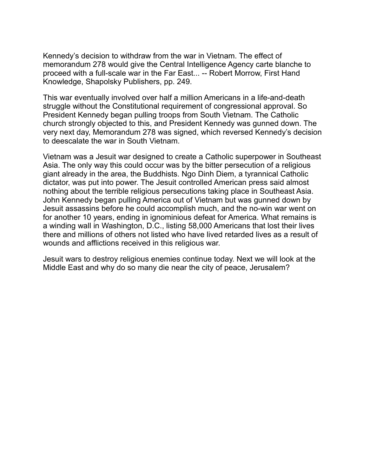Kennedy's decision to withdraw from the war in Vietnam. The effect of memorandum 278 would give the Central Intelligence Agency carte blanche to proceed with a full-scale war in the Far East... -- Robert Morrow, First Hand Knowledge, Shapolsky Publishers, pp. 249.

This war eventually involved over half a million Americans in a life-and-death struggle without the Constitutional requirement of congressional approval. So President Kennedy began pulling troops from South Vietnam. The Catholic church strongly objected to this, and President Kennedy was gunned down. The very next day, Memorandum 278 was signed, which reversed Kennedy's decision to deescalate the war in South Vietnam.

Vietnam was a Jesuit war designed to create a Catholic superpower in Southeast Asia. The only way this could occur was by the bitter persecution of a religious giant already in the area, the Buddhists. Ngo Dinh Diem, a tyrannical Catholic dictator, was put into power. The Jesuit controlled American press said almost nothing about the terrible religious persecutions taking place in Southeast Asia. John Kennedy began pulling America out of Vietnam but was gunned down by Jesuit assassins before he could accomplish much, and the no-win war went on for another 10 years, ending in ignominious defeat for America. What remains is a winding wall in Washington, D.C., listing 58,000 Americans that lost their lives there and millions of others not listed who have lived retarded lives as a result of wounds and afflictions received in this religious war.

Jesuit wars to destroy religious enemies continue today. Next we will look at the Middle East and why do so many die near the city of peace, Jerusalem?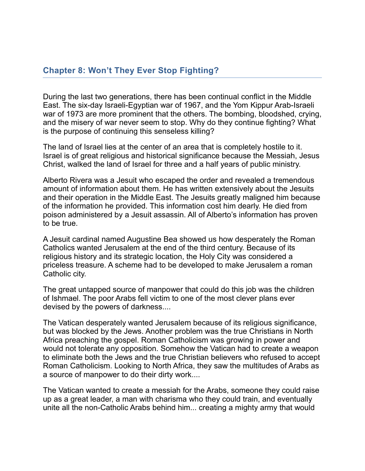# **Chapter 8: Won't They Ever Stop Fighting?**

During the last two generations, there has been continual conflict in the Middle East. The six-day Israeli-Egyptian war of 1967, and the Yom Kippur Arab-Israeli war of 1973 are more prominent that the others. The bombing, bloodshed, crying, and the misery of war never seem to stop. Why do they continue fighting? What is the purpose of continuing this senseless killing?

The land of Israel lies at the center of an area that is completely hostile to it. Israel is of great religious and historical significance because the Messiah, Jesus Christ, walked the land of Israel for three and a half years of public ministry.

Alberto Rivera was a Jesuit who escaped the order and revealed a tremendous amount of information about them. He has written extensively about the Jesuits and their operation in the Middle East. The Jesuits greatly maligned him because of the information he provided. This information cost him dearly. He died from poison administered by a Jesuit assassin. All of Alberto's information has proven to be true.

A Jesuit cardinal named Augustine Bea showed us how desperately the Roman Catholics wanted Jerusalem at the end of the third century. Because of its religious history and its strategic location, the Holy City was considered a priceless treasure. A scheme had to be developed to make Jerusalem a roman Catholic city.

The great untapped source of manpower that could do this job was the children of Ishmael. The poor Arabs fell victim to one of the most clever plans ever devised by the powers of darkness....

The Vatican desperately wanted Jerusalem because of its religious significance, but was blocked by the Jews. Another problem was the true Christians in North Africa preaching the gospel. Roman Catholicism was growing in power and would not tolerate any opposition. Somehow the Vatican had to create a weapon to eliminate both the Jews and the true Christian believers who refused to accept Roman Catholicism. Looking to North Africa, they saw the multitudes of Arabs as a source of manpower to do their dirty work....

The Vatican wanted to create a messiah for the Arabs, someone they could raise up as a great leader, a man with charisma who they could train, and eventually unite all the non-Catholic Arabs behind him... creating a mighty army that would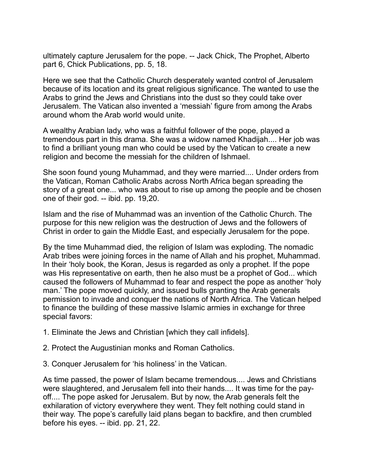ultimately capture Jerusalem for the pope. -- Jack Chick, The Prophet, Alberto part 6, Chick Publications, pp. 5, 18.

Here we see that the Catholic Church desperately wanted control of Jerusalem because of its location and its great religious significance. The wanted to use the Arabs to grind the Jews and Christians into the dust so they could take over Jerusalem. The Vatican also invented a 'messiah' figure from among the Arabs around whom the Arab world would unite.

A wealthy Arabian lady, who was a faithful follower of the pope, played a tremendous part in this drama. She was a widow named Khadijah.... Her job was to find a brilliant young man who could be used by the Vatican to create a new religion and become the messiah for the children of Ishmael.

She soon found young Muhammad, and they were married.... Under orders from the Vatican, Roman Catholic Arabs across North Africa began spreading the story of a great one... who was about to rise up among the people and be chosen one of their god. -- ibid. pp. 19,20.

Islam and the rise of Muhammad was an invention of the Catholic Church. The purpose for this new religion was the destruction of Jews and the followers of Christ in order to gain the Middle East, and especially Jerusalem for the pope.

By the time Muhammad died, the religion of Islam was exploding. The nomadic Arab tribes were joining forces in the name of Allah and his prophet, Muhammad. In their 'holy book, the Koran, Jesus is regarded as only a prophet. If the pope was His representative on earth, then he also must be a prophet of God... which caused the followers of Muhammad to fear and respect the pope as another 'holy man.' The pope moved quickly, and issued bulls granting the Arab generals permission to invade and conquer the nations of North Africa. The Vatican helped to finance the building of these massive Islamic armies in exchange for three special favors:

- 1. Eliminate the Jews and Christian [which they call infidels].
- 2. Protect the Augustinian monks and Roman Catholics.
- 3. Conquer Jerusalem for 'his holiness' in the Vatican.

As time passed, the power of Islam became tremendous.... Jews and Christians were slaughtered, and Jerusalem fell into their hands.... It was time for the payoff.... The pope asked for Jerusalem. But by now, the Arab generals felt the exhilaration of victory everywhere they went. They felt nothing could stand in their way. The pope's carefully laid plans began to backfire, and then crumbled before his eyes. -- ibid. pp. 21, 22.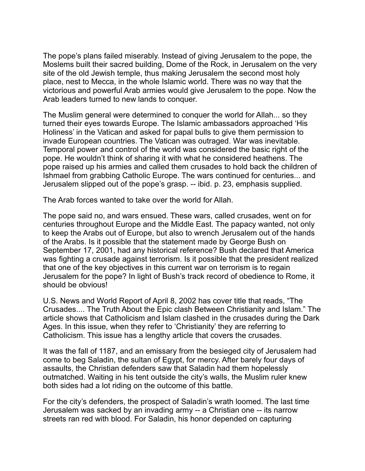The pope's plans failed miserably. Instead of giving Jerusalem to the pope, the Moslems built their sacred building, Dome of the Rock, in Jerusalem on the very site of the old Jewish temple, thus making Jerusalem the second most holy place, nest to Mecca, in the whole Islamic world. There was no way that the victorious and powerful Arab armies would give Jerusalem to the pope. Now the Arab leaders turned to new lands to conquer.

The Muslim general were determined to conquer the world for Allah... so they turned their eyes towards Europe. The Islamic ambassadors approached 'His Holiness' in the Vatican and asked for papal bulls to give them permission to invade European countries. The Vatican was outraged. War was inevitable. Temporal power and control of the world was considered the basic right of the pope. He wouldn't think of sharing it with what he considered heathens. The pope raised up his armies and called them crusades to hold back the children of Ishmael from grabbing Catholic Europe. The wars continued for centuries... and Jerusalem slipped out of the pope's grasp. -- ibid. p. 23, emphasis supplied.

The Arab forces wanted to take over the world for Allah.

The pope said no, and wars ensued. These wars, called crusades, went on for centuries throughout Europe and the Middle East. The papacy wanted, not only to keep the Arabs out of Europe, but also to wrench Jerusalem out of the hands of the Arabs. Is it possible that the statement made by George Bush on September 17, 2001, had any historical reference? Bush declared that America was fighting a crusade against terrorism. Is it possible that the president realized that one of the key objectives in this current war on terrorism is to regain Jerusalem for the pope? In light of Bush's track record of obedience to Rome, it should be obvious!

U.S. News and World Report of April 8, 2002 has cover title that reads, "The Crusades.... The Truth About the Epic clash Between Christianity and Islam." The article shows that Catholicism and Islam clashed in the crusades during the Dark Ages. In this issue, when they refer to 'Christianity' they are referring to Catholicism. This issue has a lengthy article that covers the crusades.

It was the fall of 1187, and an emissary from the besieged city of Jerusalem had come to beg Saladin, the sultan of Egypt, for mercy. After barely four days of assaults, the Christian defenders saw that Saladin had them hopelessly outmatched. Waiting in his tent outside the city's walls, the Muslim ruler knew both sides had a lot riding on the outcome of this battle.

For the city's defenders, the prospect of Saladin's wrath loomed. The last time Jerusalem was sacked by an invading army -- a Christian one -- its narrow streets ran red with blood. For Saladin, his honor depended on capturing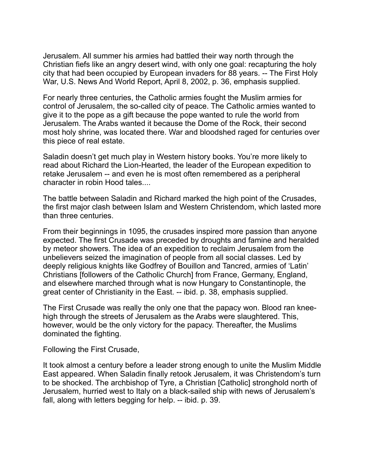Jerusalem. All summer his armies had battled their way north through the Christian fiefs like an angry desert wind, with only one goal: recapturing the holy city that had been occupied by European invaders for 88 years. -- The First Holy War, U.S. News And World Report, April 8, 2002, p. 36, emphasis supplied.

For nearly three centuries, the Catholic armies fought the Muslim armies for control of Jerusalem, the so-called city of peace. The Catholic armies wanted to give it to the pope as a gift because the pope wanted to rule the world from Jerusalem. The Arabs wanted it because the Dome of the Rock, their second most holy shrine, was located there. War and bloodshed raged for centuries over this piece of real estate.

Saladin doesn't get much play in Western history books. You're more likely to read about Richard the Lion-Hearted, the leader of the European expedition to retake Jerusalem -- and even he is most often remembered as a peripheral character in robin Hood tales....

The battle between Saladin and Richard marked the high point of the Crusades, the first major clash between Islam and Western Christendom, which lasted more than three centuries.

From their beginnings in 1095, the crusades inspired more passion than anyone expected. The first Crusade was preceded by droughts and famine and heralded by meteor showers. The idea of an expedition to reclaim Jerusalem from the unbelievers seized the imagination of people from all social classes. Led by deeply religious knights like Godfrey of Bouillon and Tancred, armies of 'Latin' Christians [followers of the Catholic Church] from France, Germany, England, and elsewhere marched through what is now Hungary to Constantinople, the great center of Christianity in the East. -- ibid. p. 38, emphasis supplied.

The First Crusade was really the only one that the papacy won. Blood ran kneehigh through the streets of Jerusalem as the Arabs were slaughtered. This, however, would be the only victory for the papacy. Thereafter, the Muslims dominated the fighting.

Following the First Crusade,

It took almost a century before a leader strong enough to unite the Muslim Middle East appeared. When Saladin finally retook Jerusalem, it was Christendom's turn to be shocked. The archbishop of Tyre, a Christian [Catholic] stronghold north of Jerusalem, hurried west to Italy on a black-sailed ship with news of Jerusalem's fall, along with letters begging for help. -- ibid. p. 39.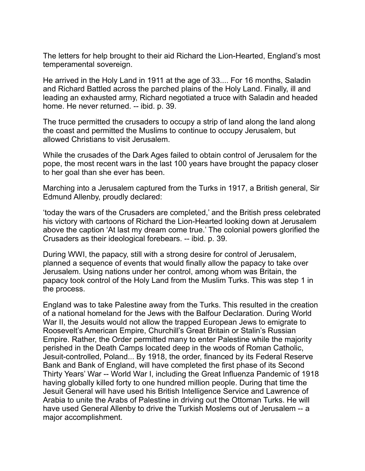The letters for help brought to their aid Richard the Lion-Hearted, England's most temperamental sovereign.

He arrived in the Holy Land in 1911 at the age of 33.... For 16 months, Saladin and Richard Battled across the parched plains of the Holy Land. Finally, ill and leading an exhausted army, Richard negotiated a truce with Saladin and headed home. He never returned. -- ibid. p. 39.

The truce permitted the crusaders to occupy a strip of land along the land along the coast and permitted the Muslims to continue to occupy Jerusalem, but allowed Christians to visit Jerusalem.

While the crusades of the Dark Ages failed to obtain control of Jerusalem for the pope, the most recent wars in the last 100 years have brought the papacy closer to her goal than she ever has been.

Marching into a Jerusalem captured from the Turks in 1917, a British general, Sir Edmund Allenby, proudly declared:

'today the wars of the Crusaders are completed,' and the British press celebrated his victory with cartoons of Richard the Lion-Hearted looking down at Jerusalem above the caption 'At last my dream come true.' The colonial powers glorified the Crusaders as their ideological forebears. -- ibid. p. 39.

During WWI, the papacy, still with a strong desire for control of Jerusalem, planned a sequence of events that would finally allow the papacy to take over Jerusalem. Using nations under her control, among whom was Britain, the papacy took control of the Holy Land from the Muslim Turks. This was step 1 in the process.

England was to take Palestine away from the Turks. This resulted in the creation of a national homeland for the Jews with the Balfour Declaration. During World War II, the Jesuits would not allow the trapped European Jews to emigrate to Roosevelt's American Empire, Churchill's Great Britain or Stalin's Russian Empire. Rather, the Order permitted many to enter Palestine while the majority perished in the Death Camps located deep in the woods of Roman Catholic, Jesuit-controlled, Poland... By 1918, the order, financed by its Federal Reserve Bank and Bank of England, will have completed the first phase of its Second Thirty Years' War -- World War I, including the Great Influenza Pandemic of 1918 having globally killed forty to one hundred million people. During that time the Jesuit General will have used his British Intelligence Service and Lawrence of Arabia to unite the Arabs of Palestine in driving out the Ottoman Turks. He will have used General Allenby to drive the Turkish Moslems out of Jerusalem -- a major accomplishment.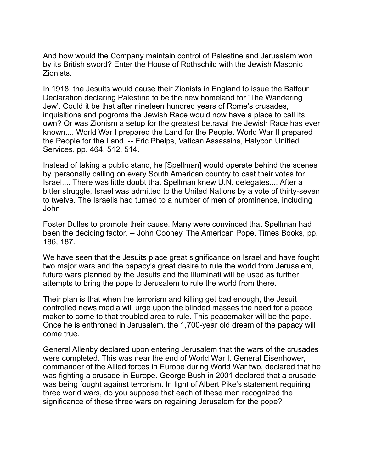And how would the Company maintain control of Palestine and Jerusalem won by its British sword? Enter the House of Rothschild with the Jewish Masonic Zionists.

In 1918, the Jesuits would cause their Zionists in England to issue the Balfour Declaration declaring Palestine to be the new homeland for 'The Wandering Jew'. Could it be that after nineteen hundred years of Rome's crusades, inquisitions and pogroms the Jewish Race would now have a place to call its own? Or was Zionism a setup for the greatest betrayal the Jewish Race has ever known.... World War I prepared the Land for the People. World War II prepared the People for the Land. -- Eric Phelps, Vatican Assassins, Halycon Unified Services, pp. 464, 512, 514.

Instead of taking a public stand, he [Spellman] would operate behind the scenes by 'personally calling on every South American country to cast their votes for Israel.... There was little doubt that Spellman knew U.N. delegates.... After a bitter struggle, Israel was admitted to the United Nations by a vote of thirty-seven to twelve. The Israelis had turned to a number of men of prominence, including John

Foster Dulles to promote their cause. Many were convinced that Spellman had been the deciding factor. -- John Cooney, The American Pope, Times Books, pp. 186, 187.

We have seen that the Jesuits place great significance on Israel and have fought two major wars and the papacy's great desire to rule the world from Jerusalem, future wars planned by the Jesuits and the Illuminati will be used as further attempts to bring the pope to Jerusalem to rule the world from there.

Their plan is that when the terrorism and killing get bad enough, the Jesuit controlled news media will urge upon the blinded masses the need for a peace maker to come to that troubled area to rule. This peacemaker will be the pope. Once he is enthroned in Jerusalem, the 1,700-year old dream of the papacy will come true.

General Allenby declared upon entering Jerusalem that the wars of the crusades were completed. This was near the end of World War I. General Eisenhower, commander of the Allied forces in Europe during World War two, declared that he was fighting a crusade in Europe. George Bush in 2001 declared that a crusade was being fought against terrorism. In light of Albert Pike's statement requiring three world wars, do you suppose that each of these men recognized the significance of these three wars on regaining Jerusalem for the pope?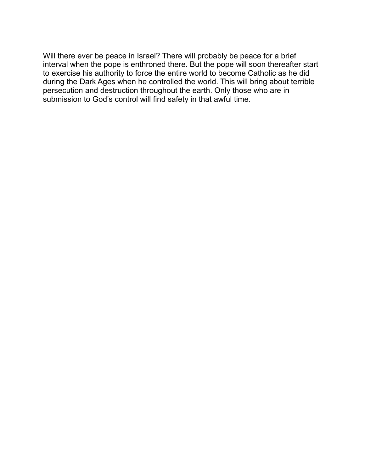Will there ever be peace in Israel? There will probably be peace for a brief interval when the pope is enthroned there. But the pope will soon thereafter start to exercise his authority to force the entire world to become Catholic as he did during the Dark Ages when he controlled the world. This will bring about terrible persecution and destruction throughout the earth. Only those who are in submission to God's control will find safety in that awful time.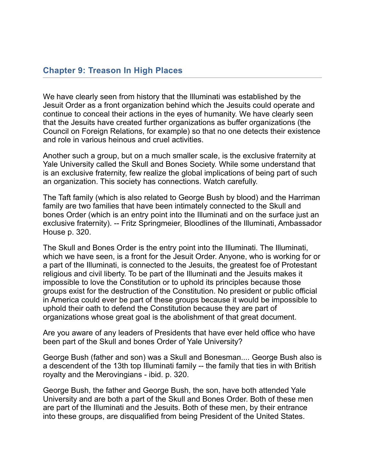# **Chapter 9: Treason In High Places**

We have clearly seen from history that the Illuminati was established by the Jesuit Order as a front organization behind which the Jesuits could operate and continue to conceal their actions in the eyes of humanity. We have clearly seen that the Jesuits have created further organizations as buffer organizations (the Council on Foreign Relations, for example) so that no one detects their existence and role in various heinous and cruel activities.

Another such a group, but on a much smaller scale, is the exclusive fraternity at Yale University called the Skull and Bones Society. While some understand that is an exclusive fraternity, few realize the global implications of being part of such an organization. This society has connections. Watch carefully.

The Taft family (which is also related to George Bush by blood) and the Harriman family are two families that have been intimately connected to the Skull and bones Order (which is an entry point into the Illuminati and on the surface just an exclusive fraternity). -- Fritz Springmeier, Bloodlines of the Illuminati, Ambassador House p. 320.

The Skull and Bones Order is the entry point into the Illuminati. The Illuminati, which we have seen, is a front for the Jesuit Order. Anyone, who is working for or a part of the Illuminati, is connected to the Jesuits, the greatest foe of Protestant religious and civil liberty. To be part of the Illuminati and the Jesuits makes it impossible to love the Constitution or to uphold its principles because those groups exist for the destruction of the Constitution. No president or public official in America could ever be part of these groups because it would be impossible to uphold their oath to defend the Constitution because they are part of organizations whose great goal is the abolishment of that great document.

Are you aware of any leaders of Presidents that have ever held office who have been part of the Skull and bones Order of Yale University?

George Bush (father and son) was a Skull and Bonesman.... George Bush also is a descendent of the 13th top Illuminati family -- the family that ties in with British royalty and the Merovingians - ibid. p. 320.

George Bush, the father and George Bush, the son, have both attended Yale University and are both a part of the Skull and Bones Order. Both of these men are part of the Illuminati and the Jesuits. Both of these men, by their entrance into these groups, are disqualified from being President of the United States.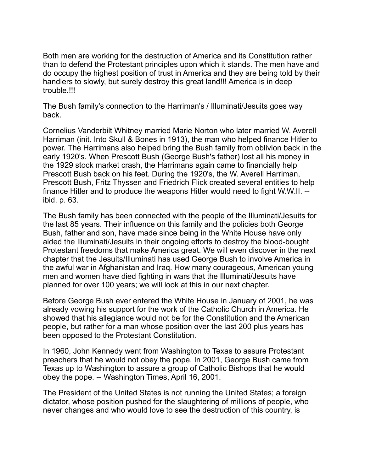Both men are working for the destruction of America and its Constitution rather than to defend the Protestant principles upon which it stands. The men have and do occupy the highest position of trust in America and they are being told by their handlers to slowly, but surely destroy this great land!!! America is in deep trouble.!!!

The Bush family's connection to the Harriman's / Illuminati/Jesuits goes way back.

Cornelius Vanderbilt Whitney married Marie Norton who later married W. Averell Harriman (init. Into Skull & Bones in 1913), the man who helped finance Hitler to power. The Harrimans also helped bring the Bush family from oblivion back in the early 1920's. When Prescott Bush (George Bush's father) lost all his money in the 1929 stock market crash, the Harrimans again came to financially help Prescott Bush back on his feet. During the 1920's, the W. Averell Harriman, Prescott Bush, Fritz Thyssen and Friedrich Flick created several entities to help finance Hitler and to produce the weapons Hitler would need to fight W.W.II. - ibid. p. 63.

The Bush family has been connected with the people of the Illuminati/Jesuits for the last 85 years. Their influence on this family and the policies both George Bush, father and son, have made since being in the White House have only aided the Illuminati/Jesuits in their ongoing efforts to destroy the blood-bought Protestant freedoms that make America great. We will even discover in the next chapter that the Jesuits/Illuminati has used George Bush to involve America in the awful war in Afghanistan and Iraq. How many courageous, American young men and women have died fighting in wars that the Illuminati/Jesuits have planned for over 100 years; we will look at this in our next chapter.

Before George Bush ever entered the White House in January of 2001, he was already vowing his support for the work of the Catholic Church in America. He showed that his allegiance would not be for the Constitution and the American people, but rather for a man whose position over the last 200 plus years has been opposed to the Protestant Constitution.

In 1960, John Kennedy went from Washington to Texas to assure Protestant preachers that he would not obey the pope. In 2001, George Bush came from Texas up to Washington to assure a group of Catholic Bishops that he would obey the pope. -- Washington Times, April 16, 2001.

The President of the United States is not running the United States; a foreign dictator, whose position pushed for the slaughtering of millions of people, who never changes and who would love to see the destruction of this country, is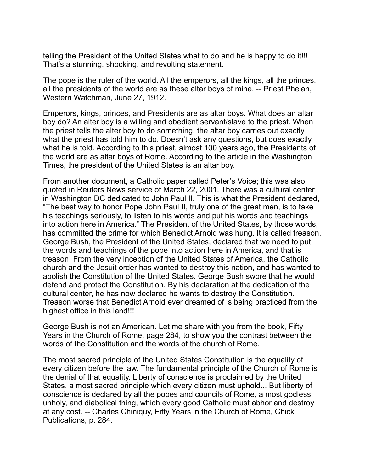telling the President of the United States what to do and he is happy to do it!!! That's a stunning, shocking, and revolting statement.

The pope is the ruler of the world. All the emperors, all the kings, all the princes, all the presidents of the world are as these altar boys of mine. -- Priest Phelan, Western Watchman, June 27, 1912.

Emperors, kings, princes, and Presidents are as altar boys. What does an altar boy do? An alter boy is a willing and obedient servant/slave to the priest. When the priest tells the alter boy to do something, the altar boy carries out exactly what the priest has told him to do. Doesn't ask any questions, but does exactly what he is told. According to this priest, almost 100 years ago, the Presidents of the world are as altar boys of Rome. According to the article in the Washington Times, the president of the United States is an altar boy.

From another document, a Catholic paper called Peter's Voice; this was also quoted in Reuters News service of March 22, 2001. There was a cultural center in Washington DC dedicated to John Paul II. This is what the President declared, "The best way to honor Pope John Paul II, truly one of the great men, is to take his teachings seriously, to listen to his words and put his words and teachings into action here in America." The President of the United States, by those words, has committed the crime for which Benedict Arnold was hung. It is called treason. George Bush, the President of the United States, declared that we need to put the words and teachings of the pope into action here in America, and that is treason. From the very inception of the United States of America, the Catholic church and the Jesuit order has wanted to destroy this nation, and has wanted to abolish the Constitution of the United States. George Bush swore that he would defend and protect the Constitution. By his declaration at the dedication of the cultural center, he has now declared he wants to destroy the Constitution. Treason worse that Benedict Arnold ever dreamed of is being practiced from the highest office in this land!!!

George Bush is not an American. Let me share with you from the book, Fifty Years in the Church of Rome, page 284, to show you the contrast between the words of the Constitution and the words of the church of Rome.

The most sacred principle of the United States Constitution is the equality of every citizen before the law. The fundamental principle of the Church of Rome is the denial of that equality. Liberty of conscience is proclaimed by the United States, a most sacred principle which every citizen must uphold... But liberty of conscience is declared by all the popes and councils of Rome, a most godless, unholy, and diabolical thing, which every good Catholic must abhor and destroy at any cost. -- Charles Chiniquy, Fifty Years in the Church of Rome, Chick Publications, p. 284.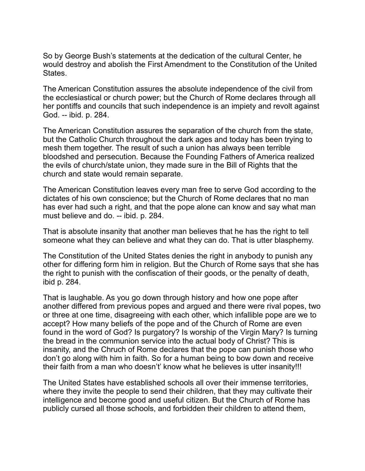So by George Bush's statements at the dedication of the cultural Center, he would destroy and abolish the First Amendment to the Constitution of the United States.

The American Constitution assures the absolute independence of the civil from the ecclesiastical or church power; but the Church of Rome declares through all her pontiffs and councils that such independence is an impiety and revolt against God. -- ibid. p. 284.

The American Constitution assures the separation of the church from the state, but the Catholic Church throughout the dark ages and today has been trying to mesh them together. The result of such a union has always been terrible bloodshed and persecution. Because the Founding Fathers of America realized the evils of church/state union, they made sure in the Bill of Rights that the church and state would remain separate.

The American Constitution leaves every man free to serve God according to the dictates of his own conscience; but the Church of Rome declares that no man has ever had such a right, and that the pope alone can know and say what man must believe and do. -- ibid. p. 284.

That is absolute insanity that another man believes that he has the right to tell someone what they can believe and what they can do. That is utter blasphemy.

The Constitution of the United States denies the right in anybody to punish any other for differing form him in religion. But the Church of Rome says that she has the right to punish with the confiscation of their goods, or the penalty of death, ibid p. 284.

That is laughable. As you go down through history and how one pope after another differed from previous popes and argued and there were rival popes, two or three at one time, disagreeing with each other, which infallible pope are we to accept? How many beliefs of the pope and of the Church of Rome are even found in the word of God? Is purgatory? Is worship of the Virgin Mary? Is turning the bread in the communion service into the actual body of Christ? This is insanity, and the Chruch of Rome declares that the pope can punish those who don't go along with him in faith. So for a human being to bow down and receive their faith from a man who doesn't' know what he believes is utter insanity!!!

The United States have established schools all over their immense territories, where they invite the people to send their children, that they may cultivate their intelligence and become good and useful citizen. But the Church of Rome has publicly cursed all those schools, and forbidden their children to attend them,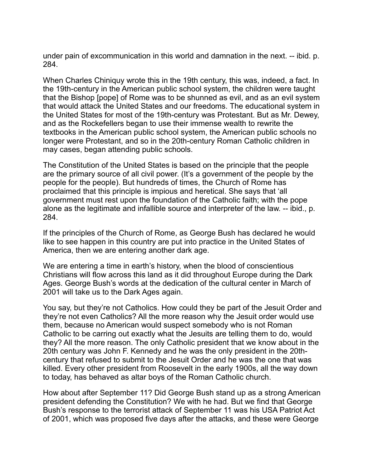under pain of excommunication in this world and damnation in the next. -- ibid. p. 284.

When Charles Chiniquy wrote this in the 19th century, this was, indeed, a fact. In the 19th-century in the American public school system, the children were taught that the Bishop [pope] of Rome was to be shunned as evil, and as an evil system that would attack the United States and our freedoms. The educational system in the United States for most of the 19th-century was Protestant. But as Mr. Dewey, and as the Rockefellers began to use their immense wealth to rewrite the textbooks in the American public school system, the American public schools no longer were Protestant, and so in the 20th-century Roman Catholic children in may cases, began attending public schools.

The Constitution of the United States is based on the principle that the people are the primary source of all civil power. (It's a government of the people by the people for the people). But hundreds of times, the Church of Rome has proclaimed that this principle is impious and heretical. She says that 'all government must rest upon the foundation of the Catholic faith; with the pope alone as the legitimate and infallible source and interpreter of the law. -- ibid., p. 284.

If the principles of the Church of Rome, as George Bush has declared he would like to see happen in this country are put into practice in the United States of America, then we are entering another dark age.

We are entering a time in earth's history, when the blood of conscientious Christians will flow across this land as it did throughout Europe during the Dark Ages. George Bush's words at the dedication of the cultural center in March of 2001 will take us to the Dark Ages again.

You say, but they're not Catholics. How could they be part of the Jesuit Order and they're not even Catholics? All the more reason why the Jesuit order would use them, because no American would suspect somebody who is not Roman Catholic to be carring out exactly what the Jesuits are telling them to do, would they? All the more reason. The only Catholic president that we know about in the 20th century was John F. Kennedy and he was the only president in the 20thcentury that refused to submit to the Jesuit Order and he was the one that was killed. Every other president from Roosevelt in the early 1900s, all the way down to today, has behaved as altar boys of the Roman Catholic church.

How about after September 11? Did George Bush stand up as a strong American president defending the Constitution? We with he had. But we find that George Bush's response to the terrorist attack of September 11 was his USA Patriot Act of 2001, which was proposed five days after the attacks, and these were George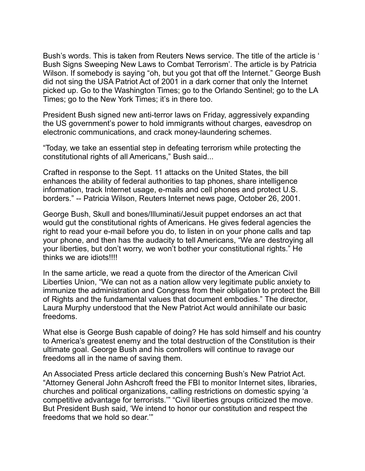Bush's words. This is taken from Reuters News service. The title of the article is ' Bush Signs Sweeping New Laws to Combat Terrorism'. The article is by Patricia Wilson. If somebody is saying "oh, but you got that off the Internet." George Bush did not sing the USA Patriot Act of 2001 in a dark corner that only the Internet picked up. Go to the Washington Times; go to the Orlando Sentinel; go to the LA Times; go to the New York Times; it's in there too.

President Bush signed new anti-terror laws on Friday, aggressively expanding the US government's power to hold immigrants without charges, eavesdrop on electronic communications, and crack money-laundering schemes.

"Today, we take an essential step in defeating terrorism while protecting the constitutional rights of all Americans," Bush said...

Crafted in response to the Sept. 11 attacks on the United States, the bill enhances the ability of federal authorities to tap phones, share intelligence information, track Internet usage, e-mails and cell phones and protect U.S. borders." -- Patricia Wilson, Reuters Internet news page, October 26, 2001.

George Bush, Skull and bones/Illuminati/Jesuit puppet endorses an act that would gut the constitutional rights of Americans. He gives federal agencies the right to read your e-mail before you do, to listen in on your phone calls and tap your phone, and then has the audacity to tell Americans, "We are destroying all your liberties, but don't worry, we won't bother your constitutional rights." He thinks we are idiots!!!!

In the same article, we read a quote from the director of the American Civil Liberties Union, "We can not as a nation allow very legitimate public anxiety to immunize the administration and Congress from their obligation to protect the Bill of Rights and the fundamental values that document embodies." The director, Laura Murphy understood that the New Patriot Act would annihilate our basic freedoms.

What else is George Bush capable of doing? He has sold himself and his country to America's greatest enemy and the total destruction of the Constitution is their ultimate goal. George Bush and his controllers will continue to ravage our freedoms all in the name of saving them.

An Associated Press article declared this concerning Bush's New Patriot Act. "Attorney General John Ashcroft freed the FBI to monitor Internet sites, libraries, churches and political organizations, calling restrictions on domestic spying 'a competitive advantage for terrorists.'" "Civil liberties groups criticized the move. But President Bush said, 'We intend to honor our constitution and respect the freedoms that we hold so dear.'"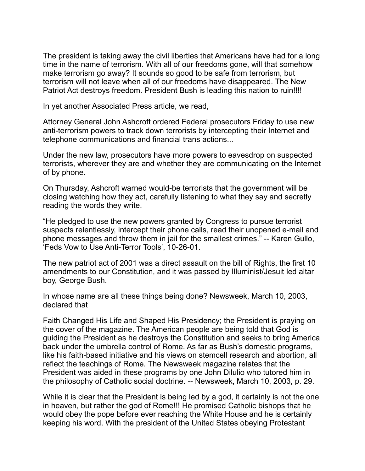The president is taking away the civil liberties that Americans have had for a long time in the name of terrorism. With all of our freedoms gone, will that somehow make terrorism go away? It sounds so good to be safe from terrorism, but terrorism will not leave when all of our freedoms have disappeared. The New Patriot Act destroys freedom. President Bush is leading this nation to ruin!!!!

In yet another Associated Press article, we read,

Attorney General John Ashcroft ordered Federal prosecutors Friday to use new anti-terrorism powers to track down terrorists by intercepting their Internet and telephone communications and financial trans actions...

Under the new law, prosecutors have more powers to eavesdrop on suspected terrorists, wherever they are and whether they are communicating on the Internet of by phone.

On Thursday, Ashcroft warned would-be terrorists that the government will be closing watching how they act, carefully listening to what they say and secretly reading the words they write.

"He pledged to use the new powers granted by Congress to pursue terrorist suspects relentlessly, intercept their phone calls, read their unopened e-mail and phone messages and throw them in jail for the smallest crimes." -- Karen Gullo, 'Feds Vow to Use Anti-Terror Tools', 10-26-01.

The new patriot act of 2001 was a direct assault on the bill of Rights, the first 10 amendments to our Constitution, and it was passed by Illuminist/Jesuit led altar boy, George Bush.

In whose name are all these things being done? Newsweek, March 10, 2003, declared that

Faith Changed His Life and Shaped His Presidency; the President is praying on the cover of the magazine. The American people are being told that God is guiding the President as he destroys the Constitution and seeks to bring America back under the umbrella control of Rome. As far as Bush's domestic programs, like his faith-based initiative and his views on stemcell research and abortion, all reflect the teachings of Rome. The Newsweek magazine relates that the President was aided in these programs by one John Dilulio who tutored him in the philosophy of Catholic social doctrine. -- Newsweek, March 10, 2003, p. 29.

While it is clear that the President is being led by a god, it certainly is not the one in heaven, but rather the god of Rome!!! He promised Catholic bishops that he would obey the pope before ever reaching the White House and he is certainly keeping his word. With the president of the United States obeying Protestant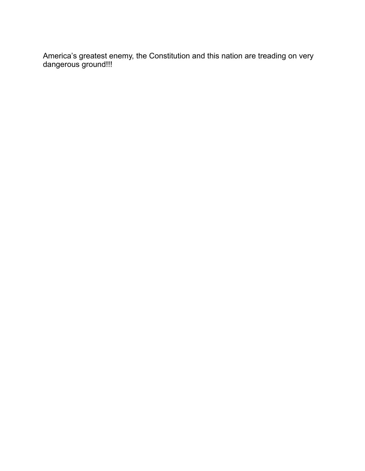America's greatest enemy, the Constitution and this nation are treading on very dangerous ground!!!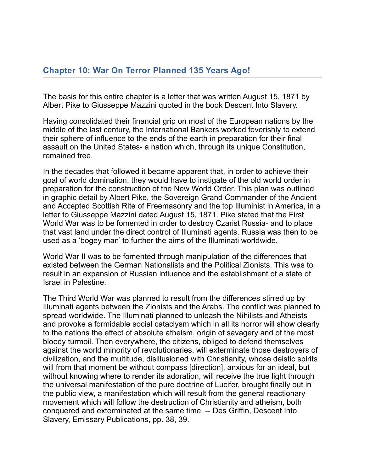The basis for this entire chapter is a letter that was written August 15, 1871 by Albert Pike to Giusseppe Mazzini quoted in the book Descent Into Slavery.

Having consolidated their financial grip on most of the European nations by the middle of the last century, the International Bankers worked feverishly to extend their sphere of influence to the ends of the earth in preparation for their final assault on the United States- a nation which, through its unique Constitution, remained free.

In the decades that followed it became apparent that, in order to achieve their goal of world domination, they would have to instigate of the old world order in preparation for the construction of the New World Order. This plan was outlined in graphic detail by Albert Pike, the Sovereign Grand Commander of the Ancient and Accepted Scottish Rite of Freemasonry and the top Illuminist in America, in a letter to Giusseppe Mazzini dated August 15, 1871. Pike stated that the First World War was to be fomented in order to destroy Czarist Russia- and to place that vast land under the direct control of Illuminati agents. Russia was then to be used as a 'bogey man' to further the aims of the Illuminati worldwide.

World War II was to be fomented through manipulation of the differences that existed between the German Nationalists and the Political Zionists. This was to result in an expansion of Russian influence and the establishment of a state of Israel in Palestine.

The Third World War was planned to result from the differences stirred up by Illuminati agents between the Zionists and the Arabs. The conflict was planned to spread worldwide. The Illuminati planned to unleash the Nihilists and Atheists and provoke a formidable social cataclysm which in all its horror will show clearly to the nations the effect of absolute atheism, origin of savagery and of the most bloody turmoil. Then everywhere, the citizens, obliged to defend themselves against the world minority of revolutionaries, will exterminate those destroyers of civilization, and the multitude, disillusioned with Christianity, whose deistic spirits will from that moment be without compass [direction], anxious for an ideal, but without knowing where to render its adoration, will receive the true light through the universal manifestation of the pure doctrine of Lucifer, brought finally out in the public view, a manifestation which will result from the general reactionary movement which will follow the destruction of Christianity and atheism, both conquered and exterminated at the same time. -- Des Griffin, Descent Into Slavery, Emissary Publications, pp. 38, 39.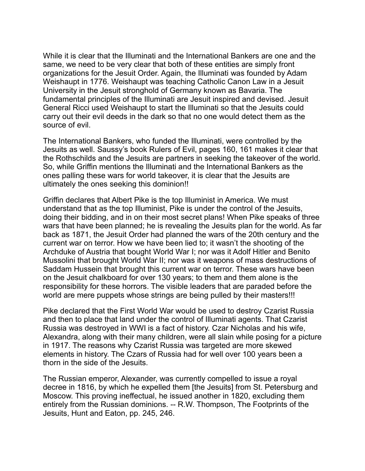While it is clear that the Illuminati and the International Bankers are one and the same, we need to be very clear that both of these entities are simply front organizations for the Jesuit Order. Again, the Illuminati was founded by Adam Weishaupt in 1776. Weishaupt was teaching Catholic Canon Law in a Jesuit University in the Jesuit stronghold of Germany known as Bavaria. The fundamental principles of the Illuminati are Jesuit inspired and devised. Jesuit General Ricci used Weishaupt to start the Illuminati so that the Jesuits could carry out their evil deeds in the dark so that no one would detect them as the source of evil.

The International Bankers, who funded the Illuminati, were controlled by the Jesuits as well. Saussy's book Rulers of Evil, pages 160, 161 makes it clear that the Rothschilds and the Jesuits are partners in seeking the takeover of the world. So, while Griffin mentions the Illuminati and the International Bankers as the ones palling these wars for world takeover, it is clear that the Jesuits are ultimately the ones seeking this dominion!!

Griffin declares that Albert Pike is the top Illuminist in America. We must understand that as the top Illuminist, Pike is under the control of the Jesuits, doing their bidding, and in on their most secret plans! When Pike speaks of three wars that have been planned; he is revealing the Jesuits plan for the world. As far back as 1871, the Jesuit Order had planned the wars of the 20th century and the current war on terror. How we have been lied to; it wasn't the shooting of the Archduke of Austria that bought World War I; nor was it Adolf Hitler and Benito Mussolini that brought World War II; nor was it weapons of mass destructions of Saddam Hussein that brought this current war on terror. These wars have been on the Jesuit chalkboard for over 130 years; to them and them alone is the responsibility for these horrors. The visible leaders that are paraded before the world are mere puppets whose strings are being pulled by their masters!!!

Pike declared that the First World War would be used to destroy Czarist Russia and then to place that land under the control of Illuminati agents. That Czarist Russia was destroyed in WWI is a fact of history. Czar Nicholas and his wife, Alexandra, along with their many children, were all slain while posing for a picture in 1917. The reasons why Czarist Russia was targeted are more skewed elements in history. The Czars of Russia had for well over 100 years been a thorn in the side of the Jesuits.

The Russian emperor, Alexander, was currently compelled to issue a royal decree in 1816, by which he expelled them [the Jesuits] from St. Petersburg and Moscow. This proving ineffectual, he issued another in 1820, excluding them entirely from the Russian dominions. -- R.W. Thompson, The Footprints of the Jesuits, Hunt and Eaton, pp. 245, 246.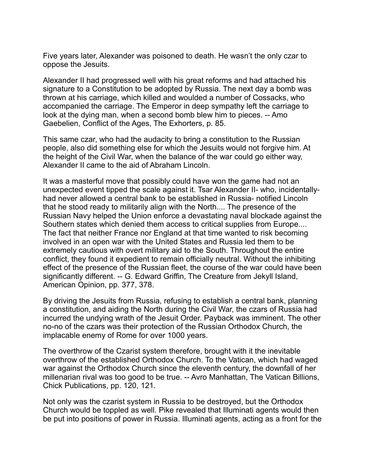Five years later, Alexander was poisoned to death. He wasn't the only czar to oppose the Jesuits.

Alexander II had progressed well with his great reforms and had attached his signature to a Constitution to be adopted by Russia. The next day a bomb was thrown at his carriage, which killed and woulded a number of Cossacks, who accompanied the carriage. The Emperor in deep sympathy left the carriage to look at the dying man, when a second bomb blew him to pieces. -- Amo Gaebelien, Conflict of the Ages, The Exhorters, p. 85.

This same czar, who had the audacity to bring a constitution to the Russian people, also did something else for which the Jesuits would not forgive him. At the height of the Civil War, when the balance of the war could go either way, Alexander II came to the aid of Abraham Lincoln.

It was a masterful move that possibly could have won the game had not an unexpected event tipped the scale against it. Tsar Alexander II- who, incidentallyhad never allowed a central bank to be established in Russia- notified Lincoln that he stood ready to militarily align with the North.... The presence of the Russian Navy helped the Union enforce a devastating naval blockade against the Southern states which denied them access to critical supplies from Europe.... The fact that neither France nor England at that time wanted to risk becoming involved in an open war with the United States and Russia led them to be extremely cautious with overt military aid to the South. Throughout the entire conflict, they found it expedient to remain officially neutral. Without the inhibiting effect of the presence of the Russian fleet, the course of the war could have been significantly different. -- G. Edward Griffin, The Creature from Jekyll Island, American Opinion, pp. 377, 378.

By driving the Jesuits from Russia, refusing to establish a central bank, planning a constitution, and aiding the North during the Civil War, the czars of Russia had incurred the undying wrath of the Jesuit Order. Payback was imminent. The other no-no of the czars was their protection of the Russian Orthodox Church, the implacable enemy of Rome for over 1000 years.

The overthrow of the Czarist system therefore, brought with it the inevitable overthrow of the established Orthodox Church. To the Vatican, which had waged war against the Orthodox Church since the eleventh century, the downfall of her millenarian rival was too good to be true. -- Avro Manhattan, The Vatican Billions, Chick Publications, pp. 120, 121.

Not only was the czarist system in Russia to be destroyed, but the Orthodox Church would be toppled as well. Pike revealed that Illuminati agents would then be put into positions of power in Russia. Illuminati agents, acting as a front for the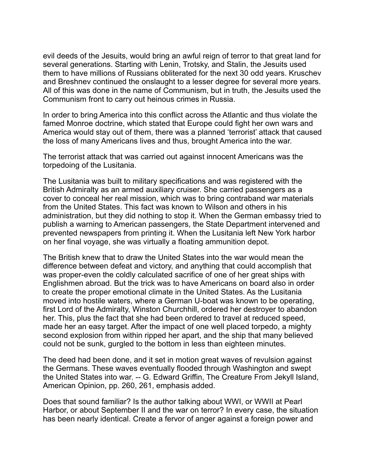evil deeds of the Jesuits, would bring an awful reign of terror to that great land for several generations. Starting with Lenin, Trotsky, and Stalin, the Jesuits used them to have millions of Russians obliterated for the next 30 odd years. Kruschev and Breshnev continued the onslaught to a lesser degree for several more years. All of this was done in the name of Communism, but in truth, the Jesuits used the Communism front to carry out heinous crimes in Russia.

In order to bring America into this conflict across the Atlantic and thus violate the famed Monroe doctrine, which stated that Europe could fight her own wars and America would stay out of them, there was a planned 'terrorist' attack that caused the loss of many Americans lives and thus, brought America into the war.

The terrorist attack that was carried out against innocent Americans was the torpedoing of the Lusitania.

The Lusitania was built to military specifications and was registered with the British Admiralty as an armed auxiliary cruiser. She carried passengers as a cover to conceal her real mission, which was to bring contraband war materials from the United States. This fact was known to Wilson and others in his administration, but they did nothing to stop it. When the German embassy tried to publish a warning to American passengers, the State Department intervened and prevented newspapers from printing it. When the Lusitania left New York harbor on her final voyage, she was virtually a floating ammunition depot.

The British knew that to draw the United States into the war would mean the difference between defeat and victory, and anything that could accomplish that was proper-even the coldly calculated sacrifice of one of her great ships with Englishmen abroad. But the trick was to have Americans on board also in order to create the proper emotional climate in the United States. As the Lusitania moved into hostile waters, where a German U-boat was known to be operating, first Lord of the Admiralty, Winston Churchhill, ordered her destroyer to abandon her. This, plus the fact that she had been ordered to travel at reduced speed, made her an easy target. After the impact of one well placed torpedo, a mighty second explosion from within ripped her apart, and the ship that many believed could not be sunk, gurgled to the bottom in less than eighteen minutes.

The deed had been done, and it set in motion great waves of revulsion against the Germans. These waves eventually flooded through Washington and swept the United States into war. -- G. Edward Griffin, The Creature From Jekyll Island, American Opinion, pp. 260, 261, emphasis added.

Does that sound familiar? Is the author talking about WWI, or WWII at Pearl Harbor, or about September II and the war on terror? In every case, the situation has been nearly identical. Create a fervor of anger against a foreign power and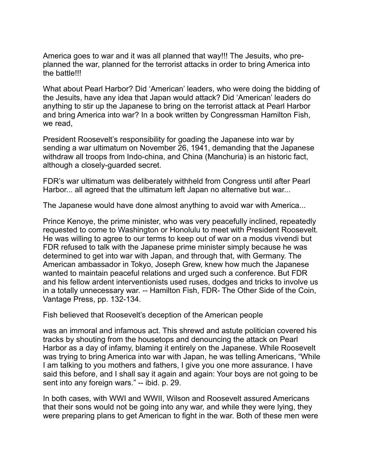America goes to war and it was all planned that way!!! The Jesuits, who preplanned the war, planned for the terrorist attacks in order to bring America into the battle!!!

What about Pearl Harbor? Did 'American' leaders, who were doing the bidding of the Jesuits, have any idea that Japan would attack? Did 'American' leaders do anything to stir up the Japanese to bring on the terrorist attack at Pearl Harbor and bring America into war? In a book written by Congressman Hamilton Fish, we read,

President Roosevelt's responsibility for goading the Japanese into war by sending a war ultimatum on November 26, 1941, demanding that the Japanese withdraw all troops from Indo-china, and China (Manchuria) is an historic fact, although a closely-guarded secret.

FDR's war ultimatum was deliberately withheld from Congress until after Pearl Harbor... all agreed that the ultimatum left Japan no alternative but war...

The Japanese would have done almost anything to avoid war with America...

Prince Kenoye, the prime minister, who was very peacefully inclined, repeatedly requested to come to Washington or Honolulu to meet with President Roosevelt. He was willing to agree to our terms to keep out of war on a modus vivendi but FDR refused to talk with the Japanese prime minister simply because he was determined to get into war with Japan, and through that, with Germany. The American ambassador in Tokyo, Joseph Grew, knew how much the Japanese wanted to maintain peaceful relations and urged such a conference. But FDR and his fellow ardent interventionists used ruses, dodges and tricks to involve us in a totally unnecessary war. -- Hamilton Fish, FDR- The Other Side of the Coin, Vantage Press, pp. 132-134.

Fish believed that Roosevelt's deception of the American people

was an immoral and infamous act. This shrewd and astute politician covered his tracks by shouting from the housetops and denouncing the attack on Pearl Harbor as a day of infamy, blaming it entirely on the Japanese. While Roosevelt was trying to bring America into war with Japan, he was telling Americans, "While I am talking to you mothers and fathers, I give you one more assurance. I have said this before, and I shall say it again and again: Your boys are not going to be sent into any foreign wars." -- ibid. p. 29.

In both cases, with WWI and WWII, Wilson and Roosevelt assured Americans that their sons would not be going into any war, and while they were lying, they were preparing plans to get American to fight in the war. Both of these men were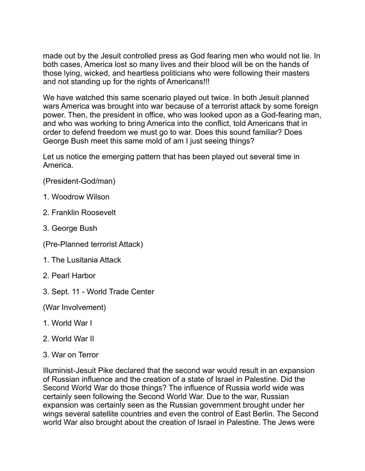made out by the Jesuit controlled press as God fearing men who would not lie. In both cases, America lost so many lives and their blood will be on the hands of those lying, wicked, and heartless politicians who were following their masters and not standing up for the rights of Americans!!!

We have watched this same scenario played out twice. In both Jesuit planned wars America was brought into war because of a terrorist attack by some foreign power. Then, the president in office, who was looked upon as a God-fearing man, and who was working to bring America into the conflict, told Americans that in order to defend freedom we must go to war. Does this sound familiar? Does George Bush meet this same mold of am I just seeing things?

Let us notice the emerging pattern that has been played out several time in America.

(President-God/man)

- 1. Woodrow Wilson
- 2. Franklin Roosevelt
- 3. George Bush
- (Pre-Planned terrorist Attack)
- 1. The Lusitania Attack
- 2. Pearl Harbor
- 3. Sept. 11 World Trade Center

(War Involvement)

- 1. World War I
- 2. World War II
- 3. War on Terror

Illuminist-Jesuit Pike declared that the second war would result in an expansion of Russian influence and the creation of a state of Israel in Palestine. Did the Second World War do those things? The influence of Russia world wide was certainly seen following the Second World War. Due to the war, Russian expansion was certainly seen as the Russian government brought under her wings several satellite countries and even the control of East Berlin. The Second world War also brought about the creation of Israel in Palestine. The Jews were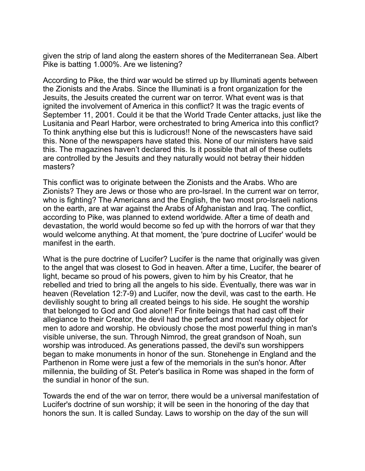given the strip of land along the eastern shores of the Mediterranean Sea. Albert Pike is batting 1.000%. Are we listening?

According to Pike, the third war would be stirred up by Illuminati agents between the Zionists and the Arabs. Since the Illuminati is a front organization for the Jesuits, the Jesuits created the current war on terror. What event was is that ignited the involvement of America in this conflict? It was the tragic events of September 11, 2001. Could it be that the World Trade Center attacks, just like the Lusitania and Pearl Harbor, were orchestrated to bring America into this conflict? To think anything else but this is ludicrous!! None of the newscasters have said this. None of the newspapers have stated this. None of our ministers have said this. The magazines haven't declared this. Is it possible that all of these outlets are controlled by the Jesuits and they naturally would not betray their hidden masters?

This conflict was to originate between the Zionists and the Arabs. Who are Zionists? They are Jews or those who are pro-Israel. In the current war on terror, who is fighting? The Americans and the English, the two most pro-Israeli nations on the earth, are at war against the Arabs of Afghanistan and Iraq. The conflict, according to Pike, was planned to extend worldwide. After a time of death and devastation, the world would become so fed up with the horrors of war that they would welcome anything. At that moment, the 'pure doctrine of Lucifer' would be manifest in the earth.

What is the pure doctrine of Lucifer? Lucifer is the name that originally was given to the angel that was closest to God in heaven. After a time, Lucifer, the bearer of light, became so proud of his powers, given to him by his Creator, that he rebelled and tried to bring all the angels to his side. Eventually, there was war in heaven (Revelation 12:7-9) and Lucifer, now the devil, was cast to the earth. He devilishly sought to bring all created beings to his side. He sought the worship that belonged to God and God alone!! For finite beings that had cast off their allegiance to their Creator, the devil had the perfect and most ready object for men to adore and worship. He obviously chose the most powerful thing in man's visible universe, the sun. Through Nimrod, the great grandson of Noah, sun worship was introduced. As generations passed, the devil's sun worshippers began to make monuments in honor of the sun. Stonehenge in England and the Parthenon in Rome were just a few of the memorials in the sun's honor. After millennia, the building of St. Peter's basilica in Rome was shaped in the form of the sundial in honor of the sun.

Towards the end of the war on terror, there would be a universal manifestation of Lucifer's doctrine of sun worship; it will be seen in the honoring of the day that honors the sun. It is called Sunday. Laws to worship on the day of the sun will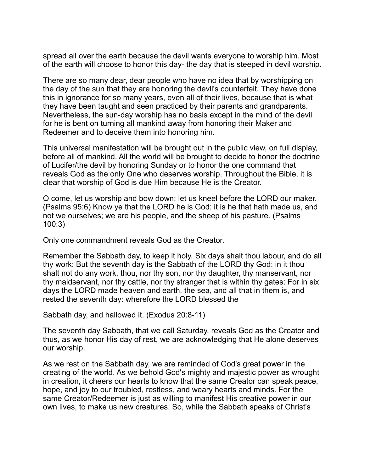spread all over the earth because the devil wants everyone to worship him. Most of the earth will choose to honor this day- the day that is steeped in devil worship.

There are so many dear, dear people who have no idea that by worshipping on the day of the sun that they are honoring the devil's counterfeit. They have done this in ignorance for so many years, even all of their lives, because that is what they have been taught and seen practiced by their parents and grandparents. Nevertheless, the sun-day worship has no basis except in the mind of the devil for he is bent on turning all mankind away from honoring their Maker and Redeemer and to deceive them into honoring him.

This universal manifestation will be brought out in the public view, on full display, before all of mankind. All the world will be brought to decide to honor the doctrine of Lucifer/the devil by honoring Sunday or to honor the one command that reveals God as the only One who deserves worship. Throughout the Bible, it is clear that worship of God is due Him because He is the Creator.

O come, let us worship and bow down: let us kneel before the LORD our maker. (Psalms 95:6) Know ye that the LORD he is God: it is he that hath made us, and not we ourselves; we are his people, and the sheep of his pasture. (Psalms 100:3)

Only one commandment reveals God as the Creator.

Remember the Sabbath day, to keep it holy. Six days shalt thou labour, and do all thy work: But the seventh day is the Sabbath of the LORD thy God: in it thou shalt not do any work, thou, nor thy son, nor thy daughter, thy manservant, nor thy maidservant, nor thy cattle, nor thy stranger that is within thy gates: For in six days the LORD made heaven and earth, the sea, and all that in them is, and rested the seventh day: wherefore the LORD blessed the

Sabbath day, and hallowed it. (Exodus 20:8-11)

The seventh day Sabbath, that we call Saturday, reveals God as the Creator and thus, as we honor His day of rest, we are acknowledging that He alone deserves our worship.

As we rest on the Sabbath day, we are reminded of God's great power in the creating of the world. As we behold God's mighty and majestic power as wrought in creation, it cheers our hearts to know that the same Creator can speak peace, hope, and joy to our troubled, restless, and weary hearts and minds. For the same Creator/Redeemer is just as willing to manifest His creative power in our own lives, to make us new creatures. So, while the Sabbath speaks of Christ's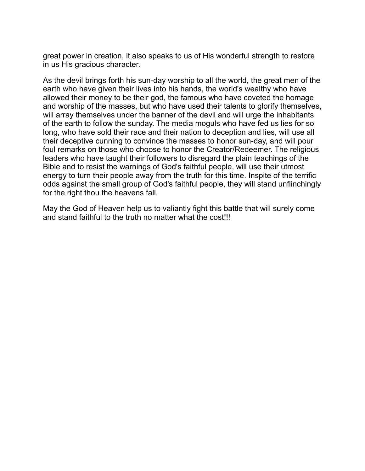great power in creation, it also speaks to us of His wonderful strength to restore in us His gracious character.

As the devil brings forth his sun-day worship to all the world, the great men of the earth who have given their lives into his hands, the world's wealthy who have allowed their money to be their god, the famous who have coveted the homage and worship of the masses, but who have used their talents to glorify themselves, will array themselves under the banner of the devil and will urge the inhabitants of the earth to follow the sunday. The media moguls who have fed us lies for so long, who have sold their race and their nation to deception and lies, will use all their deceptive cunning to convince the masses to honor sun-day, and will pour foul remarks on those who choose to honor the Creator/Redeemer. The religious leaders who have taught their followers to disregard the plain teachings of the Bible and to resist the warnings of God's faithful people, will use their utmost energy to turn their people away from the truth for this time. Inspite of the terrific odds against the small group of God's faithful people, they will stand unflinchingly for the right thou the heavens fall.

May the God of Heaven help us to valiantly fight this battle that will surely come and stand faithful to the truth no matter what the cost!!!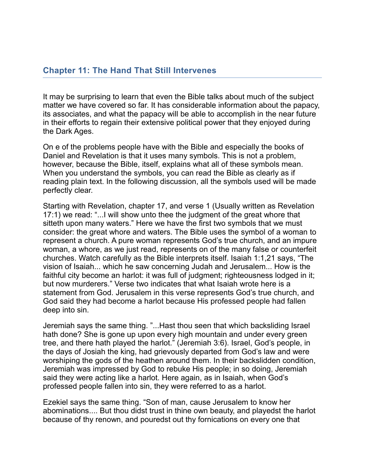## **Chapter 11: The Hand That Still Intervenes**

It may be surprising to learn that even the Bible talks about much of the subject matter we have covered so far. It has considerable information about the papacy, its associates, and what the papacy will be able to accomplish in the near future in their efforts to regain their extensive political power that they enjoyed during the Dark Ages.

On e of the problems people have with the Bible and especially the books of Daniel and Revelation is that it uses many symbols. This is not a problem, however, because the Bible, itself, explains what all of these symbols mean. When you understand the symbols, you can read the Bible as clearly as if reading plain text. In the following discussion, all the symbols used will be made perfectly clear.

Starting with Revelation, chapter 17, and verse 1 (Usually written as Revelation 17:1) we read: "...I will show unto thee the judgment of the great whore that sitteth upon many waters." Here we have the first two symbols that we must consider: the great whore and waters. The Bible uses the symbol of a woman to represent a church. A pure woman represents God's true church, and an impure woman, a whore, as we just read, represents on of the many false or counterfeit churches. Watch carefully as the Bible interprets itself. Isaiah 1:1,21 says, "The vision of Isaiah... which he saw concerning Judah and Jerusalem... How is the faithful city become an harlot: it was full of judgment; righteousness lodged in it; but now murderers." Verse two indicates that what Isaiah wrote here is a statement from God. Jerusalem in this verse represents God's true church, and God said they had become a harlot because His professed people had fallen deep into sin.

Jeremiah says the same thing. "...Hast thou seen that which backsliding Israel hath done? She is gone up upon every high mountain and under every green tree, and there hath played the harlot." (Jeremiah 3:6). Israel, God's people, in the days of Josiah the king, had grievously departed from God's law and were worshiping the gods of the heathen around them. In their backslidden condition, Jeremiah was impressed by God to rebuke His people; in so doing, Jeremiah said they were acting like a harlot. Here again, as in Isaiah, when God's professed people fallen into sin, they were referred to as a harlot.

Ezekiel says the same thing. "Son of man, cause Jerusalem to know her abominations.... But thou didst trust in thine own beauty, and playedst the harlot because of thy renown, and pouredst out thy fornications on every one that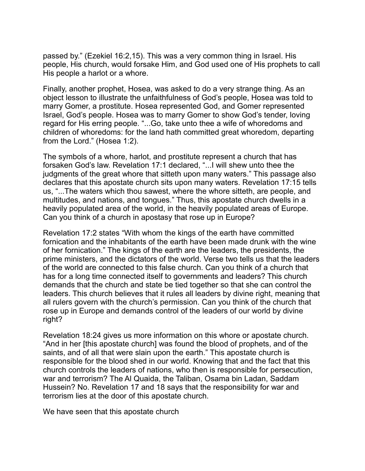passed by." (Ezekiel 16:2,15). This was a very common thing in Israel. His people, His church, would forsake Him, and God used one of His prophets to call His people a harlot or a whore.

Finally, another prophet, Hosea, was asked to do a very strange thing. As an object lesson to illustrate the unfaithfulness of God's people, Hosea was told to marry Gomer, a prostitute. Hosea represented God, and Gomer represented Israel, God's people. Hosea was to marry Gomer to show God's tender, loving regard for His erring people. "...Go, take unto thee a wife of whoredoms and children of whoredoms: for the land hath committed great whoredom, departing from the Lord." (Hosea 1:2).

The symbols of a whore, harlot, and prostitute represent a church that has forsaken God's law. Revelation 17:1 declared, "...I will shew unto thee the judgments of the great whore that sitteth upon many waters." This passage also declares that this apostate church sits upon many waters. Revelation 17:15 tells us, "...The waters which thou sawest, where the whore sitteth, are people, and multitudes, and nations, and tongues." Thus, this apostate church dwells in a heavily populated area of the world, in the heavily populated areas of Europe. Can you think of a church in apostasy that rose up in Europe?

Revelation 17:2 states "With whom the kings of the earth have committed fornication and the inhabitants of the earth have been made drunk with the wine of her fornication." The kings of the earth are the leaders, the presidents, the prime ministers, and the dictators of the world. Verse two tells us that the leaders of the world are connected to this false church. Can you think of a church that has for a long time connected itself to governments and leaders? This church demands that the church and state be tied together so that she can control the leaders. This church believes that it rules all leaders by divine right, meaning that all rulers govern with the church's permission. Can you think of the church that rose up in Europe and demands control of the leaders of our world by divine right?

Revelation 18:24 gives us more information on this whore or apostate church. "And in her [this apostate church] was found the blood of prophets, and of the saints, and of all that were slain upon the earth." This apostate church is responsible for the blood shed in our world. Knowing that and the fact that this church controls the leaders of nations, who then is responsible for persecution, war and terrorism? The Al Quaida, the Taliban, Osama bin Ladan, Saddam Hussein? No. Revelation 17 and 18 says that the responsibility for war and terrorism lies at the door of this apostate church.

We have seen that this apostate church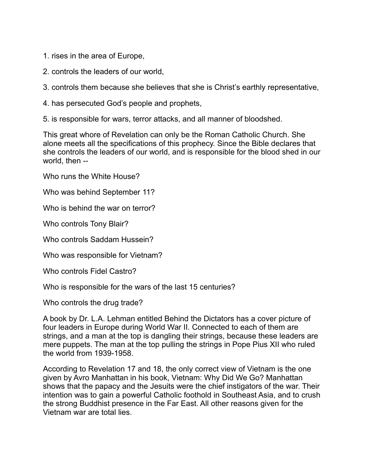- 1. rises in the area of Europe,
- 2. controls the leaders of our world,
- 3. controls them because she believes that she is Christ's earthly representative,
- 4. has persecuted God's people and prophets,
- 5. is responsible for wars, terror attacks, and all manner of bloodshed.

This great whore of Revelation can only be the Roman Catholic Church. She alone meets all the specifications of this prophecy. Since the Bible declares that she controls the leaders of our world, and is responsible for the blood shed in our world, then --

Who runs the White House?

Who was behind September 11?

Who is behind the war on terror?

Who controls Tony Blair?

Who controls Saddam Hussein?

Who was responsible for Vietnam?

Who controls Fidel Castro?

Who is responsible for the wars of the last 15 centuries?

Who controls the drug trade?

A book by Dr. L.A. Lehman entitled Behind the Dictators has a cover picture of four leaders in Europe during World War II. Connected to each of them are strings, and a man at the top is dangling their strings, because these leaders are mere puppets. The man at the top pulling the strings in Pope Pius XII who ruled the world from 1939-1958.

According to Revelation 17 and 18, the only correct view of Vietnam is the one given by Avro Manhattan in his book, Vietnam: Why Did We Go? Manhattan shows that the papacy and the Jesuits were the chief instigators of the war. Their intention was to gain a powerful Catholic foothold in Southeast Asia, and to crush the strong Buddhist presence in the Far East. All other reasons given for the Vietnam war are total lies.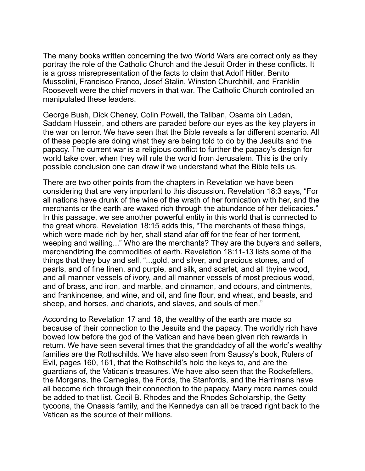The many books written concerning the two World Wars are correct only as they portray the role of the Catholic Church and the Jesuit Order in these conflicts. It is a gross misrepresentation of the facts to claim that Adolf Hitler, Benito Mussolini, Francisco Franco, Josef Stalin, Winston Churchhill, and Franklin Roosevelt were the chief movers in that war. The Catholic Church controlled an manipulated these leaders.

George Bush, Dick Cheney, Colin Powell, the Taliban, Osama bin Ladan, Saddam Hussein, and others are paraded before our eyes as the key players in the war on terror. We have seen that the Bible reveals a far different scenario. All of these people are doing what they are being told to do by the Jesuits and the papacy. The current war is a religious conflict to further the papacy's design for world take over, when they will rule the world from Jerusalem. This is the only possible conclusion one can draw if we understand what the Bible tells us.

There are two other points from the chapters in Revelation we have been considering that are very important to this discussion. Revelation 18:3 says, "For all nations have drunk of the wine of the wrath of her fornication with her, and the merchants or the earth are waxed rich through the abundance of her delicacies." In this passage, we see another powerful entity in this world that is connected to the great whore. Revelation 18:15 adds this, "The merchants of these things, which were made rich by her, shall stand afar off for the fear of her torment, weeping and wailing..." Who are the merchants? They are the buyers and sellers, merchandizing the commodities of earth. Revelation 18:11-13 lists some of the things that they buy and sell, "...gold, and silver, and precious stones, and of pearls, and of fine linen, and purple, and silk, and scarlet, and all thyine wood, and all manner vessels of ivory, and all manner vessels of most precious wood, and of brass, and iron, and marble, and cinnamon, and odours, and ointments, and frankincense, and wine, and oil, and fine flour, and wheat, and beasts, and sheep, and horses, and chariots, and slaves, and souls of men."

According to Revelation 17 and 18, the wealthy of the earth are made so because of their connection to the Jesuits and the papacy. The worldly rich have bowed low before the god of the Vatican and have been given rich rewards in return. We have seen several times that the granddaddy of all the world's wealthy families are the Rothschilds. We have also seen from Saussy's book, Rulers of Evil, pages 160, 161, that the Rothschild's hold the keys to, and are the guardians of, the Vatican's treasures. We have also seen that the Rockefellers, the Morgans, the Carnegies, the Fords, the Stanfords, and the Harrimans have all become rich through their connection to the papacy. Many more names could be added to that list. Cecil B. Rhodes and the Rhodes Scholarship, the Getty tycoons, the Onassis family, and the Kennedys can all be traced right back to the Vatican as the source of their millions.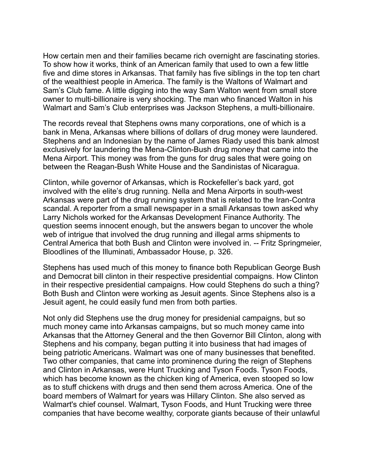How certain men and their families became rich overnight are fascinating stories. To show how it works, think of an American family that used to own a few little five and dime stores in Arkansas. That family has five siblings in the top ten chart of the wealthiest people in America. The family is the Waltons of Walmart and Sam's Club fame. A little digging into the way Sam Walton went from small store owner to multi-billionaire is very shocking. The man who financed Walton in his Walmart and Sam's Club enterprises was Jackson Stephens, a multi-billionaire.

The records reveal that Stephens owns many corporations, one of which is a bank in Mena, Arkansas where billions of dollars of drug money were laundered. Stephens and an Indonesian by the name of James Riady used this bank almost exclusively for laundering the Mena-Clinton-Bush drug money that came into the Mena Airport. This money was from the guns for drug sales that were going on between the Reagan-Bush White House and the Sandinistas of Nicaragua.

Clinton, while governor of Arkansas, which is Rockefeller's back yard, got involved with the elite's drug running. Nella and Mena Airports in south-west Arkansas were part of the drug running system that is related to the Iran-Contra scandal. A reporter from a small newspaper in a small Arkansas town asked why Larry Nichols worked for the Arkansas Development Finance Authority. The question seems innocent enough, but the answers began to uncover the whole web of intrigue that involved the drug running and illegal arms shipments to Central America that both Bush and Clinton were involved in. -- Fritz Springmeier, Bloodlines of the Illuminati, Ambassador House, p. 326.

Stephens has used much of this money to finance both Republican George Bush and Democrat bill clinton in their respective presidential compaigns. How Clinton in their respective presidential campaigns. How could Stephens do such a thing? Both Bush and Clinton were working as Jesuit agents. Since Stephens also is a Jesuit agent, he could easily fund men from both parties.

Not only did Stephens use the drug money for presidenial campaigns, but so much money came into Arkansas campaigns, but so much money came into Arkansas that the Attorney General and the then Governor Bill Clinton, along with Stephens and his company, began putting it into business that had images of being patriotic Americans. Walmart was one of many businesses that benefited. Two other companies, that came into prominence during the reign of Stephens and Clinton in Arkansas, were Hunt Trucking and Tyson Foods. Tyson Foods, which has become known as the chicken king of America, even stooped so low as to stuff chickens with drugs and then send them across America. One of the board members of Walmart for years was Hillary Clinton. She also served as Walmart's chief counsel. Walmart, Tyson Foods, and Hunt Trucking were three companies that have become wealthy, corporate giants because of their unlawful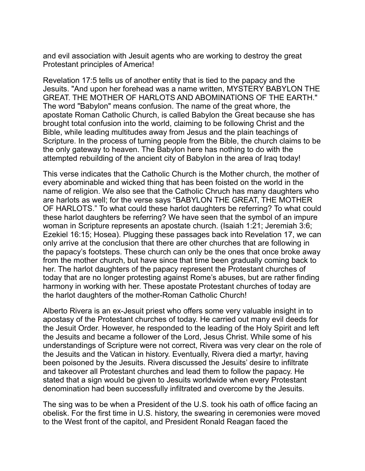and evil association with Jesuit agents who are working to destroy the great Protestant principles of America!

Revelation 17:5 tells us of another entity that is tied to the papacy and the Jesuits. "And upon her forehead was a name written, MYSTERY BABYLON THE GREAT. THE MOTHER OF HARLOTS AND ABOMINATIONS OF THE EARTH." The word "Babylon" means confusion. The name of the great whore, the apostate Roman Catholic Church, is called Babylon the Great because she has brought total confusion into the world, claiming to be following Christ and the Bible, while leading multitudes away from Jesus and the plain teachings of Scripture. In the process of turning people from the Bible, the church claims to be the only gateway to heaven. The Babylon here has nothing to do with the attempted rebuilding of the ancient city of Babylon in the area of Iraq today!

This verse indicates that the Catholic Church is the Mother church, the mother of every abominable and wicked thing that has been foisted on the world in the name of religion. We also see that the Catholic Chruch has many daughters who are harlots as well; for the verse says "BABYLON THE GREAT, THE MOTHER OF HARLOTS." To what could these harlot daughters be referring? To what could these harlot daughters be referring? We have seen that the symbol of an impure woman in Scripture represents an apostate church. (Isaiah 1:21; Jeremiah 3:6; Ezekiel 16:15; Hosea). Plugging these passages back into Revelation 17, we can only arrive at the conclusion that there are other churches that are following in the papacy's footsteps. These church can only be the ones that once broke away from the mother church, but have since that time been gradually coming back to her. The harlot daughters of the papacy represent the Protestant churches of today that are no longer protesting against Rome's abuses, but are rather finding harmony in working with her. These apostate Protestant churches of today are the harlot daughters of the mother-Roman Catholic Church!

Alberto Rivera is an ex-Jesuit priest who offers some very valuable insight in to apostasy of the Protestant churches of today. He carried out many evil deeds for the Jesuit Order. However, he responded to the leading of the Holy Spirit and left the Jesuits and became a follower of the Lord, Jesus Christ. While some of his understandings of Scripture were not correct, Rivera was very clear on the role of the Jesuits and the Vatican in history. Eventually, Rivera died a martyr, having been poisoned by the Jesuits. Rivera discussed the Jesuits' desire to infiltrate and takeover all Protestant churches and lead them to follow the papacy. He stated that a sign would be given to Jesuits worldwide when every Protestant denomination had been successfully infiltrated and overcome by the Jesuits.

The sing was to be when a President of the U.S. took his oath of office facing an obelisk. For the first time in U.S. history, the swearing in ceremonies were moved to the West front of the capitol, and President Ronald Reagan faced the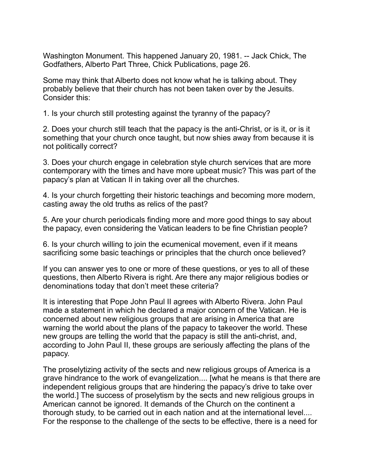Washington Monument. This happened January 20, 1981. -- Jack Chick, The Godfathers, Alberto Part Three, Chick Publications, page 26.

Some may think that Alberto does not know what he is talking about. They probably believe that their church has not been taken over by the Jesuits. Consider this:

1. Is your church still protesting against the tyranny of the papacy?

2. Does your church still teach that the papacy is the anti-Christ, or is it, or is it something that your church once taught, but now shies away from because it is not politically correct?

3. Does your church engage in celebration style church services that are more contemporary with the times and have more upbeat music? This was part of the papacy's plan at Vatican II in taking over all the churches.

4. Is your church forgetting their historic teachings and becoming more modern, casting away the old truths as relics of the past?

5. Are your church periodicals finding more and more good things to say about the papacy, even considering the Vatican leaders to be fine Christian people?

6. Is your church willing to join the ecumenical movement, even if it means sacrificing some basic teachings or principles that the church once believed?

If you can answer yes to one or more of these questions, or yes to all of these questions, then Alberto Rivera is right. Are there any major religious bodies or denominations today that don't meet these criteria?

It is interesting that Pope John Paul II agrees with Alberto Rivera. John Paul made a statement in which he declared a major concern of the Vatican. He is concerned about new religious groups that are arising in America that are warning the world about the plans of the papacy to takeover the world. These new groups are telling the world that the papacy is still the anti-christ, and, according to John Paul II, these groups are seriously affecting the plans of the papacy.

The proselytizing activity of the sects and new religious groups of America is a grave hindrance to the work of evangelization.... [what he means is that there are independent religious groups that are hindering the papacy's drive to take over the world.] The success of proselytism by the sects and new religious groups in American cannot be ignored. It demands of the Church on the continent a thorough study, to be carried out in each nation and at the international level.... For the response to the challenge of the sects to be effective, there is a need for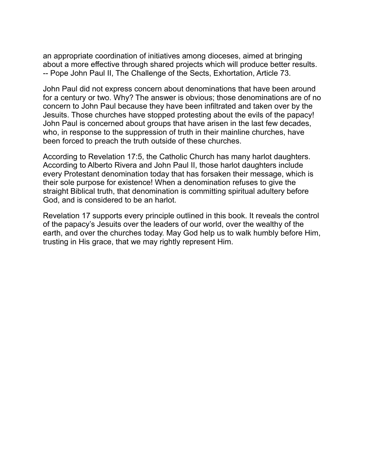an appropriate coordination of initiatives among dioceses, aimed at bringing about a more effective through shared projects which will produce better results. -- Pope John Paul II, The Challenge of the Sects, Exhortation, Article 73.

John Paul did not express concern about denominations that have been around for a century or two. Why? The answer is obvious; those denominations are of no concern to John Paul because they have been infiltrated and taken over by the Jesuits. Those churches have stopped protesting about the evils of the papacy! John Paul is concerned about groups that have arisen in the last few decades, who, in response to the suppression of truth in their mainline churches, have been forced to preach the truth outside of these churches.

According to Revelation 17:5, the Catholic Church has many harlot daughters. According to Alberto Rivera and John Paul II, those harlot daughters include every Protestant denomination today that has forsaken their message, which is their sole purpose for existence! When a denomination refuses to give the straight Biblical truth, that denomination is committing spiritual adultery before God, and is considered to be an harlot.

Revelation 17 supports every principle outlined in this book. It reveals the control of the papacy's Jesuits over the leaders of our world, over the wealthy of the earth, and over the churches today. May God help us to walk humbly before Him, trusting in His grace, that we may rightly represent Him.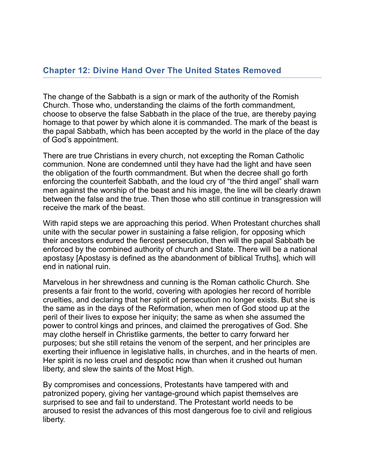## **Chapter 12: Divine Hand Over The United States Removed**

The change of the Sabbath is a sign or mark of the authority of the Romish Church. Those who, understanding the claims of the forth commandment, choose to observe the false Sabbath in the place of the true, are thereby paying homage to that power by which alone it is commanded. The mark of the beast is the papal Sabbath, which has been accepted by the world in the place of the day of God's appointment.

There are true Christians in every church, not excepting the Roman Catholic communion. None are condemned until they have had the light and have seen the obligation of the fourth commandment. But when the decree shall go forth enforcing the counterfeit Sabbath, and the loud cry of "the third angel" shall warn men against the worship of the beast and his image, the line will be clearly drawn between the false and the true. Then those who still continue in transgression will receive the mark of the beast.

With rapid steps we are approaching this period. When Protestant churches shall unite with the secular power in sustaining a false religion, for opposing which their ancestors endured the fiercest persecution, then will the papal Sabbath be enforced by the combined authority of church and State. There will be a national apostasy [Apostasy is defined as the abandonment of biblical Truths], which will end in national ruin.

Marvelous in her shrewdness and cunning is the Roman catholic Church. She presents a fair front to the world, covering with apologies her record of horrible cruelties, and declaring that her spirit of persecution no longer exists. But she is the same as in the days of the Reformation, when men of God stood up at the peril of their lives to expose her iniquity; the same as when she assumed the power to control kings and princes, and claimed the prerogatives of God. She may clothe herself in Christlike garments, the better to carry forward her purposes; but she still retains the venom of the serpent, and her principles are exerting their influence in legislative halls, in churches, and in the hearts of men. Her spirit is no less cruel and despotic now than when it crushed out human liberty, and slew the saints of the Most High.

By compromises and concessions, Protestants have tampered with and patronized popery, giving her vantage-ground which papist themselves are surprised to see and fail to understand. The Protestant world needs to be aroused to resist the advances of this most dangerous foe to civil and religious liberty.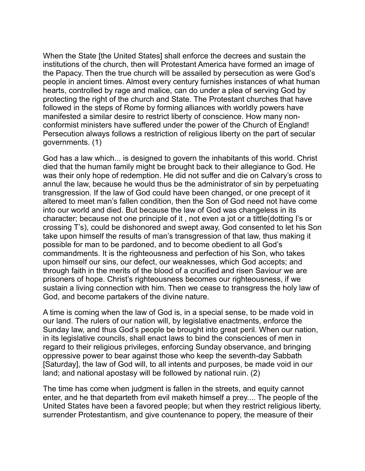When the State [the United States] shall enforce the decrees and sustain the institutions of the church, then will Protestant America have formed an image of the Papacy. Then the true church will be assailed by persecution as were God's people in ancient times. Almost every century furnishes instances of what human hearts, controlled by rage and malice, can do under a plea of serving God by protecting the right of the church and State. The Protestant churches that have followed in the steps of Rome by forming alliances with worldly powers have manifested a similar desire to restrict liberty of conscience. How many nonconformist ministers have suffered under the power of the Church of England! Persecution always follows a restriction of religious liberty on the part of secular governments. (1)

God has a law which... is designed to govern the inhabitants of this world. Christ died that the human family might be brought back to their allegiance to God. He was their only hope of redemption. He did not suffer and die on Calvary's cross to annul the law, because he would thus be the administrator of sin by perpetuating transgression. If the law of God could have been changed, or one precept of it altered to meet man's fallen condition, then the Son of God need not have come into our world and died. But because the law of God was changeless in its character; because not one principle of it , not even a jot or a tittle(dotting I's or crossing T's), could be dishonored and swept away, God consented to let his Son take upon himself the results of man's transgression of that law, thus making it possible for man to be pardoned, and to become obedient to all God's commandments. It is the righteousness and perfection of his Son, who takes upon himself our sins, our defect, our weaknesses, which God accepts; and through faith in the merits of the blood of a crucified and risen Saviour we are prisoners of hope. Christ's righteousness becomes our righteousness, if we sustain a living connection with him. Then we cease to transgress the holy law of God, and become partakers of the divine nature.

A time is coming when the law of God is, in a special sense, to be made void in our land. The rulers of our nation will, by legislative enactments, enforce the Sunday law, and thus God's people be brought into great peril. When our nation, in its legislative councils, shall enact laws to bind the consciences of men in regard to their religious privileges, enforcing Sunday observance, and bringing oppressive power to bear against those who keep the seventh-day Sabbath [Saturday], the law of God will, to all intents and purposes, be made void in our land; and national apostasy will be followed by national ruin. (2)

The time has come when judgment is fallen in the streets, and equity cannot enter, and he that departeth from evil maketh himself a prey.... The people of the United States have been a favored people; but when they restrict religious liberty, surrender Protestantism, and give countenance to popery, the measure of their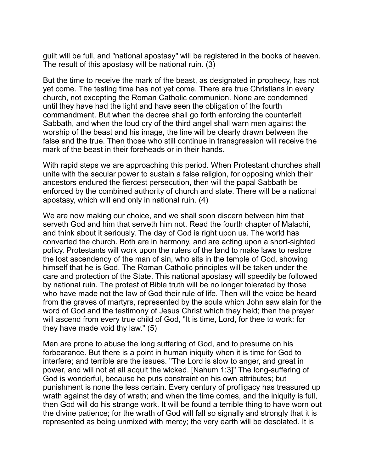guilt will be full, and "national apostasy" will be registered in the books of heaven. The result of this apostasy will be national ruin. (3)

But the time to receive the mark of the beast, as designated in prophecy, has not yet come. The testing time has not yet come. There are true Christians in every church, not excepting the Roman Catholic communion. None are condemned until they have had the light and have seen the obligation of the fourth commandment. But when the decree shall go forth enforcing the counterfeit Sabbath, and when the loud cry of the third angel shall warn men against the worship of the beast and his image, the line will be clearly drawn between the false and the true. Then those who still continue in transgression will receive the mark of the beast in their foreheads or in their hands.

With rapid steps we are approaching this period. When Protestant churches shall unite with the secular power to sustain a false religion, for opposing which their ancestors endured the fiercest persecution, then will the papal Sabbath be enforced by the combined authority of church and state. There will be a national apostasy, which will end only in national ruin. (4)

We are now making our choice, and we shall soon discern between him that serveth God and him that serveth him not. Read the fourth chapter of Malachi, and think about it seriously. The day of God is right upon us. The world has converted the church. Both are in harmony, and are acting upon a short-sighted policy. Protestants will work upon the rulers of the land to make laws to restore the lost ascendency of the man of sin, who sits in the temple of God, showing himself that he is God. The Roman Catholic principles will be taken under the care and protection of the State. This national apostasy will speedily be followed by national ruin. The protest of Bible truth will be no longer tolerated by those who have made not the law of God their rule of life. Then will the voice be heard from the graves of martyrs, represented by the souls which John saw slain for the word of God and the testimony of Jesus Christ which they held; then the prayer will ascend from every true child of God, "It is time, Lord, for thee to work: for they have made void thy law." (5)

Men are prone to abuse the long suffering of God, and to presume on his forbearance. But there is a point in human iniquity when it is time for God to interfere; and terrible are the issues. "The Lord is slow to anger, and great in power, and will not at all acquit the wicked. [Nahum 1:3]" The long-suffering of God is wonderful, because he puts constraint on his own attributes; but punishment is none the less certain. Every century of profligacy has treasured up wrath against the day of wrath; and when the time comes, and the iniquity is full, then God will do his strange work. It will be found a terrible thing to have worn out the divine patience; for the wrath of God will fall so signally and strongly that it is represented as being unmixed with mercy; the very earth will be desolated. It is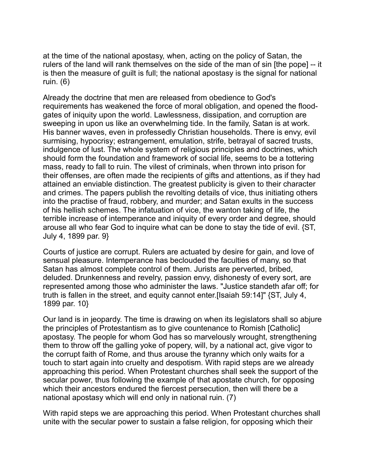at the time of the national apostasy, when, acting on the policy of Satan, the rulers of the land will rank themselves on the side of the man of sin [the pope] -- it is then the measure of guilt is full; the national apostasy is the signal for national ruin. (6)

Already the doctrine that men are released from obedience to God's requirements has weakened the force of moral obligation, and opened the floodgates of iniquity upon the world. Lawlessness, dissipation, and corruption are sweeping in upon us like an overwhelming tide. In the family, Satan is at work. His banner waves, even in professedly Christian households. There is envy, evil surmising, hypocrisy; estrangement, emulation, strife, betrayal of sacred trusts, indulgence of lust. The whole system of religious principles and doctrines, which should form the foundation and framework of social life, seems to be a tottering mass, ready to fall to ruin. The vilest of criminals, when thrown into prison for their offenses, are often made the recipients of gifts and attentions, as if they had attained an enviable distinction. The greatest publicity is given to their character and crimes. The papers publish the revolting details of vice, thus initiating others into the practise of fraud, robbery, and murder; and Satan exults in the success of his hellish schemes. The infatuation of vice, the wanton taking of life, the terrible increase of intemperance and iniquity of every order and degree, should arouse all who fear God to inquire what can be done to stay the tide of evil. {ST, July 4, 1899 par. 9}

Courts of justice are corrupt. Rulers are actuated by desire for gain, and love of sensual pleasure. Intemperance has beclouded the faculties of many, so that Satan has almost complete control of them. Jurists are perverted, bribed, deluded. Drunkenness and revelry, passion envy, dishonesty of every sort, are represented among those who administer the laws. "Justice standeth afar off; for truth is fallen in the street, and equity cannot enter.[Isaiah 59:14]" {ST, July 4, 1899 par. 10}

Our land is in jeopardy. The time is drawing on when its legislators shall so abjure the principles of Protestantism as to give countenance to Romish [Catholic] apostasy. The people for whom God has so marvelously wrought, strengthening them to throw off the galling yoke of popery, will, by a national act, give vigor to the corrupt faith of Rome, and thus arouse the tyranny which only waits for a touch to start again into cruelty and despotism. With rapid steps are we already approaching this period. When Protestant churches shall seek the support of the secular power, thus following the example of that apostate church, for opposing which their ancestors endured the fiercest persecution, then will there be a national apostasy which will end only in national ruin. (7)

With rapid steps we are approaching this period. When Protestant churches shall unite with the secular power to sustain a false religion, for opposing which their